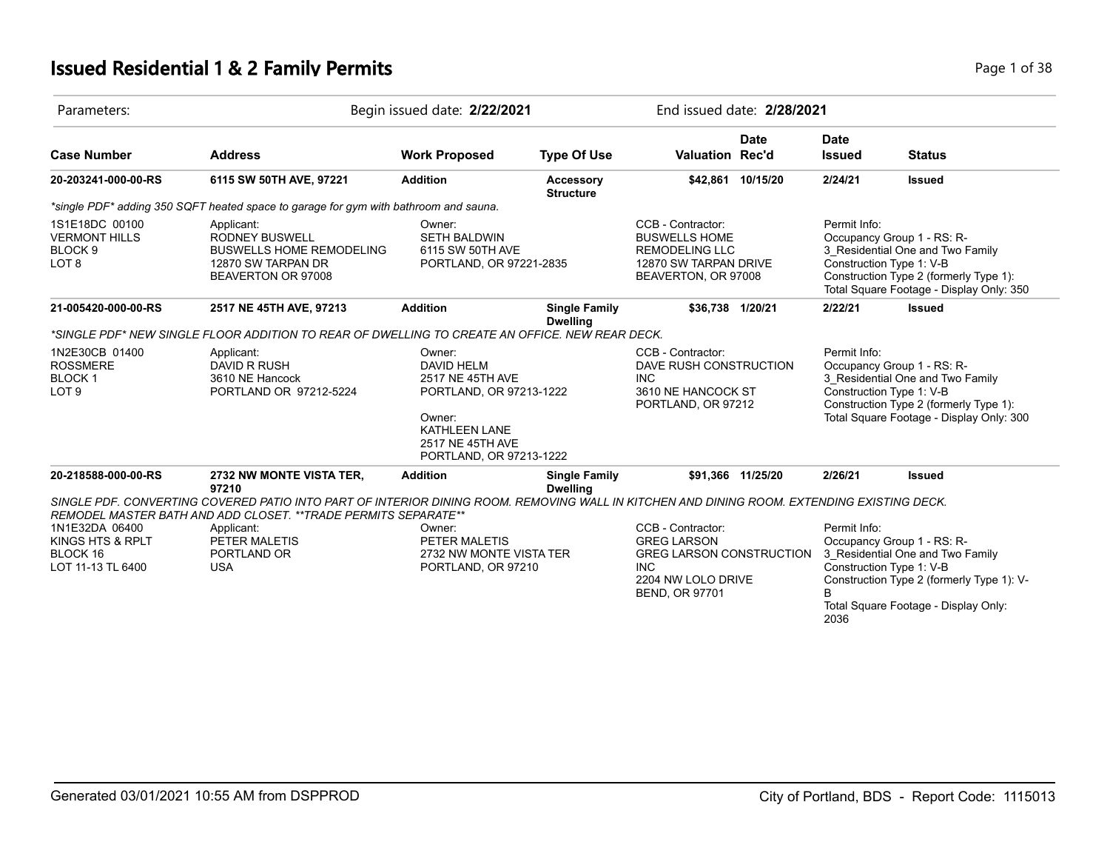# **Issued Residential 1 & 2 Family Permits Page 1 of 38**

| Parameters:                                                                                                                                                                                                 |                                                                                                                                                                                                                     | Begin issued date: 2/22/2021                                                                                                                         |                                                                                                                                  |                                                                                                                    | End issued date: 2/28/2021                                                                                                                                                                                    |                                                                                                                                                                                                  |               |
|-------------------------------------------------------------------------------------------------------------------------------------------------------------------------------------------------------------|---------------------------------------------------------------------------------------------------------------------------------------------------------------------------------------------------------------------|------------------------------------------------------------------------------------------------------------------------------------------------------|----------------------------------------------------------------------------------------------------------------------------------|--------------------------------------------------------------------------------------------------------------------|---------------------------------------------------------------------------------------------------------------------------------------------------------------------------------------------------------------|--------------------------------------------------------------------------------------------------------------------------------------------------------------------------------------------------|---------------|
| <b>Case Number</b>                                                                                                                                                                                          | <b>Address</b>                                                                                                                                                                                                      | <b>Work Proposed</b>                                                                                                                                 | <b>Type Of Use</b>                                                                                                               | Valuation Rec'd                                                                                                    | <b>Date</b>                                                                                                                                                                                                   | <b>Date</b><br><b>Issued</b>                                                                                                                                                                     | <b>Status</b> |
| 20-203241-000-00-RS                                                                                                                                                                                         | 6115 SW 50TH AVE, 97221                                                                                                                                                                                             | <b>Addition</b>                                                                                                                                      | <b>Accessory</b><br><b>Structure</b>                                                                                             |                                                                                                                    | \$42,861 10/15/20                                                                                                                                                                                             | 2/24/21                                                                                                                                                                                          | <b>Issued</b> |
|                                                                                                                                                                                                             | *single PDF* adding 350 SQFT heated space to garage for gym with bathroom and sauna.                                                                                                                                |                                                                                                                                                      |                                                                                                                                  |                                                                                                                    |                                                                                                                                                                                                               |                                                                                                                                                                                                  |               |
| 1S1E18DC 00100<br><b>VERMONT HILLS</b><br>BLOCK <sub>9</sub><br>LOT <sub>8</sub>                                                                                                                            | Applicant:<br><b>RODNEY BUSWELL</b><br><b>BUSWELLS HOME REMODELING</b><br>12870 SW TARPAN DR<br>BEAVERTON OR 97008                                                                                                  | Owner:<br>SETH BALDWIN<br>6115 SW 50TH AVE<br>PORTLAND, OR 97221-2835                                                                                |                                                                                                                                  | CCB - Contractor:<br><b>BUSWELLS HOME</b><br><b>REMODELING LLC</b><br>12870 SW TARPAN DRIVE<br>BEAVERTON, OR 97008 |                                                                                                                                                                                                               | Permit Info:<br>Occupancy Group 1 - RS: R-<br>3_Residential One and Two Family<br>Construction Type 1: V-B<br>Construction Type 2 (formerly Type 1):<br>Total Square Footage - Display Only: 350 |               |
| 21-005420-000-00-RS                                                                                                                                                                                         | 2517 NE 45TH AVE, 97213                                                                                                                                                                                             | <b>Addition</b>                                                                                                                                      | <b>Single Family</b><br><b>Dwelling</b>                                                                                          | \$36,738 1/20/21                                                                                                   |                                                                                                                                                                                                               | 2/22/21                                                                                                                                                                                          | <b>Issued</b> |
|                                                                                                                                                                                                             | *SINGLE PDF* NEW SINGLE FLOOR ADDITION TO REAR OF DWELLING TO CREATE AN OFFICE. NEW REAR DECK.                                                                                                                      |                                                                                                                                                      |                                                                                                                                  |                                                                                                                    |                                                                                                                                                                                                               |                                                                                                                                                                                                  |               |
| 1N2E30CB 01400<br><b>ROSSMERE</b><br><b>BLOCK1</b><br>LOT <sub>9</sub>                                                                                                                                      | Applicant:<br><b>DAVID R RUSH</b><br>3610 NE Hancock<br>PORTLAND OR 97212-5224                                                                                                                                      | Owner:<br><b>DAVID HELM</b><br>2517 NE 45TH AVE<br>PORTLAND, OR 97213-1222<br>Owner:<br>KATHLEEN LANE<br>2517 NE 45TH AVE<br>PORTLAND, OR 97213-1222 |                                                                                                                                  | CCB - Contractor:<br>DAVE RUSH CONSTRUCTION<br><b>INC</b><br>3610 NE HANCOCK ST<br>PORTLAND, OR 97212              |                                                                                                                                                                                                               | Permit Info:<br>Occupancy Group 1 - RS: R-<br>3_Residential One and Two Family<br>Construction Type 1: V-B<br>Construction Type 2 (formerly Type 1):<br>Total Square Footage - Display Only: 300 |               |
| 20-218588-000-00-RS                                                                                                                                                                                         | 2732 NW MONTE VISTA TER,<br>97210                                                                                                                                                                                   | <b>Addition</b>                                                                                                                                      | <b>Single Family</b><br><b>Dwelling</b>                                                                                          |                                                                                                                    | \$91.366 11/25/20                                                                                                                                                                                             | 2/26/21                                                                                                                                                                                          | <b>Issued</b> |
|                                                                                                                                                                                                             | SINGLE PDF. CONVERTING COVERED PATIO INTO PART OF INTERIOR DINING ROOM. REMOVING WALL IN KITCHEN AND DINING ROOM. EXTENDING EXISTING DECK.<br><b>REMODEL MASTER BATH AND ADD CLOSET. **TRADE PERMITS SEPARATE**</b> |                                                                                                                                                      |                                                                                                                                  |                                                                                                                    |                                                                                                                                                                                                               |                                                                                                                                                                                                  |               |
| 1N1E32DA 06400<br>Applicant:<br>Owner:<br>KINGS HTS & RPLT<br>PETER MALETIS<br>PETER MALETIS<br>BLOCK 16<br>PORTLAND OR<br>2732 NW MONTE VISTA TER<br>LOT 11-13 TL 6400<br><b>USA</b><br>PORTLAND, OR 97210 |                                                                                                                                                                                                                     |                                                                                                                                                      | CCB - Contractor:<br><b>GREG LARSON</b><br>GREG LARSON CONSTRUCTION<br><b>INC</b><br>2204 NW LOLO DRIVE<br><b>BEND, OR 97701</b> |                                                                                                                    | Permit Info:<br>Occupancy Group 1 - RS: R-<br>3 Residential One and Two Family<br>Construction Type 1: V-B<br>Construction Type 2 (formerly Type 1): V-<br>B.<br>Total Square Footage - Display Only:<br>2036 |                                                                                                                                                                                                  |               |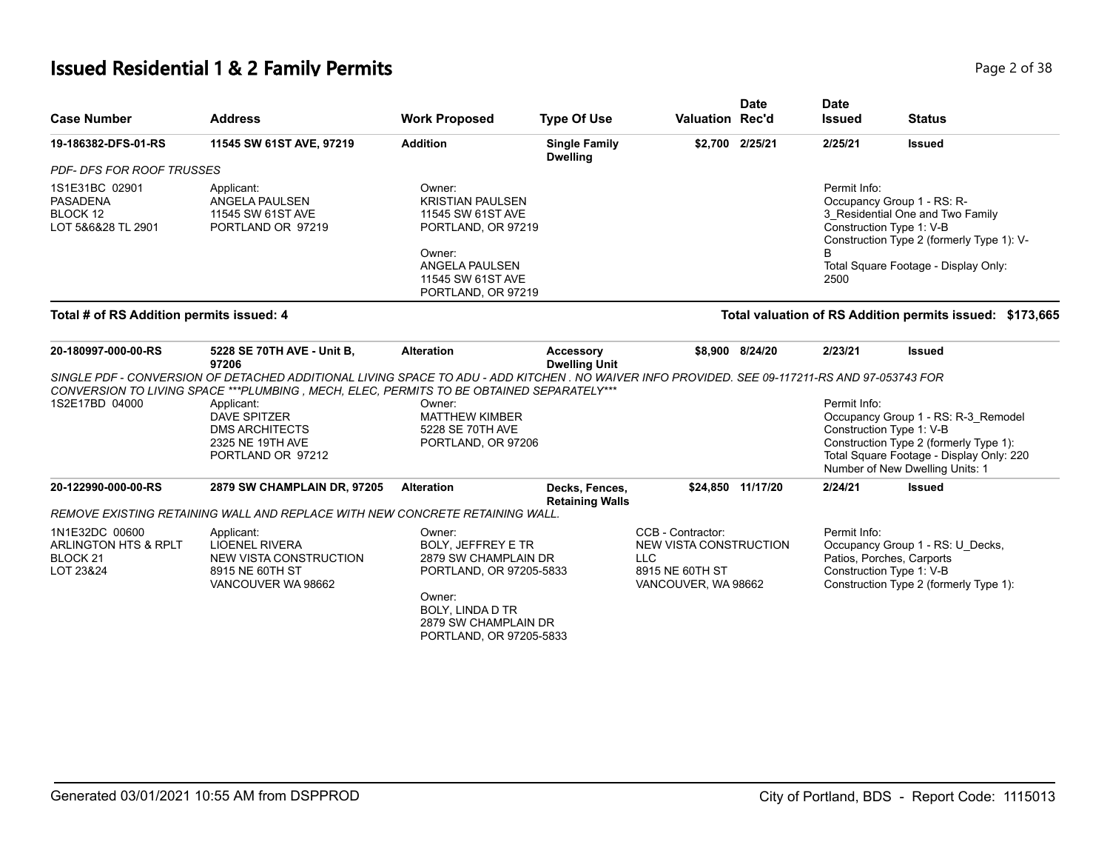# **Issued Residential 1 & 2 Family Permits Page 1 and 2011 12 July 12 and 2 of 38**

| <b>Case Number</b>                                                         | <b>Address</b>                                                                                                                                                                                                                               | <b>Work Proposed</b>                                                                                                                                                           | <b>Type Of Use</b>                       | <b>Valuation Rec'd</b>                                                                              | <b>Date</b>       | <b>Date</b><br><b>Issued</b> | <b>Status</b>                                                                                                                                                                            |
|----------------------------------------------------------------------------|----------------------------------------------------------------------------------------------------------------------------------------------------------------------------------------------------------------------------------------------|--------------------------------------------------------------------------------------------------------------------------------------------------------------------------------|------------------------------------------|-----------------------------------------------------------------------------------------------------|-------------------|------------------------------|------------------------------------------------------------------------------------------------------------------------------------------------------------------------------------------|
| 19-186382-DFS-01-RS                                                        | 11545 SW 61ST AVE, 97219                                                                                                                                                                                                                     | <b>Addition</b>                                                                                                                                                                | <b>Single Family</b><br><b>Dwelling</b>  |                                                                                                     | \$2,700 2/25/21   | 2/25/21                      | <b>Issued</b>                                                                                                                                                                            |
| <b>PDF- DFS FOR ROOF TRUSSES</b>                                           |                                                                                                                                                                                                                                              |                                                                                                                                                                                |                                          |                                                                                                     |                   |                              |                                                                                                                                                                                          |
| 1S1E31BC 02901<br><b>PASADENA</b><br>BLOCK 12<br>LOT 5&6&28 TL 2901        | Applicant:<br>ANGELA PAULSEN<br>11545 SW 61ST AVE<br>PORTLAND OR 97219                                                                                                                                                                       | Owner:<br><b>KRISTIAN PAULSEN</b><br>11545 SW 61ST AVE<br>PORTLAND, OR 97219<br>Owner:<br>ANGELA PAULSEN<br>11545 SW 61ST AVE<br>PORTLAND, OR 97219                            |                                          |                                                                                                     |                   | Permit Info:<br>2500         | Occupancy Group 1 - RS: R-<br>3_Residential One and Two Family<br>Construction Type 1: V-B<br>Construction Type 2 (formerly Type 1): V-<br>Total Square Footage - Display Only:          |
| Total # of RS Addition permits issued: 4                                   |                                                                                                                                                                                                                                              |                                                                                                                                                                                |                                          |                                                                                                     |                   |                              | Total valuation of RS Addition permits issued: \$173,665                                                                                                                                 |
| 20-180997-000-00-RS                                                        | 5228 SE 70TH AVE - Unit B,<br>97206                                                                                                                                                                                                          | <b>Alteration</b>                                                                                                                                                              | <b>Accessory</b><br><b>Dwelling Unit</b> |                                                                                                     | \$8.900 8/24/20   | 2/23/21                      | <b>Issued</b>                                                                                                                                                                            |
|                                                                            | SINGLE PDF - CONVERSION OF DETACHED ADDITIONAL LIVING SPACE TO ADU - ADD KITCHEN . NO WAIVER INFO PROVIDED. SEE 09-117211-RS AND 97-053743 FOR<br>CONVERSION TO LIVING SPACE *** PLUMBING , MECH, ELEC, PERMITS TO BE OBTAINED SEPARATELY*** |                                                                                                                                                                                |                                          |                                                                                                     |                   |                              |                                                                                                                                                                                          |
| 1S2E17BD 04000                                                             | Applicant:<br><b>DAVE SPITZER</b><br><b>DMS ARCHITECTS</b><br>2325 NE 19TH AVE<br>PORTLAND OR 97212                                                                                                                                          | Owner:<br><b>MATTHEW KIMBER</b><br>5228 SE 70TH AVE<br>PORTLAND, OR 97206                                                                                                      |                                          |                                                                                                     |                   | Permit Info:                 | Occupancy Group 1 - RS: R-3_Remodel<br>Construction Type 1: V-B<br>Construction Type 2 (formerly Type 1):<br>Total Square Footage - Display Only: 220<br>Number of New Dwelling Units: 1 |
| 20-122990-000-00-RS                                                        | <b>2879 SW CHAMPLAIN DR, 97205</b>                                                                                                                                                                                                           | <b>Alteration</b>                                                                                                                                                              | Decks, Fences,<br><b>Retaining Walls</b> |                                                                                                     | \$24,850 11/17/20 | 2/24/21                      | <b>Issued</b>                                                                                                                                                                            |
|                                                                            | REMOVE EXISTING RETAINING WALL AND REPLACE WITH NEW CONCRETE RETAINING WALL.                                                                                                                                                                 |                                                                                                                                                                                |                                          |                                                                                                     |                   |                              |                                                                                                                                                                                          |
| 1N1E32DC 00600<br>ARLINGTON HTS & RPLT<br>BLOCK <sub>21</sub><br>LOT 23&24 | Applicant:<br><b>LIOENEL RIVERA</b><br>NEW VISTA CONSTRUCTION<br>8915 NE 60TH ST<br>VANCOUVER WA 98662                                                                                                                                       | Owner:<br><b>BOLY, JEFFREY E TR</b><br>2879 SW CHAMPLAIN DR<br>PORTLAND, OR 97205-5833<br>Owner:<br><b>BOLY, LINDA D TR</b><br>2879 SW CHAMPLAIN DR<br>PORTLAND, OR 97205-5833 |                                          | CCB - Contractor:<br>NEW VISTA CONSTRUCTION<br><b>LLC</b><br>8915 NE 60TH ST<br>VANCOUVER, WA 98662 |                   | Permit Info:                 | Occupancy Group 1 - RS: U Decks,<br>Patios, Porches, Carports<br>Construction Type 1: V-B<br>Construction Type 2 (formerly Type 1):                                                      |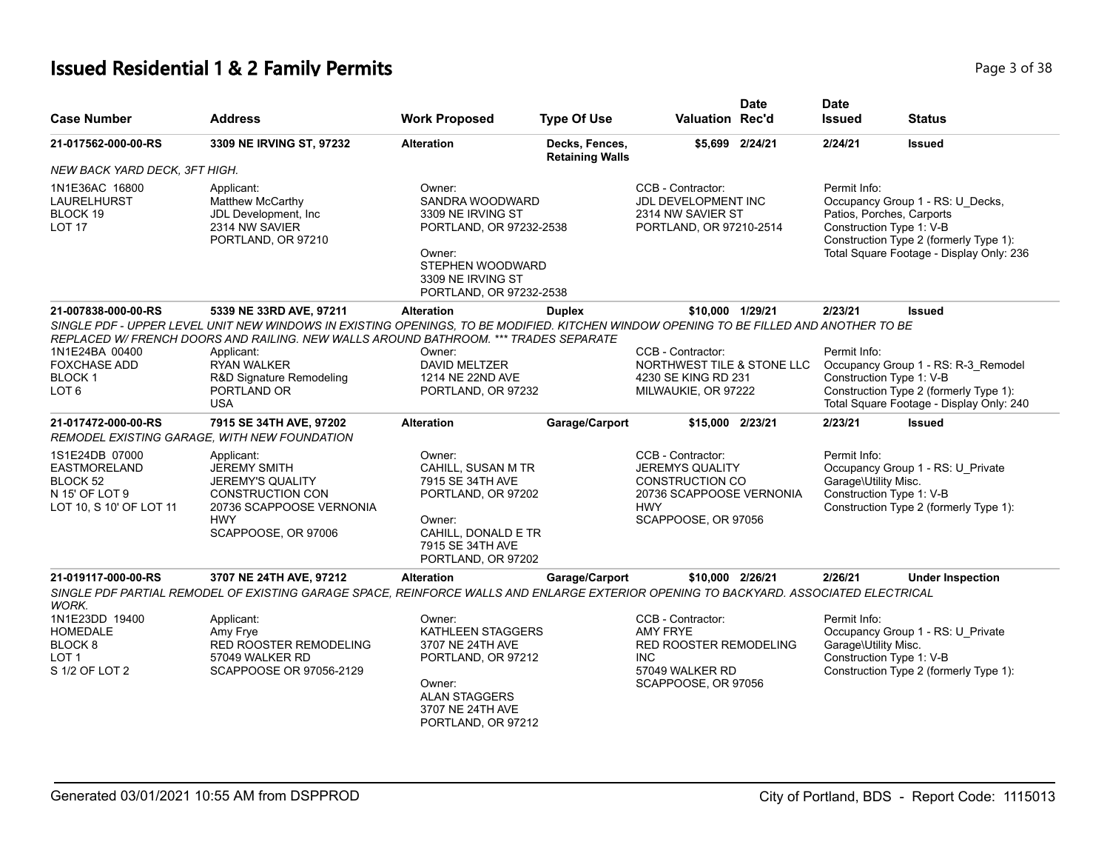# **Issued Residential 1 & 2 Family Permits Page 1 and 2011 12 and 2012 12:38** Page 3 of 38

| <b>Case Number</b>                                                                             | <b>Address</b>                                                                                                                                                                                                                                                                                                             | <b>Work Proposed</b>                                                                                                                                    | <b>Type Of Use</b>                       | <b>Valuation Rec'd</b>                                                                                                                 | Date            | <b>Date</b><br><b>Issued</b>                                          | <b>Status</b>                                                                                                             |
|------------------------------------------------------------------------------------------------|----------------------------------------------------------------------------------------------------------------------------------------------------------------------------------------------------------------------------------------------------------------------------------------------------------------------------|---------------------------------------------------------------------------------------------------------------------------------------------------------|------------------------------------------|----------------------------------------------------------------------------------------------------------------------------------------|-----------------|-----------------------------------------------------------------------|---------------------------------------------------------------------------------------------------------------------------|
| 21-017562-000-00-RS                                                                            | 3309 NE IRVING ST, 97232                                                                                                                                                                                                                                                                                                   | <b>Alteration</b>                                                                                                                                       | Decks, Fences,<br><b>Retaining Walls</b> |                                                                                                                                        | \$5,699 2/24/21 | 2/24/21                                                               | <b>Issued</b>                                                                                                             |
| NEW BACK YARD DECK, 3FT HIGH.                                                                  |                                                                                                                                                                                                                                                                                                                            |                                                                                                                                                         |                                          |                                                                                                                                        |                 |                                                                       |                                                                                                                           |
| 1N1E36AC 16800<br><b>LAURELHURST</b><br>BLOCK 19<br><b>LOT 17</b>                              | Applicant:<br><b>Matthew McCarthy</b><br>JDL Development, Inc<br>2314 NW SAVIER<br>PORTLAND, OR 97210                                                                                                                                                                                                                      | Owner:<br>SANDRA WOODWARD<br>3309 NE IRVING ST<br>PORTLAND, OR 97232-2538<br>Owner:<br>STEPHEN WOODWARD<br>3309 NE IRVING ST<br>PORTLAND, OR 97232-2538 |                                          | CCB - Contractor:<br><b>JDL DEVELOPMENT INC</b><br>2314 NW SAVIER ST<br>PORTLAND, OR 97210-2514                                        |                 | Permit Info:<br>Patios, Porches, Carports<br>Construction Type 1: V-B | Occupancy Group 1 - RS: U_Decks,<br>Construction Type 2 (formerly Type 1):<br>Total Square Footage - Display Only: 236    |
| 21-007838-000-00-RS                                                                            | 5339 NE 33RD AVE, 97211                                                                                                                                                                                                                                                                                                    | <b>Alteration</b>                                                                                                                                       | <b>Duplex</b>                            | \$10,000 1/29/21                                                                                                                       |                 | 2/23/21                                                               | <b>Issued</b>                                                                                                             |
| 1N1E24BA 00400<br><b>FOXCHASE ADD</b><br><b>BLOCK1</b><br>LOT <sub>6</sub>                     | SINGLE PDF - UPPER LEVEL UNIT NEW WINDOWS IN EXISTING OPENINGS, TO BE MODIFIED. KITCHEN WINDOW OPENING TO BE FILLED AND ANOTHER TO BE<br>REPLACED W/ FRENCH DOORS AND RAILING. NEW WALLS AROUND BATHROOM. *** TRADES SEPARATE<br>Applicant:<br><b>RYAN WALKER</b><br>R&D Signature Remodeling<br>PORTLAND OR<br><b>USA</b> | Owner:<br><b>DAVID MELTZER</b><br>1214 NE 22ND AVE<br>PORTLAND, OR 97232                                                                                |                                          | CCB - Contractor:<br>NORTHWEST TILE & STONE LLC<br>4230 SE KING RD 231<br>MILWAUKIE, OR 97222                                          |                 | Permit Info:<br>Construction Type 1: V-B                              | Occupancy Group 1 - RS: R-3_Remodel<br>Construction Type 2 (formerly Type 1):<br>Total Square Footage - Display Only: 240 |
| 21-017472-000-00-RS                                                                            | 7915 SE 34TH AVE, 97202<br>REMODEL EXISTING GARAGE. WITH NEW FOUNDATION                                                                                                                                                                                                                                                    | <b>Alteration</b>                                                                                                                                       | Garage/Carport                           | \$15,000 2/23/21                                                                                                                       |                 | 2/23/21                                                               | <b>Issued</b>                                                                                                             |
| 1S1E24DB 07000<br><b>EASTMORELAND</b><br>BLOCK 52<br>N 15' OF LOT 9<br>LOT 10, S 10' OF LOT 11 | Applicant:<br><b>JEREMY SMITH</b><br><b>JEREMY'S QUALITY</b><br><b>CONSTRUCTION CON</b><br>20736 SCAPPOOSE VERNONIA<br><b>HWY</b><br>SCAPPOOSE, OR 97006                                                                                                                                                                   | Owner:<br>CAHILL, SUSAN M TR<br>7915 SE 34TH AVE<br>PORTLAND, OR 97202<br>Owner:<br>CAHILL, DONALD E TR<br>7915 SE 34TH AVE<br>PORTLAND, OR 97202       |                                          | CCB - Contractor:<br><b>JEREMYS QUALITY</b><br><b>CONSTRUCTION CO</b><br>20736 SCAPPOOSE VERNONIA<br><b>HWY</b><br>SCAPPOOSE, OR 97056 |                 | Permit Info:<br>Garage\Utility Misc.<br>Construction Type 1: V-B      | Occupancy Group 1 - RS: U_Private<br>Construction Type 2 (formerly Type 1):                                               |
| 21-019117-000-00-RS<br>WORK.                                                                   | 3707 NE 24TH AVE, 97212<br>SINGLE PDF PARTIAL REMODEL OF EXISTING GARAGE SPACE, REINFORCE WALLS AND ENLARGE EXTERIOR OPENING TO BACKYARD. ASSOCIATED ELECTRICAL                                                                                                                                                            | <b>Alteration</b>                                                                                                                                       | Garage/Carport                           | \$10,000 2/26/21                                                                                                                       |                 | 2/26/21                                                               | <b>Under Inspection</b>                                                                                                   |
| 1N1E23DD 19400<br><b>HOMEDALE</b><br>BLOCK <sub>8</sub><br>LOT <sub>1</sub><br>S 1/2 OF LOT 2  | Applicant:<br>Amy Frye<br>RED ROOSTER REMODELING<br>57049 WALKER RD<br>SCAPPOOSE OR 97056-2129                                                                                                                                                                                                                             | Owner:<br>KATHLEEN STAGGERS<br>3707 NE 24TH AVE<br>PORTLAND, OR 97212<br>Owner:<br><b>ALAN STAGGERS</b><br>3707 NE 24TH AVE<br>PORTLAND, OR 97212       |                                          | CCB - Contractor:<br><b>AMY FRYE</b><br><b>RED ROOSTER REMODELING</b><br><b>INC</b><br>57049 WALKER RD<br>SCAPPOOSE, OR 97056          |                 | Permit Info:<br>Garage\Utility Misc.<br>Construction Type 1: V-B      | Occupancy Group 1 - RS: U_Private<br>Construction Type 2 (formerly Type 1):                                               |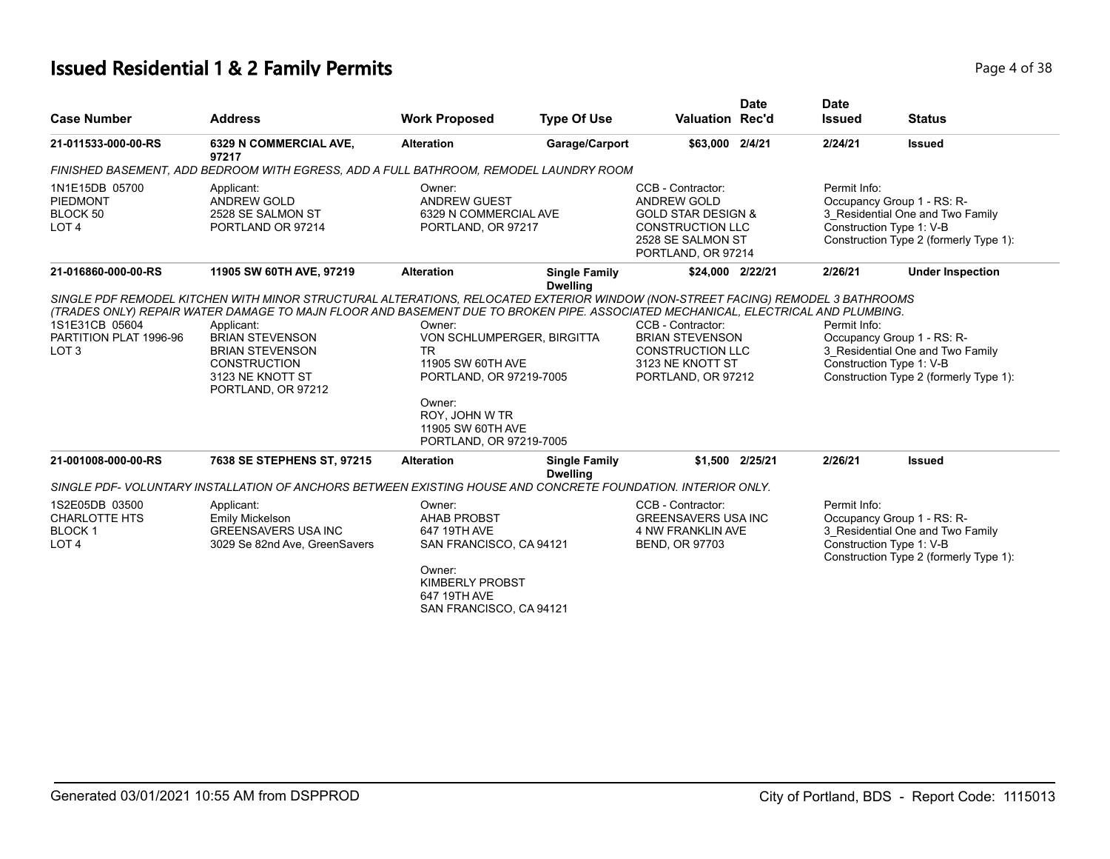# **Issued Residential 1 & 2 Family Permits Page 1 of 38** Page 4 of 38

| <b>Case Number</b>                                                               | <b>Address</b>                                                                                                                  | <b>Work Proposed</b>                                                                                                                                                          | <b>Type Of Use</b>                      | <b>Valuation Rec'd</b>                                                                                                                         | <b>Date</b> | <b>Date</b><br><b>Issued</b>                                                                                                                         | <b>Status</b>                                                                                                                        |
|----------------------------------------------------------------------------------|---------------------------------------------------------------------------------------------------------------------------------|-------------------------------------------------------------------------------------------------------------------------------------------------------------------------------|-----------------------------------------|------------------------------------------------------------------------------------------------------------------------------------------------|-------------|------------------------------------------------------------------------------------------------------------------------------------------------------|--------------------------------------------------------------------------------------------------------------------------------------|
| 21-011533-000-00-RS                                                              | 6329 N COMMERCIAL AVE,<br>97217                                                                                                 | <b>Alteration</b>                                                                                                                                                             | Garage/Carport                          | \$63,000 2/4/21                                                                                                                                |             | 2/24/21                                                                                                                                              | <b>Issued</b>                                                                                                                        |
|                                                                                  | FINISHED BASEMENT, ADD BEDROOM WITH EGRESS, ADD A FULL BATHROOM, REMODEL LAUNDRY ROOM                                           |                                                                                                                                                                               |                                         |                                                                                                                                                |             |                                                                                                                                                      |                                                                                                                                      |
| 1N1E15DB 05700<br><b>PIEDMONT</b><br>BLOCK 50<br>LOT <sub>4</sub>                | Applicant:<br><b>ANDREW GOLD</b><br>2528 SE SALMON ST<br>PORTLAND OR 97214                                                      | Owner:<br><b>ANDREW GUEST</b><br>6329 N COMMERCIAL AVE<br>PORTLAND, OR 97217<br><b>Alteration</b><br><b>Single Family</b>                                                     |                                         | CCB - Contractor:<br><b>ANDREW GOLD</b><br><b>GOLD STAR DESIGN &amp;</b><br><b>CONSTRUCTION LLC</b><br>2528 SE SALMON ST<br>PORTLAND, OR 97214 |             | Permit Info:<br>Occupancy Group 1 - RS: R-<br>3_Residential One and Two Family<br>Construction Type 1: V-B<br>Construction Type 2 (formerly Type 1): |                                                                                                                                      |
| 21-016860-000-00-RS                                                              | 11905 SW 60TH AVE, 97219                                                                                                        |                                                                                                                                                                               | <b>Dwelling</b>                         | \$24,000 2/22/21                                                                                                                               |             | 2/26/21                                                                                                                                              | <b>Under Inspection</b>                                                                                                              |
| 1S1E31CB 05604<br>PARTITION PLAT 1996-96<br>LOT <sub>3</sub>                     | Applicant:<br><b>BRIAN STEVENSON</b><br><b>BRIAN STEVENSON</b><br><b>CONSTRUCTION</b><br>3123 NE KNOTT ST<br>PORTLAND, OR 97212 | Owner:<br>VON SCHLUMPERGER, BIRGITTA<br><b>TR</b><br>11905 SW 60TH AVE<br>PORTLAND, OR 97219-7005<br>Owner:<br>ROY, JOHN W TR<br>11905 SW 60TH AVE<br>PORTLAND, OR 97219-7005 |                                         | CCB - Contractor:<br><b>BRIAN STEVENSON</b><br><b>CONSTRUCTION LLC</b><br>3123 NE KNOTT ST<br>PORTLAND, OR 97212                               |             | Permit Info:                                                                                                                                         | Occupancy Group 1 - RS: R-<br>3 Residential One and Two Family<br>Construction Type 1: V-B<br>Construction Type 2 (formerly Type 1): |
| 21-001008-000-00-RS                                                              | 7638 SE STEPHENS ST, 97215                                                                                                      | <b>Alteration</b>                                                                                                                                                             | <b>Single Family</b><br><b>Dwelling</b> | \$1,500 2/25/21                                                                                                                                |             | 2/26/21                                                                                                                                              | <b>Issued</b>                                                                                                                        |
|                                                                                  | SINGLE PDF- VOLUNTARY INSTALLATION OF ANCHORS BETWEEN EXISTING HOUSE AND CONCRETE FOUNDATION. INTERIOR ONLY.                    |                                                                                                                                                                               |                                         |                                                                                                                                                |             |                                                                                                                                                      |                                                                                                                                      |
| 1S2E05DB 03500<br><b>CHARLOTTE HTS</b><br>BLOCK <sub>1</sub><br>LOT <sub>4</sub> | Applicant:<br>Emily Mickelson<br><b>GREENSAVERS USA INC</b><br>3029 Se 82nd Ave, GreenSavers                                    | Owner:<br><b>AHAB PROBST</b><br>647 19TH AVE<br>SAN FRANCISCO, CA 94121<br>Owner:<br><b>KIMBERLY PROBST</b><br>647 19TH AVE<br>SAN FRANCISCO, CA 94121                        |                                         | CCB - Contractor:<br><b>GREENSAVERS USA INC</b><br><b>4 NW FRANKLIN AVE</b><br><b>BEND, OR 97703</b>                                           |             | Permit Info:                                                                                                                                         | Occupancy Group 1 - RS: R-<br>3_Residential One and Two Family<br>Construction Type 1: V-B<br>Construction Type 2 (formerly Type 1): |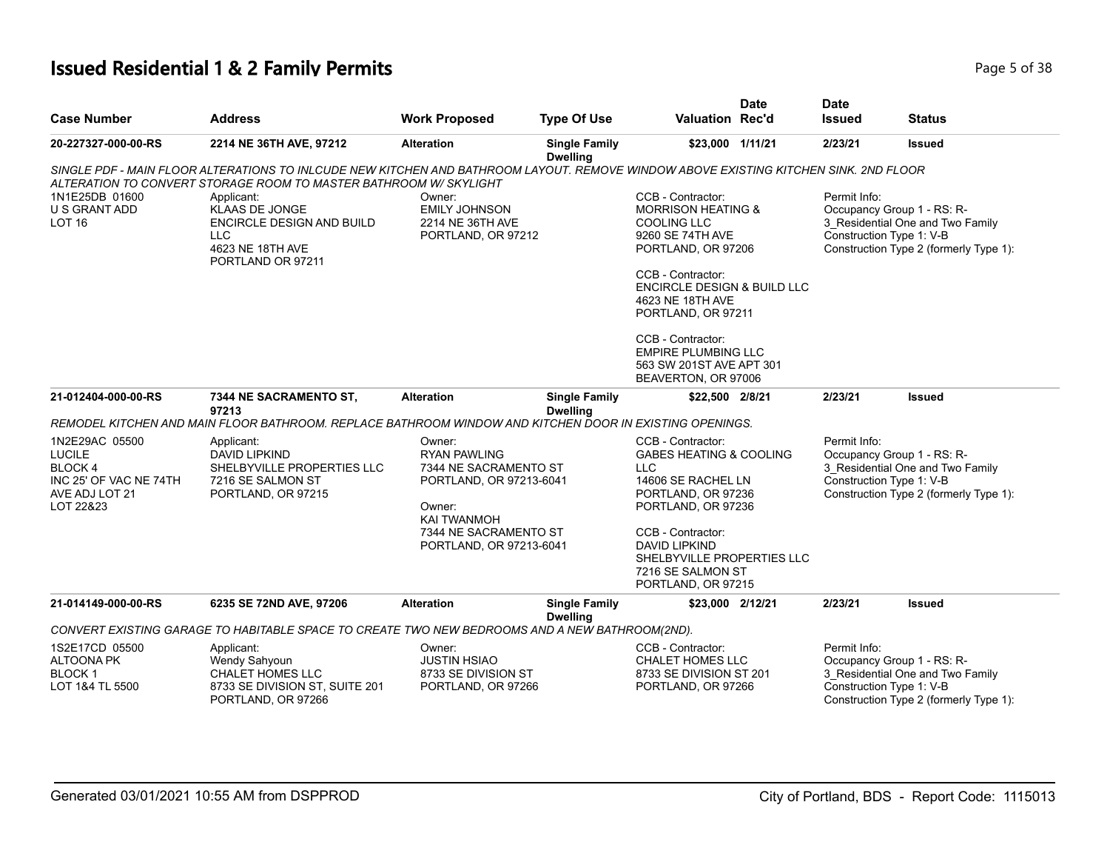# **Issued Residential 1 & 2 Family Permits Page 1 and 2012 12:38** Page 1 and 2013 12:49 Page 5 of 38

| <b>Case Number</b>                                                                                        | <b>Address</b>                                                                                                                                                                                                                                                                                                                       | <b>Work Proposed</b>                                                                                                                                                  | <b>Type Of Use</b>                      | <b>Valuation Rec'd</b>                                                                                                                                                                                                                  | <b>Date</b> | <b>Date</b><br><b>Issued</b>             | <b>Status</b>                                                                                            |
|-----------------------------------------------------------------------------------------------------------|--------------------------------------------------------------------------------------------------------------------------------------------------------------------------------------------------------------------------------------------------------------------------------------------------------------------------------------|-----------------------------------------------------------------------------------------------------------------------------------------------------------------------|-----------------------------------------|-----------------------------------------------------------------------------------------------------------------------------------------------------------------------------------------------------------------------------------------|-------------|------------------------------------------|----------------------------------------------------------------------------------------------------------|
| 20-227327-000-00-RS                                                                                       | 2214 NE 36TH AVE, 97212                                                                                                                                                                                                                                                                                                              | <b>Alteration</b>                                                                                                                                                     | <b>Single Family</b><br><b>Dwelling</b> | \$23,000 1/11/21                                                                                                                                                                                                                        |             | 2/23/21                                  | <b>Issued</b>                                                                                            |
| 1N1E25DB 01600<br>U S GRANT ADD<br><b>LOT 16</b>                                                          | SINGLE PDF - MAIN FLOOR ALTERATIONS TO INLCUDE NEW KITCHEN AND BATHROOM LAYOUT. REMOVE WINDOW ABOVE EXISTING KITCHEN SINK. 2ND FLOOR<br>ALTERATION TO CONVERT STORAGE ROOM TO MASTER BATHROOM W/ SKYLIGHT<br>Applicant:<br><b>KLAAS DE JONGE</b><br>ENCIRCLE DESIGN AND BUILD<br><b>LLC</b><br>4623 NE 18TH AVE<br>PORTLAND OR 97211 | Owner:<br><b>EMILY JOHNSON</b><br>2214 NE 36TH AVE<br>PORTLAND, OR 97212                                                                                              |                                         | CCB - Contractor:<br><b>MORRISON HEATING &amp;</b><br><b>COOLING LLC</b><br>9260 SE 74TH AVE<br>PORTLAND, OR 97206<br>CCB - Contractor:<br><b>ENCIRCLE DESIGN &amp; BUILD LLC</b><br>4623 NE 18TH AVE<br>PORTLAND, OR 97211             |             | Permit Info:<br>Construction Type 1: V-B | Occupancy Group 1 - RS: R-<br>3 Residential One and Two Family<br>Construction Type 2 (formerly Type 1): |
|                                                                                                           |                                                                                                                                                                                                                                                                                                                                      |                                                                                                                                                                       |                                         | CCB - Contractor:<br><b>EMPIRE PLUMBING LLC</b><br>563 SW 201ST AVE APT 301<br>BEAVERTON, OR 97006                                                                                                                                      |             |                                          |                                                                                                          |
| 21-012404-000-00-RS                                                                                       | 7344 NE SACRAMENTO ST,<br>97213                                                                                                                                                                                                                                                                                                      | <b>Alteration</b>                                                                                                                                                     | <b>Single Family</b><br><b>Dwelling</b> | \$22,500 2/8/21                                                                                                                                                                                                                         |             | 2/23/21                                  | <b>Issued</b>                                                                                            |
|                                                                                                           | REMODEL KITCHEN AND MAIN FLOOR BATHROOM. REPLACE BATHROOM WINDOW AND KITCHEN DOOR IN EXISTING OPENINGS.                                                                                                                                                                                                                              |                                                                                                                                                                       |                                         |                                                                                                                                                                                                                                         |             |                                          |                                                                                                          |
| 1N2E29AC 05500<br><b>LUCILE</b><br><b>BLOCK4</b><br>INC 25' OF VAC NE 74TH<br>AVE ADJ LOT 21<br>LOT 22&23 | Applicant:<br><b>DAVID LIPKIND</b><br>SHELBYVILLE PROPERTIES LLC<br>7216 SE SALMON ST<br>PORTLAND, OR 97215                                                                                                                                                                                                                          | Owner:<br><b>RYAN PAWLING</b><br>7344 NE SACRAMENTO ST<br>PORTLAND, OR 97213-6041<br>Owner:<br><b>KAI TWANMOH</b><br>7344 NE SACRAMENTO ST<br>PORTLAND, OR 97213-6041 |                                         | CCB - Contractor:<br><b>GABES HEATING &amp; COOLING</b><br><b>LLC</b><br>14606 SE RACHEL LN<br>PORTLAND, OR 97236<br>PORTLAND, OR 97236<br>CCB - Contractor:<br><b>DAVID LIPKIND</b><br>SHELBYVILLE PROPERTIES LLC<br>7216 SE SALMON ST |             | Permit Info:<br>Construction Type 1: V-B | Occupancy Group 1 - RS: R-<br>3 Residential One and Two Family<br>Construction Type 2 (formerly Type 1): |
| 21-014149-000-00-RS                                                                                       | 6235 SE 72ND AVE, 97206                                                                                                                                                                                                                                                                                                              | <b>Alteration</b>                                                                                                                                                     | <b>Single Family</b>                    | PORTLAND, OR 97215<br>\$23,000 2/12/21                                                                                                                                                                                                  |             | 2/23/21                                  | <b>Issued</b>                                                                                            |
|                                                                                                           | CONVERT EXISTING GARAGE TO HABITABLE SPACE TO CREATE TWO NEW BEDROOMS AND A NEW BATHROOM(2ND).                                                                                                                                                                                                                                       |                                                                                                                                                                       | <b>Dwelling</b>                         |                                                                                                                                                                                                                                         |             |                                          |                                                                                                          |
| 1S2E17CD 05500<br><b>ALTOONA PK</b><br><b>BLOCK1</b><br>LOT 1&4 TL 5500                                   | Applicant:<br>Wendy Sahyoun<br><b>CHALET HOMES LLC</b><br>8733 SE DIVISION ST, SUITE 201<br>PORTLAND, OR 97266                                                                                                                                                                                                                       | Owner:<br><b>JUSTIN HSIAO</b><br>8733 SE DIVISION ST<br>PORTLAND, OR 97266                                                                                            |                                         | CCB - Contractor:<br>CHALET HOMES LLC<br>8733 SE DIVISION ST 201<br>PORTLAND, OR 97266                                                                                                                                                  |             | Permit Info:<br>Construction Type 1: V-B | Occupancy Group 1 - RS: R-<br>3 Residential One and Two Family<br>Construction Type 2 (formerly Type 1): |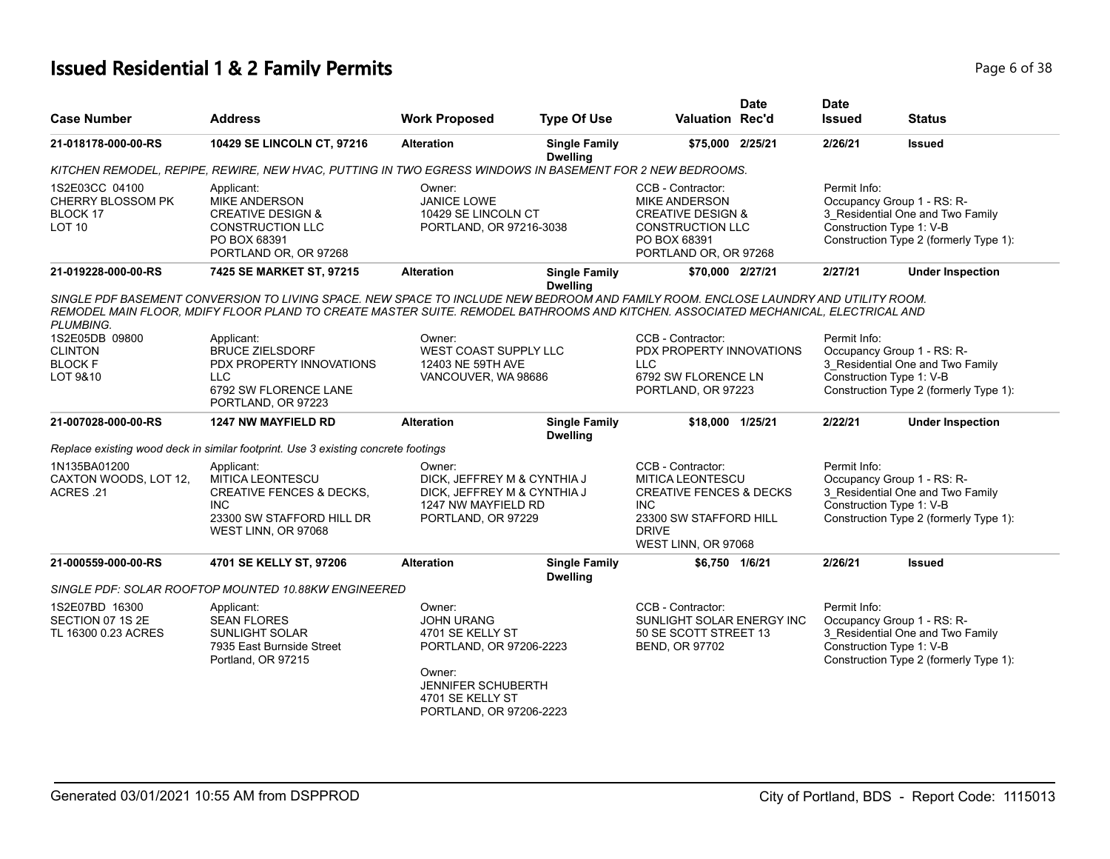# **Issued Residential 1 & 2 Family Permits Page 1 and 20 July 10 and 20 July 10 and 20 July 10 and 20 July 10 and 20 July 10 and 20 July 10 and 20 July 10 and 20 July 10 and 20 July 10 and 20 July 10 and 20 July 10 and 20**

| <b>Case Number</b>                                                          | <b>Address</b>                                                                                                                                                                                                                                                            | <b>Work Proposed</b>                                                                                                                                      | <b>Type Of Use</b>                      | <b>Valuation Rec'd</b>                                                                                                                                     | <b>Date</b> | <b>Date</b><br><b>Issued</b>                                                                                                                         | <b>Status</b>                                                                                            |  |
|-----------------------------------------------------------------------------|---------------------------------------------------------------------------------------------------------------------------------------------------------------------------------------------------------------------------------------------------------------------------|-----------------------------------------------------------------------------------------------------------------------------------------------------------|-----------------------------------------|------------------------------------------------------------------------------------------------------------------------------------------------------------|-------------|------------------------------------------------------------------------------------------------------------------------------------------------------|----------------------------------------------------------------------------------------------------------|--|
| 21-018178-000-00-RS                                                         | 10429 SE LINCOLN CT, 97216                                                                                                                                                                                                                                                | <b>Alteration</b>                                                                                                                                         | <b>Single Family</b><br><b>Dwelling</b> | \$75,000 2/25/21                                                                                                                                           |             | 2/26/21                                                                                                                                              | <b>Issued</b>                                                                                            |  |
|                                                                             | KITCHEN REMODEL, REPIPE, REWIRE, NEW HVAC, PUTTING IN TWO EGRESS WINDOWS IN BASEMENT FOR 2 NEW BEDROOMS.                                                                                                                                                                  |                                                                                                                                                           |                                         |                                                                                                                                                            |             |                                                                                                                                                      |                                                                                                          |  |
| 1S2E03CC 04100<br><b>CHERRY BLOSSOM PK</b><br>BLOCK 17<br>LOT <sub>10</sub> | Applicant:<br><b>MIKE ANDERSON</b><br><b>CREATIVE DESIGN &amp;</b><br><b>CONSTRUCTION LLC</b><br>PO BOX 68391<br>PORTLAND OR, OR 97268                                                                                                                                    | Owner:<br><b>JANICE LOWE</b><br>10429 SE LINCOLN CT<br>PORTLAND, OR 97216-3038                                                                            |                                         | CCB - Contractor:<br><b>MIKE ANDERSON</b><br><b>CREATIVE DESIGN &amp;</b><br><b>CONSTRUCTION LLC</b><br>PO BOX 68391<br>PORTLAND OR, OR 97268              |             | Permit Info:<br>Construction Type 1: V-B                                                                                                             | Occupancy Group 1 - RS: R-<br>3_Residential One and Two Family<br>Construction Type 2 (formerly Type 1): |  |
| 21-019228-000-00-RS                                                         | 7425 SE MARKET ST, 97215                                                                                                                                                                                                                                                  | <b>Alteration</b>                                                                                                                                         | <b>Single Family</b><br><b>Dwelling</b> | \$70,000 2/27/21                                                                                                                                           |             | 2/27/21                                                                                                                                              | <b>Under Inspection</b>                                                                                  |  |
| PLUMBING.                                                                   | SINGLE PDF BASEMENT CONVERSION TO LIVING SPACE. NEW SPACE TO INCLUDE NEW BEDROOM AND FAMILY ROOM. ENCLOSE LAUNDRY AND UTILITY ROOM.<br>REMODEL MAIN FLOOR, MDIFY FLOOR PLAND TO CREATE MASTER SUITE, REMODEL BATHROOMS AND KITCHEN, ASSOCIATED MECHANICAL, ELECTRICAL AND |                                                                                                                                                           |                                         |                                                                                                                                                            |             |                                                                                                                                                      |                                                                                                          |  |
| 1S2E05DB 09800<br><b>CLINTON</b>                                            | Applicant:<br><b>BRUCE ZIELSDORF</b>                                                                                                                                                                                                                                      | Owner:<br><b>WEST COAST SUPPLY LLC</b>                                                                                                                    |                                         | CCB - Contractor:<br>PDX PROPERTY INNOVATIONS                                                                                                              |             | Permit Info:<br>Occupancy Group 1 - RS: R-                                                                                                           |                                                                                                          |  |
| <b>BLOCK F</b>                                                              | PDX PROPERTY INNOVATIONS                                                                                                                                                                                                                                                  | 12403 NE 59TH AVE                                                                                                                                         |                                         | LLC                                                                                                                                                        |             | 3 Residential One and Two Family                                                                                                                     |                                                                                                          |  |
| LOT 9&10                                                                    | <b>LLC</b><br>6792 SW FLORENCE LANE<br>PORTLAND, OR 97223                                                                                                                                                                                                                 | VANCOUVER, WA 98686                                                                                                                                       |                                         | 6792 SW FLORENCE LN<br>PORTLAND, OR 97223                                                                                                                  |             | Construction Type 1: V-B                                                                                                                             | Construction Type 2 (formerly Type 1):                                                                   |  |
| 21-007028-000-00-RS                                                         | <b>1247 NW MAYFIELD RD</b>                                                                                                                                                                                                                                                | <b>Alteration</b>                                                                                                                                         | <b>Single Family</b><br><b>Dwelling</b> | \$18,000 1/25/21                                                                                                                                           |             | 2/22/21                                                                                                                                              | <b>Under Inspection</b>                                                                                  |  |
|                                                                             | Replace existing wood deck in similar footprint. Use 3 existing concrete footings                                                                                                                                                                                         |                                                                                                                                                           |                                         |                                                                                                                                                            |             |                                                                                                                                                      |                                                                                                          |  |
| 1N135BA01200<br>CAXTON WOODS, LOT 12,<br>ACRES .21                          | Applicant:<br><b>MITICA LEONTESCU</b><br><b>CREATIVE FENCES &amp; DECKS,</b><br><b>INC</b><br>23300 SW STAFFORD HILL DR<br>WEST LINN, OR 97068                                                                                                                            | Owner:<br>DICK, JEFFREY M & CYNTHIA J<br>DICK, JEFFREY M & CYNTHIA J<br>1247 NW MAYFIELD RD<br>PORTLAND, OR 97229                                         |                                         | CCB - Contractor:<br>MITICA LEONTESCU<br><b>CREATIVE FENCES &amp; DECKS</b><br><b>INC</b><br>23300 SW STAFFORD HILL<br><b>DRIVE</b><br>WEST LINN, OR 97068 |             | Permit Info:<br>Occupancy Group 1 - RS: R-<br>3 Residential One and Two Family<br>Construction Type 1: V-B<br>Construction Type 2 (formerly Type 1): |                                                                                                          |  |
| 21-000559-000-00-RS                                                         | 4701 SE KELLY ST, 97206                                                                                                                                                                                                                                                   | <b>Alteration</b>                                                                                                                                         | <b>Single Family</b><br><b>Dwelling</b> | \$6,750 1/6/21                                                                                                                                             |             | 2/26/21                                                                                                                                              | <b>Issued</b>                                                                                            |  |
|                                                                             | SINGLE PDF: SOLAR ROOFTOP MOUNTED 10.88KW ENGINEERED                                                                                                                                                                                                                      |                                                                                                                                                           |                                         |                                                                                                                                                            |             |                                                                                                                                                      |                                                                                                          |  |
| 1S2E07BD 16300<br>SECTION 07 1S 2E<br>TL 16300 0.23 ACRES                   | Applicant:<br><b>SEAN FLORES</b><br><b>SUNLIGHT SOLAR</b><br>7935 East Burnside Street<br>Portland, OR 97215                                                                                                                                                              | Owner:<br><b>JOHN URANG</b><br>4701 SE KELLY ST<br>PORTLAND, OR 97206-2223<br>Owner:<br>JENNIFER SCHUBERTH<br>4701 SE KELLY ST<br>PORTLAND, OR 97206-2223 |                                         | CCB - Contractor:<br>SUNLIGHT SOLAR ENERGY INC<br>50 SE SCOTT STREET 13<br>BEND, OR 97702                                                                  |             | Permit Info:<br>Construction Type 1: V-B                                                                                                             | Occupancy Group 1 - RS: R-<br>3_Residential One and Two Family<br>Construction Type 2 (formerly Type 1): |  |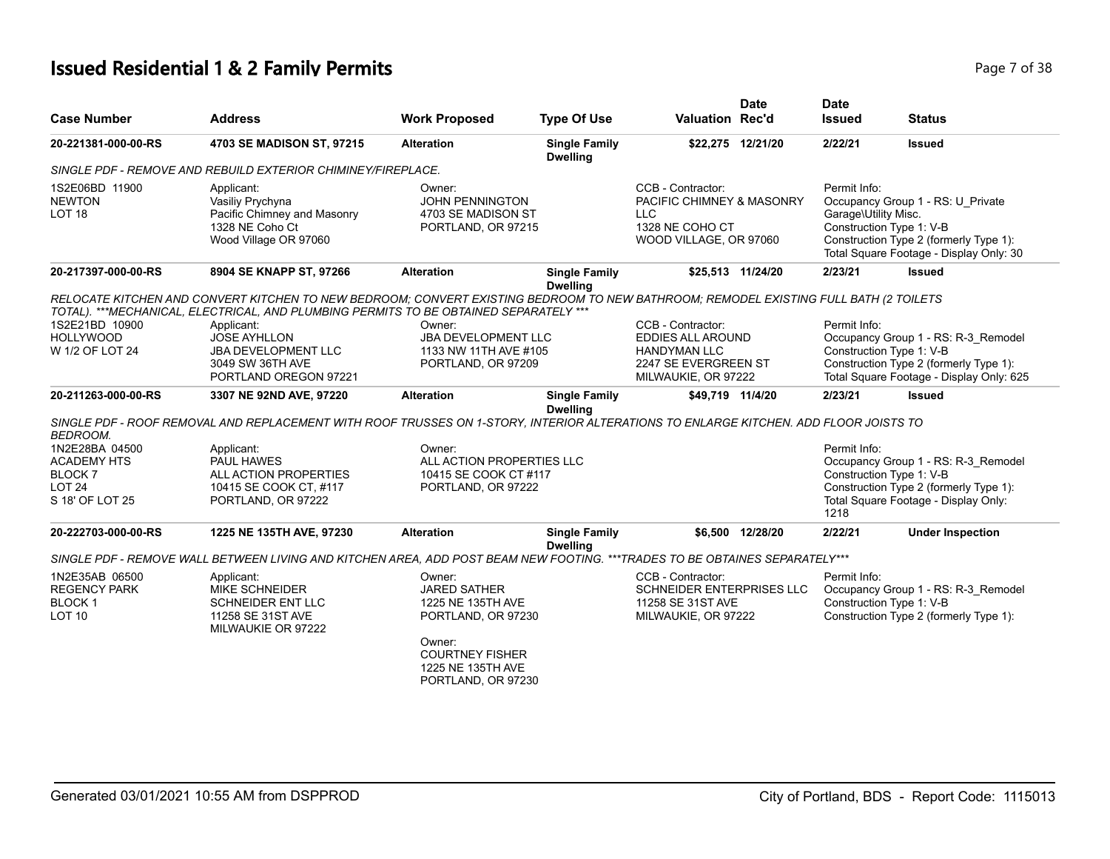# **Issued Residential 1 & 2 Family Permits Page 7 of 38**

| <b>Address</b>                                                                                             | <b>Work Proposed</b>                                                                                                             | <b>Type Of Use</b>                                                     |                                                                                                                                                                                                                                                                                                                                                                           | <b>Date</b>                              | <b>Date</b><br><b>Issued</b>                                                                                                                                                                                                                                                                                                           | <b>Status</b>                                                                                                                                                                                                                                                                                                                                                                                                                                                                       |
|------------------------------------------------------------------------------------------------------------|----------------------------------------------------------------------------------------------------------------------------------|------------------------------------------------------------------------|---------------------------------------------------------------------------------------------------------------------------------------------------------------------------------------------------------------------------------------------------------------------------------------------------------------------------------------------------------------------------|------------------------------------------|----------------------------------------------------------------------------------------------------------------------------------------------------------------------------------------------------------------------------------------------------------------------------------------------------------------------------------------|-------------------------------------------------------------------------------------------------------------------------------------------------------------------------------------------------------------------------------------------------------------------------------------------------------------------------------------------------------------------------------------------------------------------------------------------------------------------------------------|
| 4703 SE MADISON ST, 97215                                                                                  | <b>Alteration</b>                                                                                                                | <b>Single Family</b><br><b>Dwelling</b>                                |                                                                                                                                                                                                                                                                                                                                                                           |                                          | 2/22/21                                                                                                                                                                                                                                                                                                                                | <b>Issued</b>                                                                                                                                                                                                                                                                                                                                                                                                                                                                       |
|                                                                                                            |                                                                                                                                  |                                                                        |                                                                                                                                                                                                                                                                                                                                                                           |                                          |                                                                                                                                                                                                                                                                                                                                        |                                                                                                                                                                                                                                                                                                                                                                                                                                                                                     |
| Applicant:<br>Vasiliy Prychyna<br>Pacific Chimney and Masonry<br>1328 NE Coho Ct<br>Wood Village OR 97060  | Owner:<br>JOHN PENNINGTON                                                                                                        |                                                                        | CCB - Contractor:<br><b>LLC</b>                                                                                                                                                                                                                                                                                                                                           |                                          | Permit Info:<br>Garage\Utility Misc.                                                                                                                                                                                                                                                                                                   | Occupancy Group 1 - RS: U_Private<br>Construction Type 1: V-B<br>Construction Type 2 (formerly Type 1):<br>Total Square Footage - Display Only: 30                                                                                                                                                                                                                                                                                                                                  |
| 8904 SE KNAPP ST, 97266                                                                                    | <b>Alteration</b>                                                                                                                | <b>Single Family</b>                                                   |                                                                                                                                                                                                                                                                                                                                                                           |                                          | 2/23/21                                                                                                                                                                                                                                                                                                                                | <b>Issued</b>                                                                                                                                                                                                                                                                                                                                                                                                                                                                       |
|                                                                                                            |                                                                                                                                  |                                                                        |                                                                                                                                                                                                                                                                                                                                                                           |                                          |                                                                                                                                                                                                                                                                                                                                        |                                                                                                                                                                                                                                                                                                                                                                                                                                                                                     |
|                                                                                                            |                                                                                                                                  |                                                                        |                                                                                                                                                                                                                                                                                                                                                                           |                                          |                                                                                                                                                                                                                                                                                                                                        |                                                                                                                                                                                                                                                                                                                                                                                                                                                                                     |
|                                                                                                            |                                                                                                                                  |                                                                        |                                                                                                                                                                                                                                                                                                                                                                           |                                          |                                                                                                                                                                                                                                                                                                                                        | Occupancy Group 1 - RS: R-3 Remodel                                                                                                                                                                                                                                                                                                                                                                                                                                                 |
| 3049 SW 36TH AVE<br>PORTLAND OREGON 97221                                                                  |                                                                                                                                  |                                                                        |                                                                                                                                                                                                                                                                                                                                                                           |                                          |                                                                                                                                                                                                                                                                                                                                        | Construction Type 2 (formerly Type 1):<br>Total Square Footage - Display Only: 625                                                                                                                                                                                                                                                                                                                                                                                                  |
| 3307 NE 92ND AVE, 97220                                                                                    | <b>Alteration</b>                                                                                                                | <b>Single Family</b>                                                   |                                                                                                                                                                                                                                                                                                                                                                           |                                          | 2/23/21                                                                                                                                                                                                                                                                                                                                | <b>Issued</b>                                                                                                                                                                                                                                                                                                                                                                                                                                                                       |
|                                                                                                            |                                                                                                                                  |                                                                        |                                                                                                                                                                                                                                                                                                                                                                           |                                          |                                                                                                                                                                                                                                                                                                                                        |                                                                                                                                                                                                                                                                                                                                                                                                                                                                                     |
| Applicant:                                                                                                 | Owner:                                                                                                                           |                                                                        |                                                                                                                                                                                                                                                                                                                                                                           |                                          | Permit Info:                                                                                                                                                                                                                                                                                                                           |                                                                                                                                                                                                                                                                                                                                                                                                                                                                                     |
|                                                                                                            |                                                                                                                                  |                                                                        |                                                                                                                                                                                                                                                                                                                                                                           |                                          |                                                                                                                                                                                                                                                                                                                                        | Occupancy Group 1 - RS: R-3_Remodel                                                                                                                                                                                                                                                                                                                                                                                                                                                 |
|                                                                                                            |                                                                                                                                  |                                                                        |                                                                                                                                                                                                                                                                                                                                                                           |                                          |                                                                                                                                                                                                                                                                                                                                        |                                                                                                                                                                                                                                                                                                                                                                                                                                                                                     |
| PORTLAND, OR 97222                                                                                         |                                                                                                                                  |                                                                        |                                                                                                                                                                                                                                                                                                                                                                           |                                          | 1218                                                                                                                                                                                                                                                                                                                                   | Construction Type 2 (formerly Type 1):<br>Total Square Footage - Display Only:                                                                                                                                                                                                                                                                                                                                                                                                      |
| 1225 NE 135TH AVE, 97230                                                                                   | <b>Alteration</b>                                                                                                                | <b>Single Family</b>                                                   |                                                                                                                                                                                                                                                                                                                                                                           |                                          | 2/22/21                                                                                                                                                                                                                                                                                                                                | <b>Under Inspection</b>                                                                                                                                                                                                                                                                                                                                                                                                                                                             |
|                                                                                                            |                                                                                                                                  |                                                                        |                                                                                                                                                                                                                                                                                                                                                                           |                                          |                                                                                                                                                                                                                                                                                                                                        |                                                                                                                                                                                                                                                                                                                                                                                                                                                                                     |
| Applicant:<br><b>MIKE SCHNEIDER</b><br><b>SCHNEIDER ENT LLC</b><br>11258 SE 31ST AVE<br>MILWAUKIE OR 97222 | Owner:<br><b>JARED SATHER</b><br>1225 NE 135TH AVE<br>Owner:<br><b>COURTNEY FISHER</b>                                           |                                                                        | CCB - Contractor:                                                                                                                                                                                                                                                                                                                                                         |                                          | Permit Info:                                                                                                                                                                                                                                                                                                                           | Occupancy Group 1 - RS: R-3_Remodel<br>Construction Type 1: V-B<br>Construction Type 2 (formerly Type 1):                                                                                                                                                                                                                                                                                                                                                                           |
|                                                                                                            | Applicant:<br><b>JOSE AYHLLON</b><br><b>JBA DEVELOPMENT LLC</b><br>PAUL HAWES<br>ALL ACTION PROPERTIES<br>10415 SE COOK CT, #117 | SINGLE PDF - REMOVE AND REBUILD EXTERIOR CHIMINEY/FIREPLACE.<br>Owner: | 4703 SE MADISON ST<br>PORTLAND, OR 97215<br><b>Dwelling</b><br>TOTAL). ***MECHANICAL, ELECTRICAL, AND PLUMBING PERMITS TO BE OBTAINED SEPARATELY ***<br><b>JBA DEVELOPMENT LLC</b><br>1133 NW 11TH AVE #105<br>PORTLAND, OR 97209<br><b>Dwelling</b><br>ALL ACTION PROPERTIES LLC<br>10415 SE COOK CT #117<br>PORTLAND, OR 97222<br><b>Dwelling</b><br>PORTLAND, OR 97230 | CCB - Contractor:<br><b>HANDYMAN LLC</b> | <b>Valuation Rec'd</b><br>\$22,275 12/21/20<br>PACIFIC CHIMNEY & MASONRY<br>1328 NE COHO CT<br>WOOD VILLAGE, OR 97060<br>\$25,513 11/24/20<br><b>EDDIES ALL AROUND</b><br>2247 SE EVERGREEN ST<br>MILWAUKIE, OR 97222<br>\$49,719 11/4/20<br>\$6.500 12/28/20<br>SCHNEIDER ENTERPRISES LLC<br>11258 SE 31ST AVE<br>MILWAUKIE, OR 97222 | RELOCATE KITCHEN AND CONVERT KITCHEN TO NEW BEDROOM; CONVERT EXISTING BEDROOM TO NEW BATHROOM; REMODEL EXISTING FULL BATH (2 TOILETS<br>Permit Info:<br>Construction Type 1: V-B<br>SINGLE PDF - ROOF REMOVAL AND REPLACEMENT WITH ROOF TRUSSES ON 1-STORY, INTERIOR ALTERATIONS TO ENLARGE KITCHEN. ADD FLOOR JOISTS TO<br>Construction Type 1: V-B<br>SINGLE PDF - REMOVE WALL BETWEEN LIVING AND KITCHEN AREA, ADD POST BEAM NEW FOOTING. ***TRADES TO BE OBTAINES SEPARATELY*** |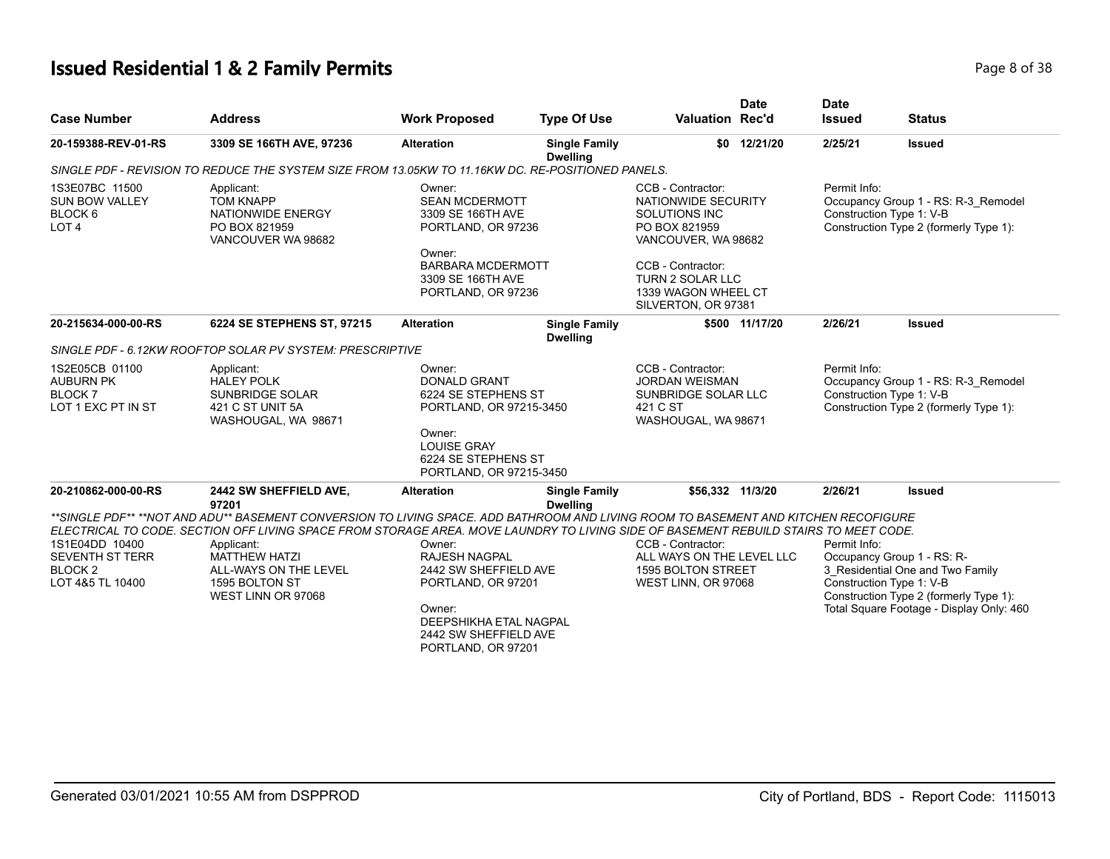# **Issued Residential 1 & 2 Family Permits**

| Page 8 of 38 |  |  |  |
|--------------|--|--|--|
|--------------|--|--|--|

| <b>Case Number</b>                                                                 | <b>Address</b>                                                                                                                                                                                                                                                                                                                                                                                         | <b>Work Proposed</b>                                                                                                                                             | <b>Type Of Use</b>                      | <b>Valuation Rec'd</b>                                                                               | <b>Date</b>       | <b>Date</b><br><b>Issued</b>                                                                                              | <b>Status</b>                                                                                                                                                                    |  |                                                                                                           |
|------------------------------------------------------------------------------------|--------------------------------------------------------------------------------------------------------------------------------------------------------------------------------------------------------------------------------------------------------------------------------------------------------------------------------------------------------------------------------------------------------|------------------------------------------------------------------------------------------------------------------------------------------------------------------|-----------------------------------------|------------------------------------------------------------------------------------------------------|-------------------|---------------------------------------------------------------------------------------------------------------------------|----------------------------------------------------------------------------------------------------------------------------------------------------------------------------------|--|-----------------------------------------------------------------------------------------------------------|
| 20-159388-REV-01-RS                                                                | 3309 SE 166TH AVE, 97236                                                                                                                                                                                                                                                                                                                                                                               | <b>Alteration</b>                                                                                                                                                | <b>Single Family</b><br><b>Dwelling</b> |                                                                                                      | \$0 12/21/20      | 2/25/21                                                                                                                   | <b>Issued</b>                                                                                                                                                                    |  |                                                                                                           |
|                                                                                    | SINGLE PDF - REVISION TO REDUCE THE SYSTEM SIZE FROM 13.05KW TO 11.16KW DC. RE-POSITIONED PANELS.                                                                                                                                                                                                                                                                                                      |                                                                                                                                                                  |                                         |                                                                                                      |                   |                                                                                                                           |                                                                                                                                                                                  |  |                                                                                                           |
| 1S3E07BC 11500<br><b>SUN BOW VALLEY</b><br>BLOCK 6<br>LOT <sub>4</sub>             | Applicant:<br><b>TOM KNAPP</b><br><b>SEAN MCDERMOTT</b><br>NATIONWIDE SECURITY<br>NATIONWIDE ENERGY<br>3309 SE 166TH AVE<br>SOLUTIONS INC<br>PORTLAND, OR 97236<br>PO BOX 821959<br>PO BOX 821959<br>VANCOUVER WA 98682<br>VANCOUVER, WA 98682<br>Owner:<br><b>BARBARA MCDERMOTT</b><br>CCB - Contractor:<br>3309 SE 166TH AVE<br><b>TURN 2 SOLAR LLC</b><br>1339 WAGON WHEEL CT<br>PORTLAND, OR 97236 |                                                                                                                                                                  | Owner:                                  |                                                                                                      | CCB - Contractor: |                                                                                                                           | SILVERTON, OR 97381                                                                                                                                                              |  | Occupancy Group 1 - RS: R-3_Remodel<br>Construction Type 1: V-B<br>Construction Type 2 (formerly Type 1): |
| 20-215634-000-00-RS                                                                | 6224 SE STEPHENS ST, 97215                                                                                                                                                                                                                                                                                                                                                                             | <b>Alteration</b>                                                                                                                                                | <b>Single Family</b><br><b>Dwelling</b> |                                                                                                      | \$500 11/17/20    | 2/26/21                                                                                                                   | <b>Issued</b>                                                                                                                                                                    |  |                                                                                                           |
|                                                                                    | SINGLE PDF - 6.12KW ROOFTOP SOLAR PV SYSTEM: PRESCRIPTIVE                                                                                                                                                                                                                                                                                                                                              |                                                                                                                                                                  |                                         |                                                                                                      |                   |                                                                                                                           |                                                                                                                                                                                  |  |                                                                                                           |
| 1S2E05CB 01100<br><b>AUBURN PK</b><br><b>BLOCK7</b><br>LOT 1 EXC PT IN ST          | Applicant:<br><b>HALEY POLK</b><br><b>SUNBRIDGE SOLAR</b><br>421 C ST UNIT 5A<br>WASHOUGAL, WA 98671                                                                                                                                                                                                                                                                                                   | Owner:<br><b>DONALD GRANT</b><br>6224 SE STEPHENS ST<br>PORTLAND, OR 97215-3450                                                                                  |                                         | CCB - Contractor:<br><b>JORDAN WEISMAN</b><br>SUNBRIDGE SOLAR LLC<br>421 C ST<br>WASHOUGAL, WA 98671 |                   | Permit Info:<br>Occupancy Group 1 - RS: R-3_Remodel<br>Construction Type 1: V-B<br>Construction Type 2 (formerly Type 1): |                                                                                                                                                                                  |  |                                                                                                           |
|                                                                                    |                                                                                                                                                                                                                                                                                                                                                                                                        | Owner:<br><b>LOUISE GRAY</b><br>6224 SE STEPHENS ST<br>PORTLAND, OR 97215-3450                                                                                   |                                         |                                                                                                      |                   |                                                                                                                           |                                                                                                                                                                                  |  |                                                                                                           |
| 20-210862-000-00-RS                                                                | 2442 SW SHEFFIELD AVE,<br>97201                                                                                                                                                                                                                                                                                                                                                                        | <b>Alteration</b>                                                                                                                                                | <b>Single Family</b><br><b>Dwelling</b> | \$56.332 11/3/20                                                                                     |                   | 2/26/21                                                                                                                   | <b>Issued</b>                                                                                                                                                                    |  |                                                                                                           |
| 1S1E04DD 10400<br><b>SEVENTH ST TERR</b><br>BLOCK <sub>2</sub><br>LOT 4&5 TL 10400 | **SINGLE PDF** **NOT AND ADU** BASEMENT CONVERSION TO LIVING SPACE. ADD BATHROOM AND LIVING ROOM TO BASEMENT AND KITCHEN RECOFIGURE<br>ELECTRICAL TO CODE. SECTION OFF LIVING SPACE FROM STORAGE AREA. MOVE LAUNDRY TO LIVING SIDE OF BASEMENT REBUILD STAIRS TO MEET CODE.<br>Applicant:<br><b>MATTHEW HATZI</b><br>ALL-WAYS ON THE LEVEL<br>1595 BOLTON ST<br>WEST LINN OR 97068                     | Owner:<br><b>RAJESH NAGPAL</b><br>2442 SW SHEFFIELD AVE<br>PORTLAND, OR 97201<br>Owner:<br>DEEPSHIKHA ETAL NAGPAL<br>2442 SW SHEFFIELD AVE<br>PORTLAND, OR 97201 |                                         | CCB - Contractor:<br>ALL WAYS ON THE LEVEL LLC<br>1595 BOLTON STREET<br>WEST LINN, OR 97068          |                   | Permit Info:                                                                                                              | Occupancy Group 1 - RS: R-<br>3 Residential One and Two Family<br>Construction Type 1: V-B<br>Construction Type 2 (formerly Type 1):<br>Total Square Footage - Display Only: 460 |  |                                                                                                           |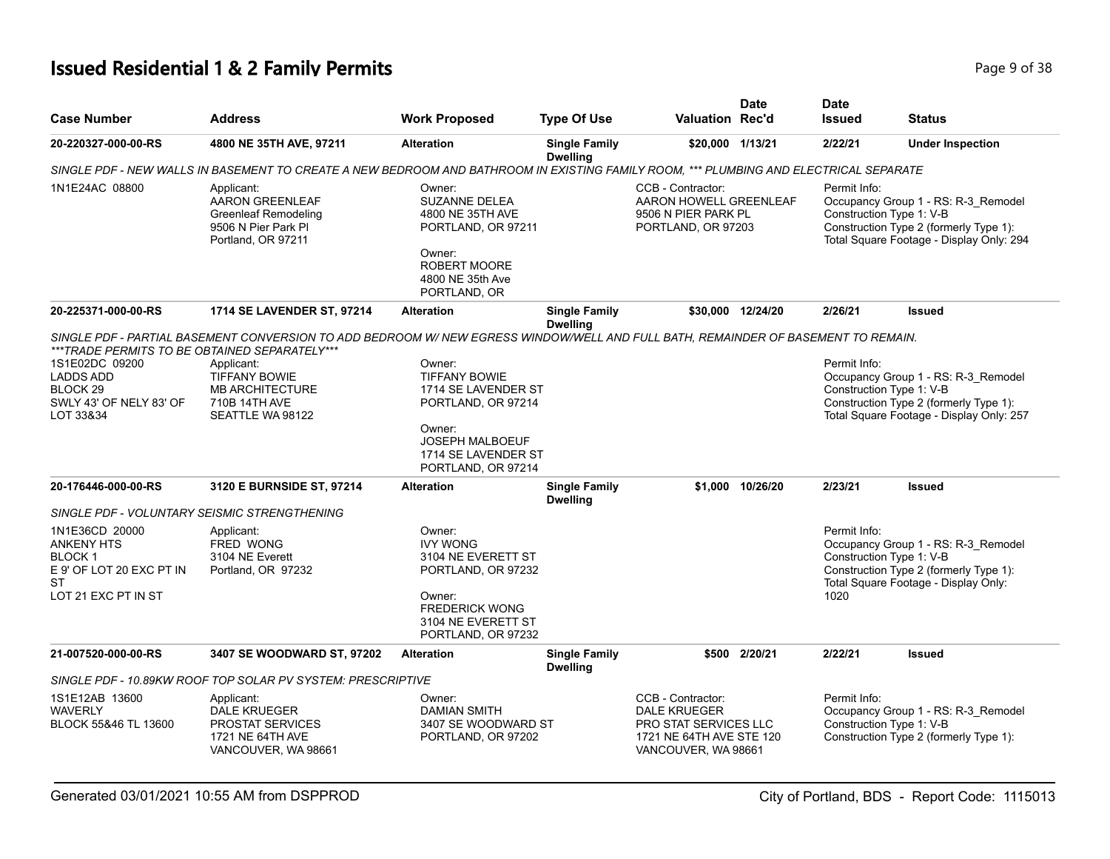# **Issued Residential 1 & 2 Family Permits Page 1 and 2011 12 and 2012 12:38** Page 9 of 38

| <b>Case Number</b>                                                                                            | <b>Address</b>                                                                                                                        | <b>Work Proposed</b>                                                                                                            | <b>Type Of Use</b>                      | <b>Valuation Rec'd</b>                                                                                                      | <b>Date</b>       | <b>Date</b><br><b>Issued</b>                     | <b>Status</b>                                                                                                             |
|---------------------------------------------------------------------------------------------------------------|---------------------------------------------------------------------------------------------------------------------------------------|---------------------------------------------------------------------------------------------------------------------------------|-----------------------------------------|-----------------------------------------------------------------------------------------------------------------------------|-------------------|--------------------------------------------------|---------------------------------------------------------------------------------------------------------------------------|
| 20-220327-000-00-RS                                                                                           | 4800 NE 35TH AVE, 97211                                                                                                               | <b>Alteration</b>                                                                                                               | <b>Single Family</b><br><b>Dwelling</b> | \$20,000 1/13/21                                                                                                            |                   | 2/22/21                                          | <b>Under Inspection</b>                                                                                                   |
|                                                                                                               | SINGLE PDF - NEW WALLS IN BASEMENT TO CREATE A NEW BEDROOM AND BATHROOM IN EXISTING FAMILY ROOM, *** PLUMBING AND ELECTRICAL SEPARATE |                                                                                                                                 |                                         |                                                                                                                             |                   |                                                  |                                                                                                                           |
| 1N1E24AC 08800                                                                                                | Applicant:<br>AARON GREENLEAF<br><b>Greenleaf Remodeling</b><br>9506 N Pier Park Pl<br>Portland, OR 97211                             | Owner:<br>SUZANNE DELEA<br>4800 NE 35TH AVE<br>PORTLAND, OR 97211<br>Owner:<br>ROBERT MOORE<br>4800 NE 35th Ave<br>PORTLAND, OR |                                         | CCB - Contractor:<br>AARON HOWELL GREENLEAF<br>9506 N PIER PARK PL<br>PORTLAND, OR 97203                                    |                   | Permit Info:<br>Construction Type 1: V-B         | Occupancy Group 1 - RS: R-3_Remodel<br>Construction Type 2 (formerly Type 1):<br>Total Square Footage - Display Only: 294 |
| 20-225371-000-00-RS                                                                                           | 1714 SE LAVENDER ST, 97214                                                                                                            | <b>Alteration</b>                                                                                                               | <b>Single Family</b><br><b>Dwelling</b> |                                                                                                                             | \$30,000 12/24/20 | 2/26/21                                          | <b>Issued</b>                                                                                                             |
|                                                                                                               | SINGLE PDF - PARTIAL BASEMENT CONVERSION TO ADD BEDROOM W/ NEW EGRESS WINDOW/WELL AND FULL BATH, REMAINDER OF BASEMENT TO REMAIN.     |                                                                                                                                 |                                         |                                                                                                                             |                   |                                                  |                                                                                                                           |
| ***TRADE PERMITS TO BE OBTAINED SEPARATELY***                                                                 |                                                                                                                                       |                                                                                                                                 |                                         |                                                                                                                             |                   |                                                  |                                                                                                                           |
| 1S1E02DC 09200                                                                                                | Applicant:                                                                                                                            | Owner:                                                                                                                          |                                         |                                                                                                                             |                   | Permit Info:                                     |                                                                                                                           |
| <b>LADDS ADD</b>                                                                                              | <b>TIFFANY BOWIE</b>                                                                                                                  | <b>TIFFANY BOWIE</b>                                                                                                            |                                         |                                                                                                                             |                   |                                                  | Occupancy Group 1 - RS: R-3_Remodel                                                                                       |
| BLOCK <sub>29</sub>                                                                                           | <b>MB ARCHITECTURE</b>                                                                                                                | 1714 SE LAVENDER ST                                                                                                             |                                         |                                                                                                                             |                   | Construction Type 1: V-B                         |                                                                                                                           |
| SWLY 43' OF NELY 83' OF                                                                                       | 710B 14TH AVE                                                                                                                         | PORTLAND, OR 97214                                                                                                              |                                         |                                                                                                                             |                   |                                                  | Construction Type 2 (formerly Type 1):                                                                                    |
| LOT 33&34                                                                                                     | SEATTLE WA 98122                                                                                                                      |                                                                                                                                 |                                         |                                                                                                                             |                   |                                                  | Total Square Footage - Display Only: 257                                                                                  |
|                                                                                                               |                                                                                                                                       | Owner:<br><b>JOSEPH MALBOEUF</b><br>1714 SE LAVENDER ST<br>PORTLAND, OR 97214                                                   |                                         |                                                                                                                             |                   |                                                  |                                                                                                                           |
| 20-176446-000-00-RS                                                                                           | 3120 E BURNSIDE ST, 97214                                                                                                             | <b>Alteration</b>                                                                                                               | <b>Single Family</b><br><b>Dwelling</b> |                                                                                                                             | \$1.000 10/26/20  | 2/23/21                                          | <b>Issued</b>                                                                                                             |
| SINGLE PDF - VOLUNTARY SEISMIC STRENGTHENING                                                                  |                                                                                                                                       |                                                                                                                                 |                                         |                                                                                                                             |                   |                                                  |                                                                                                                           |
| 1N1E36CD 20000<br><b>ANKENY HTS</b><br><b>BLOCK1</b><br>E 9' OF LOT 20 EXC PT IN<br>ST<br>LOT 21 EXC PT IN ST | Applicant:<br><b>FRED WONG</b><br>3104 NE Everett<br>Portland, OR 97232                                                               | Owner:<br><b>IVY WONG</b><br>3104 NE EVERETT ST<br>PORTLAND, OR 97232<br>Owner:                                                 |                                         |                                                                                                                             |                   | Permit Info:<br>Construction Type 1: V-B<br>1020 | Occupancy Group 1 - RS: R-3_Remodel<br>Construction Type 2 (formerly Type 1):<br>Total Square Footage - Display Only:     |
|                                                                                                               |                                                                                                                                       | <b>FREDERICK WONG</b><br>3104 NE EVERETT ST<br>PORTLAND, OR 97232                                                               |                                         |                                                                                                                             |                   |                                                  |                                                                                                                           |
| 21-007520-000-00-RS                                                                                           | 3407 SE WOODWARD ST, 97202                                                                                                            | <b>Alteration</b>                                                                                                               | <b>Single Family</b><br><b>Dwelling</b> |                                                                                                                             | \$500 2/20/21     | 2/22/21                                          | Issued                                                                                                                    |
|                                                                                                               | SINGLE PDF - 10.89KW ROOF TOP SOLAR PV SYSTEM: PRESCRIPTIVE                                                                           |                                                                                                                                 |                                         |                                                                                                                             |                   |                                                  |                                                                                                                           |
| 1S1E12AB 13600<br><b>WAVERLY</b><br>BLOCK 55&46 TL 13600                                                      | Applicant:<br><b>DALE KRUEGER</b><br><b>PROSTAT SERVICES</b><br>1721 NE 64TH AVE<br>VANCOUVER, WA 98661                               | Owner:<br><b>DAMIAN SMITH</b><br>3407 SE WOODWARD ST<br>PORTLAND, OR 97202                                                      |                                         | CCB - Contractor:<br><b>DALE KRUEGER</b><br><b>PRO STAT SERVICES LLC</b><br>1721 NE 64TH AVE STE 120<br>VANCOUVER, WA 98661 |                   | Permit Info:<br>Construction Type 1: V-B         | Occupancy Group 1 - RS: R-3_Remodel<br>Construction Type 2 (formerly Type 1):                                             |

Generated 03/01/2021 10:55 AM from DSPPROD City of Portland, BDS - Report Code: 1115013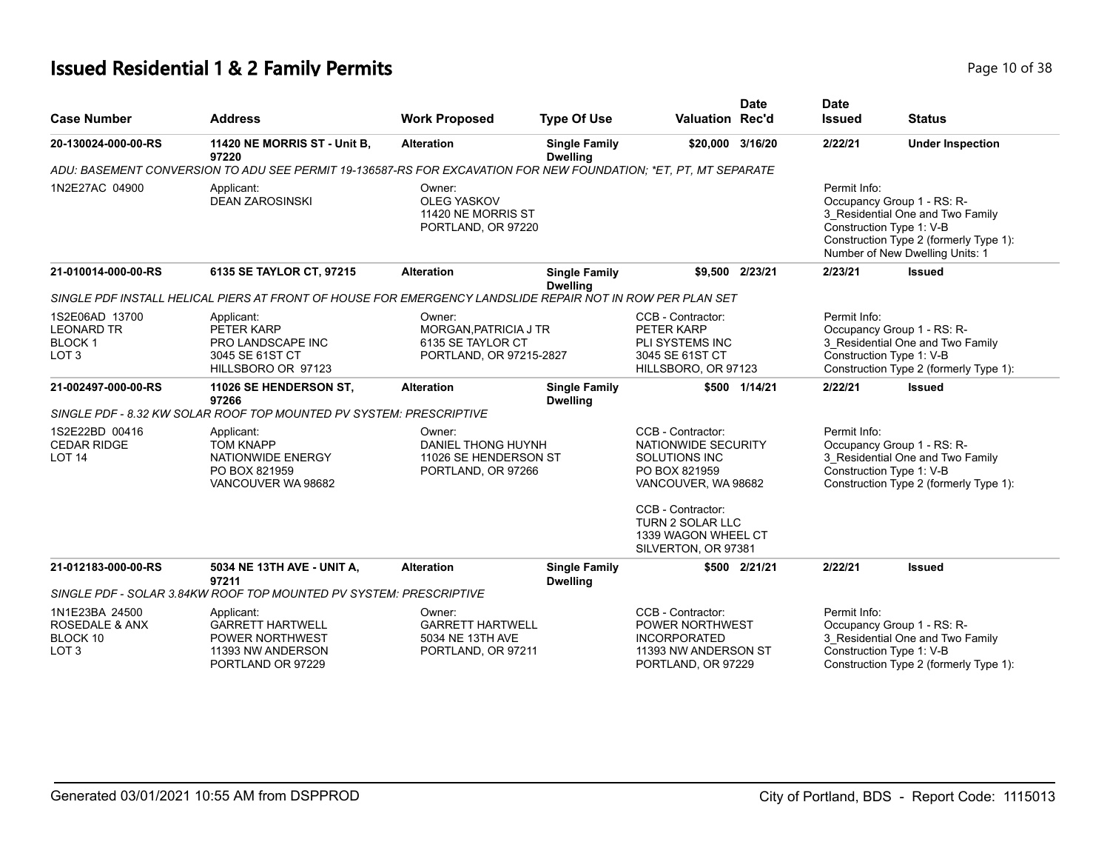# **Issued Residential 1 & 2 Family Permits Page 10 of 38 Page 10 of 38**

| <b>Case Number</b>                                                          | <b>Address</b>                                                                                                  | <b>Work Proposed</b>                                                            | <b>Type Of Use</b>                      | <b>Valuation Rec'd</b>                                                                                                                                            | <b>Date</b>   | <b>Date</b><br><b>Issued</b>                                                                                                                         | <b>Status</b>                                                                                                                               |
|-----------------------------------------------------------------------------|-----------------------------------------------------------------------------------------------------------------|---------------------------------------------------------------------------------|-----------------------------------------|-------------------------------------------------------------------------------------------------------------------------------------------------------------------|---------------|------------------------------------------------------------------------------------------------------------------------------------------------------|---------------------------------------------------------------------------------------------------------------------------------------------|
| 20-130024-000-00-RS                                                         | 11420 NE MORRIS ST - Unit B,<br>97220                                                                           | <b>Alteration</b>                                                               | <b>Single Family</b><br><b>Dwelling</b> | \$20,000 3/16/20                                                                                                                                                  |               | 2/22/21                                                                                                                                              | <b>Under Inspection</b>                                                                                                                     |
|                                                                             | ADU: BASEMENT CONVERSION TO ADU SEE PERMIT 19-136587-RS FOR EXCAVATION FOR NEW FOUNDATION; *ET, PT, MT SEPARATE |                                                                                 |                                         |                                                                                                                                                                   |               |                                                                                                                                                      |                                                                                                                                             |
| 1N2E27AC 04900                                                              | Applicant:<br><b>DEAN ZAROSINSKI</b>                                                                            | Owner:<br><b>OLEG YASKOV</b><br>11420 NE MORRIS ST<br>PORTLAND, OR 97220        |                                         |                                                                                                                                                                   |               | Permit Info:<br>Construction Type 1: V-B                                                                                                             | Occupancy Group 1 - RS: R-<br>3 Residential One and Two Family<br>Construction Type 2 (formerly Type 1):<br>Number of New Dwelling Units: 1 |
| 21-010014-000-00-RS                                                         | 6135 SE TAYLOR CT, 97215                                                                                        | <b>Alteration</b>                                                               | <b>Single Family</b><br><b>Dwelling</b> | \$9.500 2/23/21                                                                                                                                                   |               | 2/23/21                                                                                                                                              | <b>Issued</b>                                                                                                                               |
|                                                                             | SINGLE PDF INSTALL HELICAL PIERS AT FRONT OF HOUSE FOR EMERGENCY LANDSLIDE REPAIR NOT IN ROW PER PLAN SET       |                                                                                 |                                         |                                                                                                                                                                   |               |                                                                                                                                                      |                                                                                                                                             |
| 1S2E06AD 13700<br><b>LEONARD TR</b><br><b>BLOCK1</b><br>LOT <sub>3</sub>    | Applicant:<br>PETER KARP<br>PRO LANDSCAPE INC<br>3045 SE 61ST CT<br>HILLSBORO OR 97123                          | Owner:<br>MORGAN, PATRICIA J TR<br>6135 SE TAYLOR CT<br>PORTLAND, OR 97215-2827 |                                         | CCB - Contractor:<br>PETER KARP<br>PLI SYSTEMS INC<br>3045 SE 61ST CT<br>HILLSBORO, OR 97123                                                                      |               | Permit Info:<br>Occupancy Group 1 - RS: R-<br>3 Residential One and Two Family<br>Construction Type 1: V-B<br>Construction Type 2 (formerly Type 1): |                                                                                                                                             |
| 21-002497-000-00-RS                                                         | 11026 SE HENDERSON ST,<br>97266                                                                                 | <b>Alteration</b>                                                               | <b>Single Family</b><br><b>Dwelling</b> |                                                                                                                                                                   | \$500 1/14/21 | 2/22/21                                                                                                                                              | <b>Issued</b>                                                                                                                               |
|                                                                             | SINGLE PDF - 8.32 KW SOLAR ROOF TOP MOUNTED PV SYSTEM: PRESCRIPTIVE                                             |                                                                                 |                                         |                                                                                                                                                                   |               |                                                                                                                                                      |                                                                                                                                             |
| 1S2E22BD 00416<br><b>CEDAR RIDGE</b><br><b>LOT 14</b>                       | Applicant:<br><b>TOM KNAPP</b><br>NATIONWIDE ENERGY<br>PO BOX 821959<br>VANCOUVER WA 98682                      | Owner:<br>DANIEL THONG HUYNH<br>11026 SE HENDERSON ST<br>PORTLAND, OR 97266     |                                         | CCB - Contractor:<br>NATIONWIDE SECURITY<br>SOLUTIONS INC<br>PO BOX 821959<br>VANCOUVER, WA 98682<br>CCB - Contractor:<br>TURN 2 SOLAR LLC<br>1339 WAGON WHEEL CT |               | Permit Info:<br>Construction Type 1: V-B                                                                                                             | Occupancy Group 1 - RS: R-<br>3_Residential One and Two Family<br>Construction Type 2 (formerly Type 1):                                    |
|                                                                             |                                                                                                                 |                                                                                 |                                         | SILVERTON, OR 97381                                                                                                                                               |               |                                                                                                                                                      |                                                                                                                                             |
| 21-012183-000-00-RS                                                         | 5034 NE 13TH AVE - UNIT A,<br>97211                                                                             | <b>Alteration</b>                                                               | <b>Single Family</b><br><b>Dwelling</b> |                                                                                                                                                                   | \$500 2/21/21 | 2/22/21                                                                                                                                              | <b>Issued</b>                                                                                                                               |
|                                                                             | SINGLE PDF - SOLAR 3.84KW ROOF TOP MOUNTED PV SYSTEM: PRESCRIPTIVE                                              |                                                                                 |                                         |                                                                                                                                                                   |               |                                                                                                                                                      |                                                                                                                                             |
| 1N1E23BA 24500<br><b>ROSEDALE &amp; ANX</b><br>BLOCK 10<br>LOT <sub>3</sub> | Applicant:<br><b>GARRETT HARTWELL</b><br>POWER NORTHWEST<br>11393 NW ANDERSON<br>PORTLAND OR 97229              | Owner:<br><b>GARRETT HARTWELL</b><br>5034 NE 13TH AVE<br>PORTLAND, OR 97211     |                                         | CCB - Contractor:<br><b>POWER NORTHWEST</b><br><b>INCORPORATED</b><br>11393 NW ANDERSON ST<br>PORTLAND, OR 97229                                                  |               | Permit Info:<br>Construction Type 1: V-B                                                                                                             | Occupancy Group 1 - RS: R-<br>3_Residential One and Two Family<br>Construction Type 2 (formerly Type 1):                                    |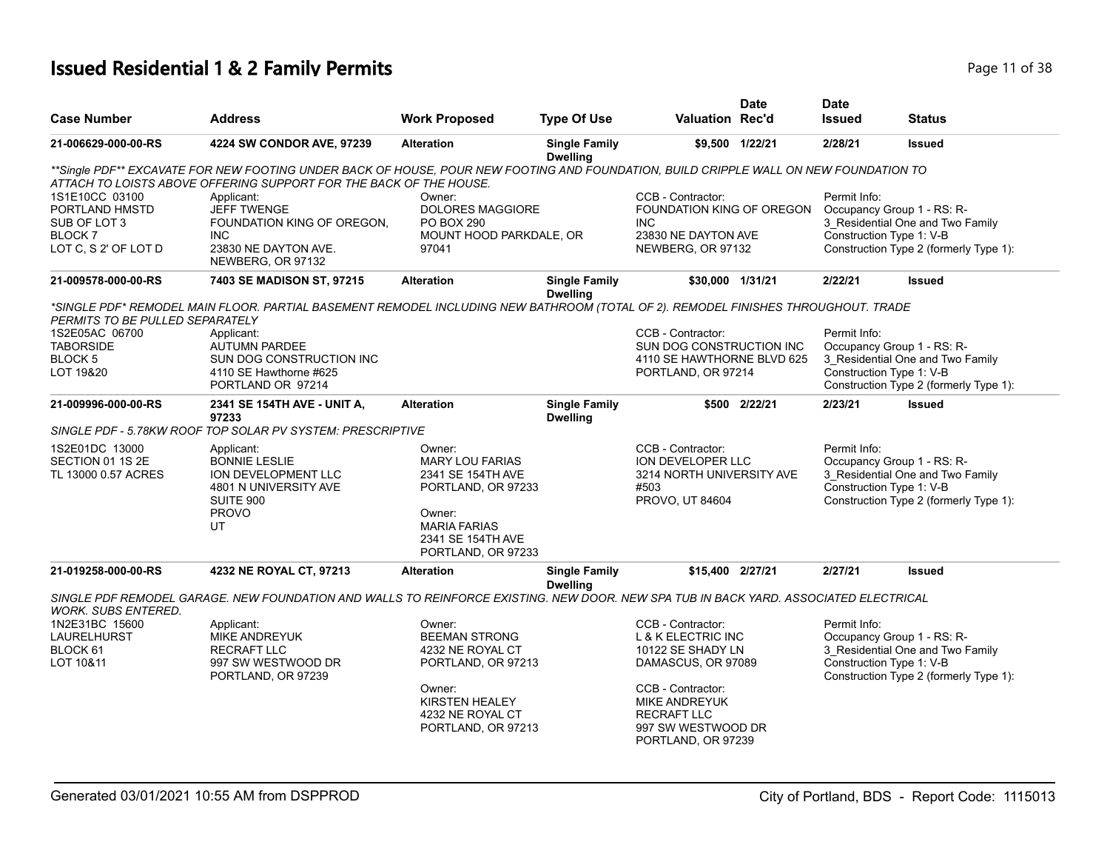# **Issued Residential 1 & 2 Family Permits Page 11 of 38 Page 11 of 38**

| <b>Case Number</b>              | <b>Address</b>                                                                                                                        | <b>Work Proposed</b>                         | <b>Type Of Use</b>                      | <b>Valuation Rec'd</b>                    | <b>Date</b>     | <b>Date</b><br><b>Issued</b> | <b>Status</b>                          |
|---------------------------------|---------------------------------------------------------------------------------------------------------------------------------------|----------------------------------------------|-----------------------------------------|-------------------------------------------|-----------------|------------------------------|----------------------------------------|
| 21-006629-000-00-RS             | 4224 SW CONDOR AVE, 97239                                                                                                             | <b>Alteration</b>                            | <b>Single Family</b><br><b>Dwelling</b> |                                           | \$9,500 1/22/21 | 2/28/21                      | <b>Issued</b>                          |
|                                 | **Single PDF** EXCAVATE FOR NEW FOOTING UNDER BACK OF HOUSE, POUR NEW FOOTING AND FOUNDATION, BUILD CRIPPLE WALL ON NEW FOUNDATION TO |                                              |                                         |                                           |                 |                              |                                        |
|                                 | ATTACH TO LOISTS ABOVE OFFERING SUPPORT FOR THE BACK OF THE HOUSE.                                                                    |                                              |                                         |                                           |                 |                              |                                        |
| 1S1E10CC 03100                  | Applicant:                                                                                                                            | Owner:                                       |                                         | CCB - Contractor:                         |                 | Permit Info:                 |                                        |
| PORTLAND HMSTD                  | <b>JEFF TWENGE</b>                                                                                                                    | <b>DOLORES MAGGIORE</b>                      |                                         | FOUNDATION KING OF OREGON                 |                 |                              | Occupancy Group 1 - RS: R-             |
| SUB OF LOT 3<br><b>BLOCK7</b>   | FOUNDATION KING OF OREGON.<br><b>INC</b>                                                                                              | <b>PO BOX 290</b><br>MOUNT HOOD PARKDALE, OR |                                         | <b>INC</b><br>23830 NE DAYTON AVE         |                 | Construction Type 1: V-B     | 3_Residential One and Two Family       |
| LOT C, S 2' OF LOT D            | 23830 NE DAYTON AVE.                                                                                                                  | 97041                                        |                                         | NEWBERG, OR 97132                         |                 |                              | Construction Type 2 (formerly Type 1): |
|                                 | NEWBERG, OR 97132                                                                                                                     |                                              |                                         |                                           |                 |                              |                                        |
| 21-009578-000-00-RS             | 7403 SE MADISON ST, 97215                                                                                                             | <b>Alteration</b>                            | <b>Single Family</b><br><b>Dwelling</b> | \$30,000 1/31/21                          |                 | 2/22/21                      | <b>Issued</b>                          |
|                                 | *SINGLE PDF* REMODEL MAIN FLOOR. PARTIAL BASEMENT REMODEL INCLUDING NEW BATHROOM (TOTAL OF 2). REMODEL FINISHES THROUGHOUT. TRADE     |                                              |                                         |                                           |                 |                              |                                        |
| PERMITS TO BE PULLED SEPARATELY |                                                                                                                                       |                                              |                                         |                                           |                 |                              |                                        |
| 1S2E05AC 06700                  | Applicant:                                                                                                                            |                                              |                                         | CCB - Contractor:                         |                 | Permit Info:                 |                                        |
| <b>TABORSIDE</b>                | <b>AUTUMN PARDEE</b>                                                                                                                  |                                              |                                         | SUN DOG CONSTRUCTION INC                  |                 |                              | Occupancy Group 1 - RS: R-             |
| BLOCK <sub>5</sub>              | SUN DOG CONSTRUCTION INC                                                                                                              |                                              |                                         | 4110 SE HAWTHORNE BLVD 625                |                 |                              | 3 Residential One and Two Family       |
| LOT 19&20                       | 4110 SE Hawthorne #625                                                                                                                |                                              |                                         | PORTLAND, OR 97214                        |                 | Construction Type 1: V-B     |                                        |
|                                 | PORTLAND OR 97214                                                                                                                     |                                              |                                         |                                           |                 |                              | Construction Type 2 (formerly Type 1): |
| 21-009996-000-00-RS             | 2341 SE 154TH AVE - UNIT A,<br>97233                                                                                                  | <b>Alteration</b>                            | <b>Single Family</b><br><b>Dwelling</b> |                                           | \$500 2/22/21   | 2/23/21                      | <b>Issued</b>                          |
|                                 | SINGLE PDF - 5.78KW ROOF TOP SOLAR PV SYSTEM: PRESCRIPTIVE                                                                            |                                              |                                         |                                           |                 |                              |                                        |
| 1S2E01DC 13000                  | Applicant:                                                                                                                            | Owner:                                       |                                         | CCB - Contractor:                         |                 | Permit Info:                 |                                        |
| SECTION 01 1S 2E                | <b>BONNIE LESLIE</b>                                                                                                                  | <b>MARY LOU FARIAS</b>                       |                                         | ION DEVELOPER LLC                         |                 |                              | Occupancy Group 1 - RS: R-             |
| TL 13000 0.57 ACRES             | ION DEVELOPMENT LLC                                                                                                                   | 2341 SE 154TH AVE                            |                                         | 3214 NORTH UNIVERSITY AVE                 |                 |                              | 3 Residential One and Two Family       |
|                                 | 4801 N UNIVERSITY AVE<br>SUITE 900                                                                                                    | PORTLAND, OR 97233                           |                                         | #503<br>PROVO, UT 84604                   |                 | Construction Type 1: V-B     | Construction Type 2 (formerly Type 1): |
|                                 | <b>PROVO</b>                                                                                                                          | Owner:                                       |                                         |                                           |                 |                              |                                        |
|                                 | UT                                                                                                                                    | <b>MARIA FARIAS</b>                          |                                         |                                           |                 |                              |                                        |
|                                 |                                                                                                                                       | 2341 SE 154TH AVE                            |                                         |                                           |                 |                              |                                        |
|                                 |                                                                                                                                       | PORTLAND, OR 97233                           |                                         |                                           |                 |                              |                                        |
| 21-019258-000-00-RS             | 4232 NE ROYAL CT, 97213                                                                                                               | <b>Alteration</b>                            | <b>Single Family</b><br><b>Dwelling</b> | \$15,400 2/27/21                          |                 | 2/27/21                      | <b>Issued</b>                          |
| <b>WORK, SUBS ENTERED.</b>      | SINGLE PDF REMODEL GARAGE. NEW FOUNDATION AND WALLS TO REINFORCE EXISTING. NEW DOOR. NEW SPA TUB IN BACK YARD. ASSOCIATED ELECTRICAL  |                                              |                                         |                                           |                 |                              |                                        |
| 1N2E31BC 15600                  | Applicant:                                                                                                                            | Owner:                                       |                                         | CCB - Contractor:                         |                 | Permit Info:                 |                                        |
| <b>LAURELHURST</b>              | <b>MIKE ANDREYUK</b>                                                                                                                  | <b>BEEMAN STRONG</b>                         |                                         | <b>L &amp; K ELECTRIC INC</b>             |                 |                              | Occupancy Group 1 - RS: R-             |
| BLOCK 61                        | <b>RECRAFT LLC</b>                                                                                                                    | 4232 NE ROYAL CT                             |                                         | 10122 SE SHADY LN                         |                 |                              | 3 Residential One and Two Family       |
| LOT 10&11                       | 997 SW WESTWOOD DR                                                                                                                    | PORTLAND, OR 97213                           |                                         | DAMASCUS, OR 97089                        |                 | Construction Type 1: V-B     |                                        |
|                                 | PORTLAND, OR 97239                                                                                                                    |                                              |                                         |                                           |                 |                              | Construction Type 2 (formerly Type 1): |
|                                 |                                                                                                                                       | Owner:<br>KIRSTEN HEALEY                     |                                         | CCB - Contractor:<br><b>MIKE ANDREYUK</b> |                 |                              |                                        |
|                                 |                                                                                                                                       | 4232 NE ROYAL CT                             |                                         | <b>RECRAFT LLC</b>                        |                 |                              |                                        |
|                                 |                                                                                                                                       | PORTLAND, OR 97213                           |                                         | 997 SW WESTWOOD DR                        |                 |                              |                                        |
|                                 |                                                                                                                                       |                                              |                                         | PORTLAND, OR 97239                        |                 |                              |                                        |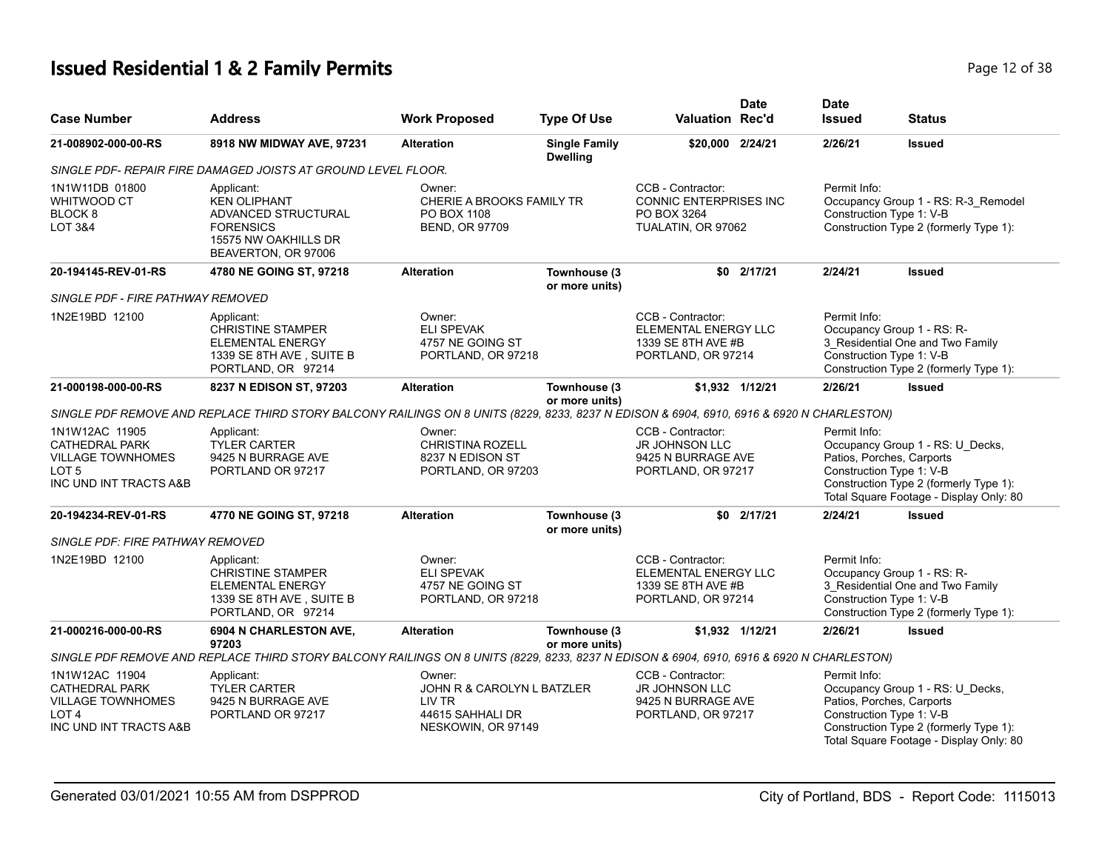# **Issued Residential 1 & 2 Family Permits**

| Page 12 of 38 |  |  |  |
|---------------|--|--|--|
|---------------|--|--|--|

| <b>Case Number</b>                                                                                                | <b>Address</b>                                                                                                                           | <b>Work Proposed</b>                                                                     | <b>Type Of Use</b>                      | <b>Valuation Rec'd</b>                                                                 | <b>Date</b>     | <b>Date</b><br><b>Issued</b>             | <b>Status</b>                                                                                                                                                                  |
|-------------------------------------------------------------------------------------------------------------------|------------------------------------------------------------------------------------------------------------------------------------------|------------------------------------------------------------------------------------------|-----------------------------------------|----------------------------------------------------------------------------------------|-----------------|------------------------------------------|--------------------------------------------------------------------------------------------------------------------------------------------------------------------------------|
| 21-008902-000-00-RS                                                                                               | 8918 NW MIDWAY AVE, 97231                                                                                                                | <b>Alteration</b>                                                                        | <b>Single Family</b><br><b>Dwelling</b> | \$20,000 2/24/21                                                                       |                 | 2/26/21                                  | <b>Issued</b>                                                                                                                                                                  |
|                                                                                                                   | SINGLE PDF- REPAIR FIRE DAMAGED JOISTS AT GROUND LEVEL FLOOR.                                                                            |                                                                                          |                                         |                                                                                        |                 |                                          |                                                                                                                                                                                |
| 1N1W11DB 01800<br>WHITWOOD CT<br>BLOCK <sub>8</sub><br><b>LOT 3&amp;4</b>                                         | Applicant:<br><b>KEN OLIPHANT</b><br>ADVANCED STRUCTURAL<br><b>FORENSICS</b><br>15575 NW OAKHILLS DR<br>BEAVERTON, OR 97006              | Owner:<br>CHERIE A BROOKS FAMILY TR<br>PO BOX 1108<br><b>BEND, OR 97709</b>              |                                         | CCB - Contractor:<br>CONNIC ENTERPRISES INC<br>PO BOX 3264<br>TUALATIN, OR 97062       |                 | Permit Info:<br>Construction Type 1: V-B | Occupancy Group 1 - RS: R-3_Remodel<br>Construction Type 2 (formerly Type 1):                                                                                                  |
| 20-194145-REV-01-RS                                                                                               | 4780 NE GOING ST, 97218                                                                                                                  | <b>Alteration</b>                                                                        | Townhouse (3<br>or more units)          |                                                                                        | \$0 2/17/21     | 2/24/21                                  | <b>Issued</b>                                                                                                                                                                  |
| SINGLE PDF - FIRE PATHWAY REMOVED                                                                                 |                                                                                                                                          |                                                                                          |                                         |                                                                                        |                 |                                          |                                                                                                                                                                                |
| 1N2E19BD 12100                                                                                                    | Applicant:<br><b>CHRISTINE STAMPER</b><br><b>ELEMENTAL ENERGY</b><br>1339 SE 8TH AVE, SUITE B<br>PORTLAND, OR 97214                      | Owner:<br><b>ELI SPEVAK</b><br>4757 NE GOING ST<br>PORTLAND, OR 97218                    |                                         | CCB - Contractor:<br>ELEMENTAL ENERGY LLC<br>1339 SE 8TH AVE #B<br>PORTLAND, OR 97214  |                 | Permit Info:                             | Occupancy Group 1 - RS: R-<br>3 Residential One and Two Family<br>Construction Type 1: V-B<br>Construction Type 2 (formerly Type 1):                                           |
| 21-000198-000-00-RS                                                                                               | 8237 N EDISON ST, 97203                                                                                                                  | <b>Alteration</b>                                                                        | Townhouse (3<br>or more units)          |                                                                                        | \$1,932 1/12/21 | 2/26/21                                  | <b>Issued</b>                                                                                                                                                                  |
|                                                                                                                   | SINGLE PDF REMOVE AND REPLACE THIRD STORY BALCONY RAILINGS ON 8 UNITS (8229, 8233, 8237 N EDISON & 6904, 6910, 6916 & 6920 N CHARLESTON) |                                                                                          |                                         |                                                                                        |                 |                                          |                                                                                                                                                                                |
| 1N1W12AC 11905<br><b>CATHEDRAL PARK</b><br><b>VILLAGE TOWNHOMES</b><br>LOT <sub>5</sub><br>INC UND INT TRACTS A&B | Applicant:<br><b>TYLER CARTER</b><br>9425 N BURRAGE AVE<br>PORTLAND OR 97217                                                             | Owner:<br><b>CHRISTINA ROZELL</b><br>8237 N EDISON ST<br>PORTLAND, OR 97203              |                                         | CCB - Contractor:<br><b>JR JOHNSON LLC</b><br>9425 N BURRAGE AVE<br>PORTLAND, OR 97217 |                 | Permit Info:                             | Occupancy Group 1 - RS: U_Decks,<br>Patios, Porches, Carports<br>Construction Type 1: V-B<br>Construction Type 2 (formerly Type 1):<br>Total Square Footage - Display Only: 80 |
| 20-194234-REV-01-RS                                                                                               | 4770 NE GOING ST, 97218                                                                                                                  | <b>Alteration</b>                                                                        | Townhouse (3<br>or more units)          |                                                                                        | \$0 2/17/21     | 2/24/21                                  | <b>Issued</b>                                                                                                                                                                  |
| SINGLE PDF: FIRE PATHWAY REMOVED                                                                                  |                                                                                                                                          |                                                                                          |                                         |                                                                                        |                 |                                          |                                                                                                                                                                                |
| 1N2E19BD 12100                                                                                                    | Applicant:<br><b>CHRISTINE STAMPER</b><br><b>ELEMENTAL ENERGY</b><br>1339 SE 8TH AVE, SUITE B<br>PORTLAND, OR 97214                      | Owner:<br><b>ELI SPEVAK</b><br>4757 NE GOING ST<br>PORTLAND, OR 97218                    |                                         | CCB - Contractor:<br>ELEMENTAL ENERGY LLC<br>1339 SE 8TH AVE #B<br>PORTLAND, OR 97214  |                 | Permit Info:                             | Occupancy Group 1 - RS: R-<br>3 Residential One and Two Family<br>Construction Type 1: V-B<br>Construction Type 2 (formerly Type 1):                                           |
| 21-000216-000-00-RS                                                                                               | 6904 N CHARLESTON AVE,<br>97203                                                                                                          | <b>Alteration</b>                                                                        | Townhouse (3<br>or more units)          |                                                                                        | \$1,932 1/12/21 | 2/26/21                                  | <b>Issued</b>                                                                                                                                                                  |
|                                                                                                                   | SINGLE PDF REMOVE AND REPLACE THIRD STORY BALCONY RAILINGS ON 8 UNITS (8229, 8233, 8237 N EDISON & 6904, 6910, 6916 & 6920 N CHARLESTON) |                                                                                          |                                         |                                                                                        |                 |                                          |                                                                                                                                                                                |
| 1N1W12AC 11904<br><b>CATHEDRAL PARK</b><br><b>VILLAGE TOWNHOMES</b><br>LOT <sub>4</sub><br>INC UND INT TRACTS A&B | Applicant:<br><b>TYLER CARTER</b><br>9425 N BURRAGE AVE<br>PORTLAND OR 97217                                                             | Owner:<br>JOHN R & CAROLYN L BATZLER<br>LIV TR<br>44615 SAHHALI DR<br>NESKOWIN, OR 97149 |                                         | CCB - Contractor:<br><b>JR JOHNSON LLC</b><br>9425 N BURRAGE AVE<br>PORTLAND, OR 97217 |                 | Permit Info:                             | Occupancy Group 1 - RS: U_Decks,<br>Patios, Porches, Carports<br>Construction Type 1: V-B<br>Construction Type 2 (formerly Type 1):<br>Total Square Footage - Display Only: 80 |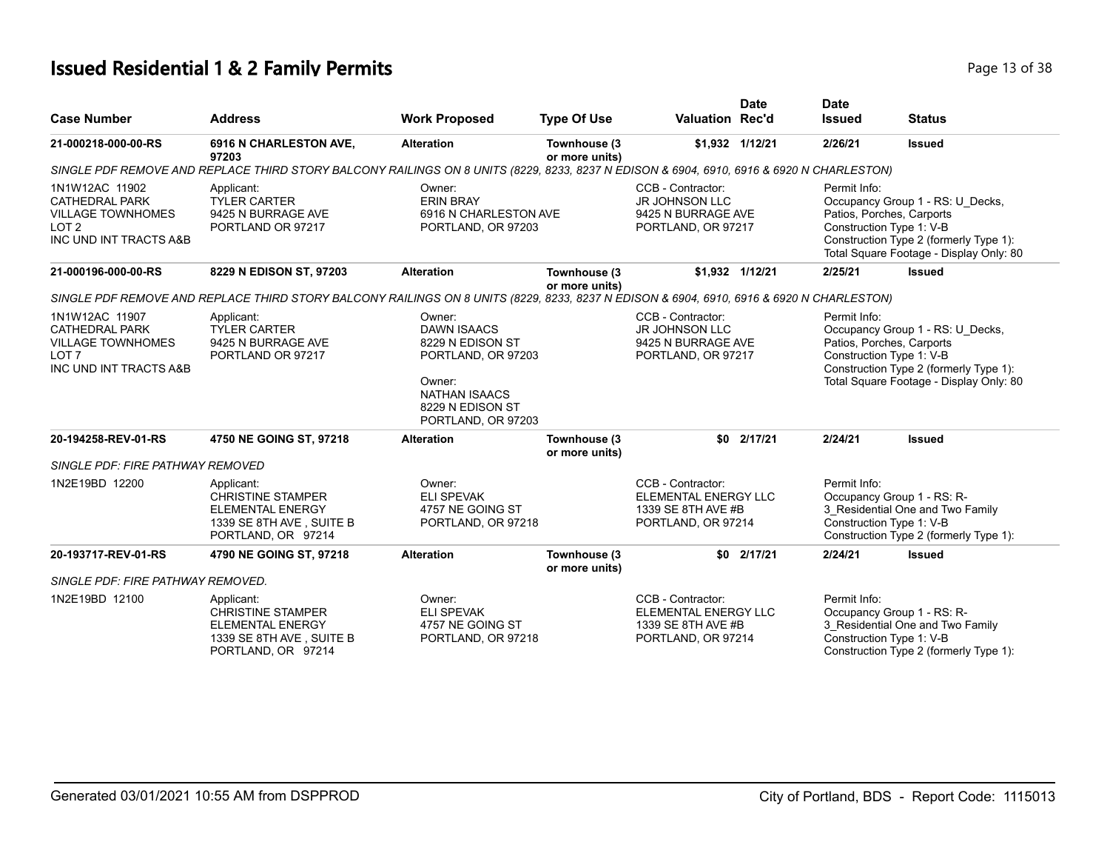# **Issued Residential 1 & 2 Family Permits Page 13 of 38 Page 13 of 38**

| <b>Case Number</b>                                                                                                | <b>Address</b>                                                                                                                           | <b>Work Proposed</b>                                                                                                                               | <b>Type Of Use</b>             | <b>Valuation Rec'd</b>                                                                 | <b>Date</b>     | <b>Date</b><br><b>Issued</b>             | <b>Status</b>                                                                                                                                                                  |  |  |
|-------------------------------------------------------------------------------------------------------------------|------------------------------------------------------------------------------------------------------------------------------------------|----------------------------------------------------------------------------------------------------------------------------------------------------|--------------------------------|----------------------------------------------------------------------------------------|-----------------|------------------------------------------|--------------------------------------------------------------------------------------------------------------------------------------------------------------------------------|--|--|
| 21-000218-000-00-RS                                                                                               | 6916 N CHARLESTON AVE,<br>97203                                                                                                          | <b>Alteration</b>                                                                                                                                  | Townhouse (3<br>or more units) |                                                                                        | \$1,932 1/12/21 | 2/26/21                                  | <b>Issued</b>                                                                                                                                                                  |  |  |
|                                                                                                                   | SINGLE PDF REMOVE AND REPLACE THIRD STORY BALCONY RAILINGS ON 8 UNITS (8229, 8233, 8237 N EDISON & 6904, 6910, 6916 & 6920 N CHARLESTON) |                                                                                                                                                    |                                |                                                                                        |                 |                                          |                                                                                                                                                                                |  |  |
| 1N1W12AC 11902<br><b>CATHEDRAL PARK</b><br><b>VILLAGE TOWNHOMES</b><br>LOT <sub>2</sub><br>INC UND INT TRACTS A&B | Applicant:<br><b>TYLER CARTER</b><br>9425 N BURRAGE AVE<br>PORTLAND OR 97217                                                             | Owner:<br><b>ERIN BRAY</b><br>6916 N CHARLESTON AVE<br>PORTLAND, OR 97203                                                                          |                                | CCB - Contractor:<br><b>JR JOHNSON LLC</b><br>9425 N BURRAGE AVE<br>PORTLAND, OR 97217 |                 | Permit Info:<br>Construction Type 1: V-B | Occupancy Group 1 - RS: U Decks,<br>Patios, Porches, Carports<br>Construction Type 2 (formerly Type 1):<br>Total Square Footage - Display Only: 80                             |  |  |
| 21-000196-000-00-RS                                                                                               | 8229 N EDISON ST, 97203                                                                                                                  | <b>Alteration</b>                                                                                                                                  | Townhouse (3<br>or more units) |                                                                                        | \$1,932 1/12/21 | 2/25/21                                  | <b>Issued</b>                                                                                                                                                                  |  |  |
|                                                                                                                   | SINGLE PDF REMOVE AND REPLACE THIRD STORY BALCONY RAILINGS ON 8 UNITS (8229, 8233, 8237 N EDISON & 6904, 6910, 6916 & 6920 N CHARLESTON) |                                                                                                                                                    |                                |                                                                                        |                 |                                          |                                                                                                                                                                                |  |  |
| 1N1W12AC 11907<br><b>CATHEDRAL PARK</b><br><b>VILLAGE TOWNHOMES</b><br>LOT <sub>7</sub><br>INC UND INT TRACTS A&B | Applicant:<br><b>TYLER CARTER</b><br>9425 N BURRAGE AVE<br>PORTLAND OR 97217                                                             | Owner:<br><b>DAWN ISAACS</b><br>8229 N EDISON ST<br>PORTLAND, OR 97203<br>Owner:<br><b>NATHAN ISAACS</b><br>8229 N EDISON ST<br>PORTLAND, OR 97203 |                                | CCB - Contractor:<br><b>JR JOHNSON LLC</b><br>9425 N BURRAGE AVE<br>PORTLAND, OR 97217 |                 | Permit Info:                             | Occupancy Group 1 - RS: U Decks,<br>Patios, Porches, Carports<br>Construction Type 1: V-B<br>Construction Type 2 (formerly Type 1):<br>Total Square Footage - Display Only: 80 |  |  |
| 20-194258-REV-01-RS                                                                                               | 4750 NE GOING ST, 97218                                                                                                                  | <b>Alteration</b>                                                                                                                                  | Townhouse (3<br>or more units) | \$0                                                                                    | 2/17/21         | 2/24/21                                  | <b>Issued</b>                                                                                                                                                                  |  |  |
| <b>SINGLE PDF: FIRE PATHWAY REMOVED</b>                                                                           |                                                                                                                                          |                                                                                                                                                    |                                |                                                                                        |                 |                                          |                                                                                                                                                                                |  |  |
| 1N2E19BD 12200                                                                                                    | Applicant:<br><b>CHRISTINE STAMPER</b><br><b>ELEMENTAL ENERGY</b><br>1339 SE 8TH AVE, SUITE B<br>PORTLAND, OR 97214                      | Owner:<br><b>ELI SPEVAK</b><br>4757 NE GOING ST<br>PORTLAND, OR 97218                                                                              |                                | CCB - Contractor:<br>ELEMENTAL ENERGY LLC<br>1339 SE 8TH AVE #B<br>PORTLAND, OR 97214  |                 | Permit Info:<br>Construction Type 1: V-B | Occupancy Group 1 - RS: R-<br>3_Residential One and Two Family<br>Construction Type 2 (formerly Type 1):                                                                       |  |  |
| 20-193717-REV-01-RS                                                                                               | 4790 NE GOING ST, 97218                                                                                                                  | <b>Alteration</b>                                                                                                                                  | Townhouse (3<br>or more units) | \$0                                                                                    | 2/17/21         | 2/24/21                                  | <b>Issued</b>                                                                                                                                                                  |  |  |
| SINGLE PDF: FIRE PATHWAY REMOVED.                                                                                 |                                                                                                                                          |                                                                                                                                                    |                                |                                                                                        |                 |                                          |                                                                                                                                                                                |  |  |
| 1N2E19BD 12100                                                                                                    | Applicant:<br><b>CHRISTINE STAMPER</b><br><b>ELEMENTAL ENERGY</b><br>1339 SE 8TH AVE, SUITE B<br>PORTLAND, OR 97214                      | Owner:<br><b>ELI SPEVAK</b><br>4757 NE GOING ST<br>PORTLAND, OR 97218                                                                              |                                | CCB - Contractor:<br>ELEMENTAL ENERGY LLC<br>1339 SE 8TH AVE #B<br>PORTLAND, OR 97214  |                 | Permit Info:<br>Construction Type 1: V-B | Occupancy Group 1 - RS: R-<br>3 Residential One and Two Family<br>Construction Type 2 (formerly Type 1):                                                                       |  |  |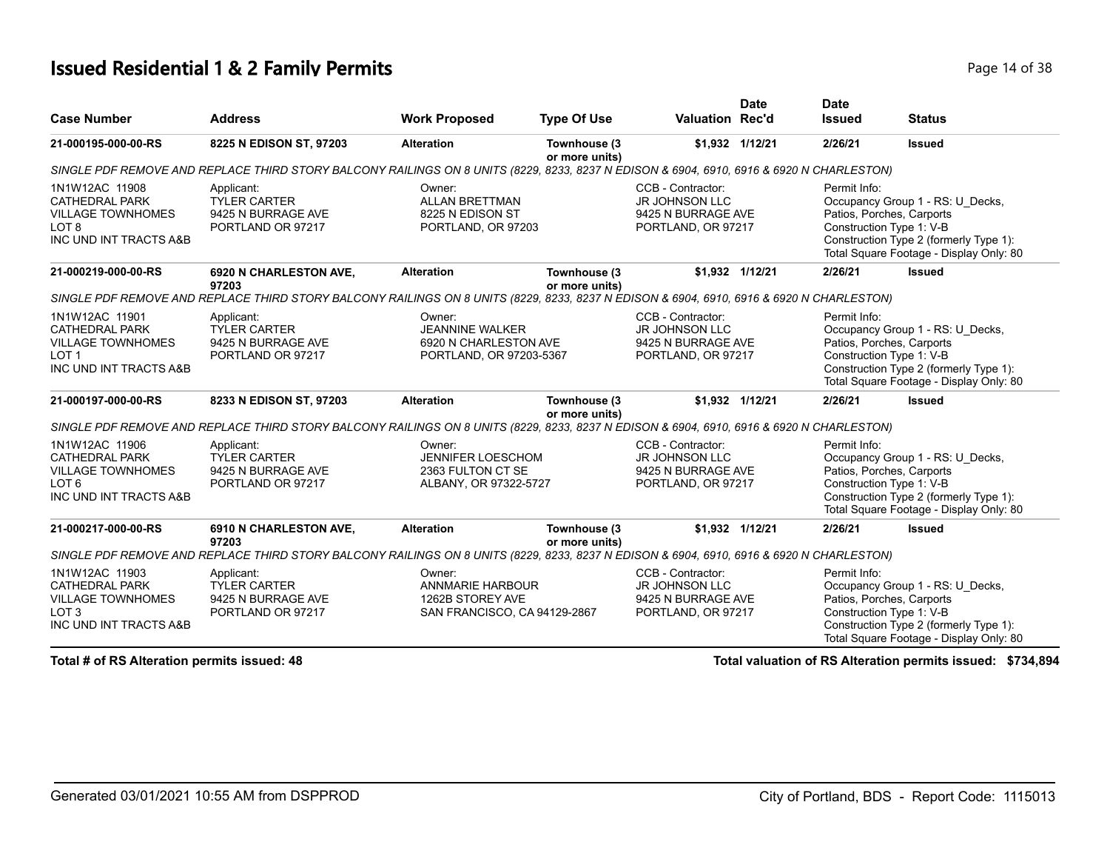#### **Issued Residential 1 & 2 Family Permits Page 14 of 38**

| <b>Case Number</b>                                                                                                | <b>Address</b>                                                                                                                           | <b>Work Proposed</b>                                                                  | <b>Type Of Use</b>             | <b>Valuation Rec'd</b>                                                                 | <b>Date</b>     | <b>Date</b><br><b>Issued</b>             | <b>Status</b>                                                                                                                                      |
|-------------------------------------------------------------------------------------------------------------------|------------------------------------------------------------------------------------------------------------------------------------------|---------------------------------------------------------------------------------------|--------------------------------|----------------------------------------------------------------------------------------|-----------------|------------------------------------------|----------------------------------------------------------------------------------------------------------------------------------------------------|
| 21-000195-000-00-RS                                                                                               | 8225 N EDISON ST, 97203                                                                                                                  | <b>Alteration</b>                                                                     | Townhouse (3<br>or more units) |                                                                                        | \$1,932 1/12/21 | 2/26/21                                  | <b>Issued</b>                                                                                                                                      |
|                                                                                                                   | SINGLE PDF REMOVE AND REPLACE THIRD STORY BALCONY RAILINGS ON 8 UNITS (8229, 8233, 8237 N EDISON & 6904, 6910, 6916 & 6920 N CHARLESTON) |                                                                                       |                                |                                                                                        |                 |                                          |                                                                                                                                                    |
| 1N1W12AC 11908<br><b>CATHEDRAL PARK</b><br><b>VILLAGE TOWNHOMES</b><br>LOT <sub>8</sub><br>INC UND INT TRACTS A&B | Applicant:<br><b>TYLER CARTER</b><br>9425 N BURRAGE AVE<br>PORTLAND OR 97217                                                             | Owner:<br><b>ALLAN BRETTMAN</b><br>8225 N EDISON ST<br>PORTLAND, OR 97203             |                                | CCB - Contractor:<br><b>JR JOHNSON LLC</b><br>9425 N BURRAGE AVE<br>PORTLAND, OR 97217 |                 | Permit Info:<br>Construction Type 1: V-B | Occupancy Group 1 - RS: U Decks,<br>Patios, Porches, Carports<br>Construction Type 2 (formerly Type 1):<br>Total Square Footage - Display Only: 80 |
| 21-000219-000-00-RS                                                                                               | <b>6920 N CHARLESTON AVE,</b><br>97203                                                                                                   | <b>Alteration</b>                                                                     | Townhouse (3<br>or more units) |                                                                                        | \$1,932 1/12/21 | 2/26/21                                  | <b>Issued</b>                                                                                                                                      |
|                                                                                                                   | SINGLE PDF REMOVE AND REPLACE THIRD STORY BALCONY RAILINGS ON 8 UNITS (8229, 8233, 8237 N EDISON & 6904, 6910, 6916 & 6920 N CHARLESTON) |                                                                                       |                                |                                                                                        |                 |                                          |                                                                                                                                                    |
| 1N1W12AC 11901<br><b>CATHEDRAL PARK</b><br><b>VILLAGE TOWNHOMES</b><br>LOT <sub>1</sub><br>INC UND INT TRACTS A&B | Applicant:<br><b>TYLER CARTER</b><br>9425 N BURRAGE AVE<br>PORTLAND OR 97217                                                             | Owner:<br><b>JEANNINE WALKER</b><br>6920 N CHARLESTON AVE<br>PORTLAND, OR 97203-5367  |                                | CCB - Contractor:<br><b>JR JOHNSON LLC</b><br>9425 N BURRAGE AVE<br>PORTLAND, OR 97217 |                 | Permit Info:<br>Construction Type 1: V-B | Occupancy Group 1 - RS: U Decks,<br>Patios, Porches, Carports<br>Construction Type 2 (formerly Type 1):<br>Total Square Footage - Display Only: 80 |
| 21-000197-000-00-RS                                                                                               | 8233 N EDISON ST, 97203                                                                                                                  | <b>Alteration</b>                                                                     | Townhouse (3<br>or more units) |                                                                                        | \$1,932 1/12/21 | 2/26/21                                  | <b>Issued</b>                                                                                                                                      |
|                                                                                                                   | SINGLE PDF REMOVE AND REPLACE THIRD STORY BALCONY RAILINGS ON 8 UNITS (8229, 8233, 8237 N EDISON & 6904, 6910, 6916 & 6920 N CHARLESTON) |                                                                                       |                                |                                                                                        |                 |                                          |                                                                                                                                                    |
| 1N1W12AC 11906<br><b>CATHEDRAL PARK</b><br><b>VILLAGE TOWNHOMES</b><br>LOT <sub>6</sub><br>INC UND INT TRACTS A&B | Applicant:<br><b>TYLER CARTER</b><br>9425 N BURRAGE AVE<br>PORTLAND OR 97217                                                             | Owner:<br><b>JENNIFER LOESCHOM</b><br>2363 FULTON CT SE<br>ALBANY, OR 97322-5727      |                                | CCB - Contractor:<br><b>JR JOHNSON LLC</b><br>9425 N BURRAGE AVE<br>PORTLAND, OR 97217 |                 | Permit Info:<br>Construction Type 1: V-B | Occupancy Group 1 - RS: U Decks,<br>Patios, Porches, Carports<br>Construction Type 2 (formerly Type 1):<br>Total Square Footage - Display Only: 80 |
| 21-000217-000-00-RS                                                                                               | 6910 N CHARLESTON AVE,<br>97203                                                                                                          | <b>Alteration</b>                                                                     | Townhouse (3<br>or more units) |                                                                                        | \$1,932 1/12/21 | 2/26/21                                  | <b>Issued</b>                                                                                                                                      |
|                                                                                                                   | SINGLE PDF REMOVE AND REPLACE THIRD STORY BALCONY RAILINGS ON 8 UNITS (8229, 8233, 8237 N EDISON & 6904, 6910, 6916 & 6920 N CHARLESTON) |                                                                                       |                                |                                                                                        |                 |                                          |                                                                                                                                                    |
| 1N1W12AC 11903<br><b>CATHEDRAL PARK</b><br><b>VILLAGE TOWNHOMES</b><br>LOT <sub>3</sub><br>INC UND INT TRACTS A&B | Applicant:<br><b>TYLER CARTER</b><br>9425 N BURRAGE AVE<br>PORTLAND OR 97217                                                             | Owner:<br><b>ANNMARIE HARBOUR</b><br>1262B STOREY AVE<br>SAN FRANCISCO, CA 94129-2867 |                                | CCB - Contractor:<br><b>JR JOHNSON LLC</b><br>9425 N BURRAGE AVE<br>PORTLAND, OR 97217 |                 | Permit Info:<br>Construction Type 1: V-B | Occupancy Group 1 - RS: U Decks,<br>Patios, Porches, Carports<br>Construction Type 2 (formerly Type 1):<br>Total Square Footage - Display Only: 80 |

**Total # of RS Alteration permits issued: 48 Total valuation of RS Alteration permits issued: \$734,894**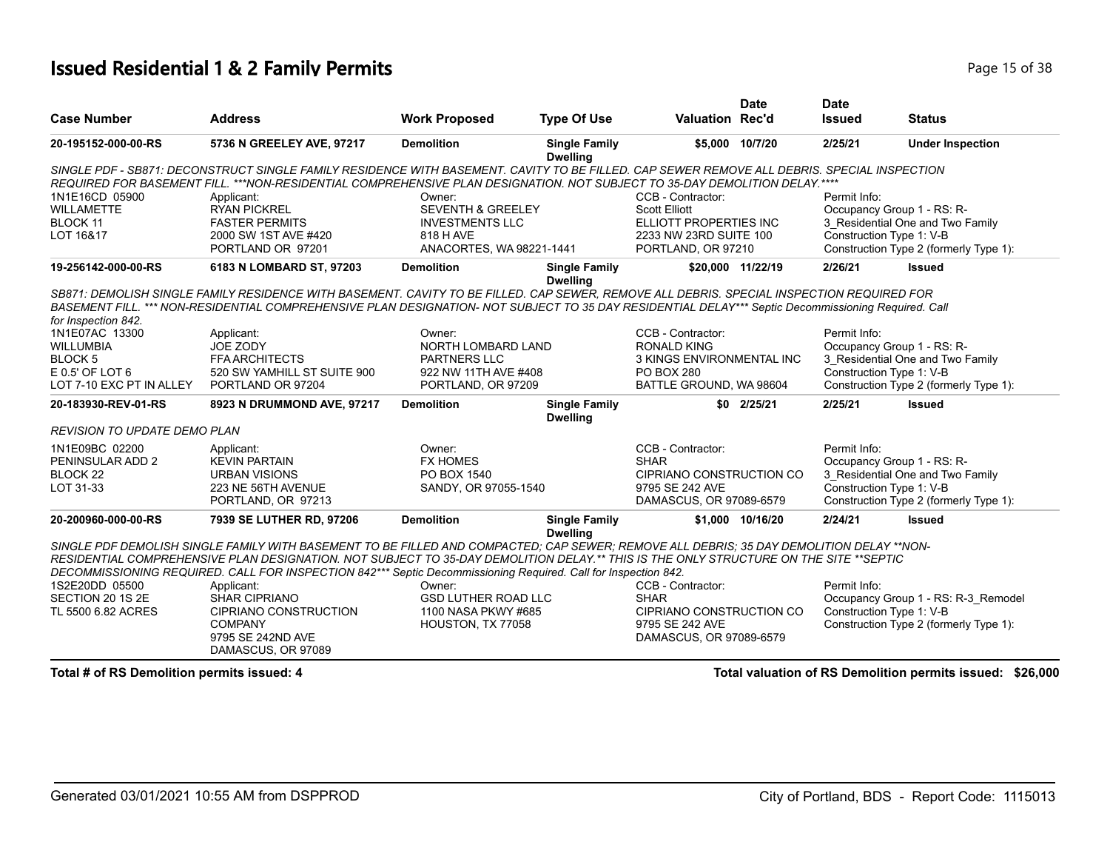#### **Issued Residential 1 & 2 Family Permits Page 15 of 38**

| <b>Work Proposed</b><br><b>Case Number</b><br><b>Address</b><br><b>Type Of Use</b><br><b>Valuation Rec'd</b><br><b>Status</b><br><b>Issued</b><br>5736 N GREELEY AVE, 97217<br><b>Demolition</b><br><b>Single Family</b><br>2/25/21<br><b>Under Inspection</b><br>20-195152-000-00-RS<br>\$5,000 10/7/20<br><b>Dwelling</b><br>SINGLE PDF - SB871: DECONSTRUCT SINGLE FAMILY RESIDENCE WITH BASEMENT. CAVITY TO BE FILLED. CAP SEWER REMOVE ALL DEBRIS. SPECIAL INSPECTION<br>REQUIRED FOR BASEMENT FILL. ***NON-RESIDENTIAL COMPREHENSIVE PLAN DESIGNATION. NOT SUBJECT TO 35-DAY DEMOLITION DELAY.**** |  |
|----------------------------------------------------------------------------------------------------------------------------------------------------------------------------------------------------------------------------------------------------------------------------------------------------------------------------------------------------------------------------------------------------------------------------------------------------------------------------------------------------------------------------------------------------------------------------------------------------------|--|
|                                                                                                                                                                                                                                                                                                                                                                                                                                                                                                                                                                                                          |  |
|                                                                                                                                                                                                                                                                                                                                                                                                                                                                                                                                                                                                          |  |
|                                                                                                                                                                                                                                                                                                                                                                                                                                                                                                                                                                                                          |  |
| 1N1E16CD 05900<br>CCB - Contractor:<br>Permit Info:<br>Applicant:<br>Owner:                                                                                                                                                                                                                                                                                                                                                                                                                                                                                                                              |  |
| <b>SEVENTH &amp; GREELEY</b><br><b>Scott Elliott</b><br>Occupancy Group 1 - RS: R-<br><b>WILLAMETTE</b><br><b>RYAN PICKREL</b>                                                                                                                                                                                                                                                                                                                                                                                                                                                                           |  |
| 3 Residential One and Two Family<br>BLOCK 11<br><b>FASTER PERMITS</b><br><b>INVESTMENTS LLC</b><br>ELLIOTT PROPERTIES INC                                                                                                                                                                                                                                                                                                                                                                                                                                                                                |  |
| LOT 16&17<br>2000 SW 1ST AVE #420<br>2233 NW 23RD SUITE 100<br>Construction Type 1: V-B<br>818 H AVE                                                                                                                                                                                                                                                                                                                                                                                                                                                                                                     |  |
| Construction Type 2 (formerly Type 1):<br>PORTLAND OR 97201<br>ANACORTES, WA 98221-1441<br>PORTLAND, OR 97210                                                                                                                                                                                                                                                                                                                                                                                                                                                                                            |  |
| 6183 N LOMBARD ST, 97203<br><b>Demolition</b><br>2/26/21<br>19-256142-000-00-RS<br><b>Single Family</b><br>\$20,000 11/22/19<br><b>Issued</b><br><b>Dwelling</b>                                                                                                                                                                                                                                                                                                                                                                                                                                         |  |
| SB871: DEMOLISH SINGLE FAMILY RESIDENCE WITH BASEMENT. CAVITY TO BE FILLED. CAP SEWER, REMOVE ALL DEBRIS. SPECIAL INSPECTION REQUIRED FOR<br>BASEMENT FILL. *** NON-RESIDENTIAL COMPREHENSIVE PLAN DESIGNATION- NOT SUBJECT TO 35 DAY RESIDENTIAL DELAY*** Septic Decommissioning Required. Call                                                                                                                                                                                                                                                                                                         |  |
| for Inspection 842.                                                                                                                                                                                                                                                                                                                                                                                                                                                                                                                                                                                      |  |
| CCB - Contractor:<br>Permit Info:<br>1N1E07AC 13300<br>Owner:<br>Applicant:                                                                                                                                                                                                                                                                                                                                                                                                                                                                                                                              |  |
| NORTH LOMBARD LAND<br>Occupancy Group 1 - RS: R-<br><b>WILLUMBIA</b><br>JOE ZODY<br><b>RONALD KING</b>                                                                                                                                                                                                                                                                                                                                                                                                                                                                                                   |  |
| 3 Residential One and Two Family<br><b>BLOCK5</b><br><b>FFA ARCHITECTS</b><br>PARTNERS LLC<br>3 KINGS ENVIRONMENTAL INC                                                                                                                                                                                                                                                                                                                                                                                                                                                                                  |  |
| E 0.5' OF LOT 6<br>520 SW YAMHILL ST SUITE 900<br><b>PO BOX 280</b><br>Construction Type 1: V-B<br>922 NW 11TH AVE #408                                                                                                                                                                                                                                                                                                                                                                                                                                                                                  |  |
| LOT 7-10 EXC PT IN ALLEY<br>PORTLAND OR 97204<br>BATTLE GROUND, WA 98604<br>Construction Type 2 (formerly Type 1):<br>PORTLAND, OR 97209                                                                                                                                                                                                                                                                                                                                                                                                                                                                 |  |
| <b>Demolition</b><br><b>Single Family</b><br>\$0 2/25/21<br>2/25/21<br><b>Issued</b><br>20-183930-REV-01-RS<br>8923 N DRUMMOND AVE, 97217<br><b>Dwelling</b>                                                                                                                                                                                                                                                                                                                                                                                                                                             |  |
| <b>REVISION TO UPDATE DEMO PLAN</b>                                                                                                                                                                                                                                                                                                                                                                                                                                                                                                                                                                      |  |
| CCB - Contractor:<br>Permit Info:<br>1N1E09BC 02200<br>Owner:<br>Applicant:                                                                                                                                                                                                                                                                                                                                                                                                                                                                                                                              |  |
| PENINSULAR ADD 2<br><b>KEVIN PARTAIN</b><br><b>FX HOMES</b><br><b>SHAR</b><br>Occupancy Group 1 - RS: R-                                                                                                                                                                                                                                                                                                                                                                                                                                                                                                 |  |
| CIPRIANO CONSTRUCTION CO<br>3_Residential One and Two Family<br>BLOCK <sub>22</sub><br><b>URBAN VISIONS</b><br>PO BOX 1540                                                                                                                                                                                                                                                                                                                                                                                                                                                                               |  |
| Construction Type 1: V-B<br>LOT 31-33<br>SANDY, OR 97055-1540<br>223 NE 56TH AVENUE<br>9795 SE 242 AVE                                                                                                                                                                                                                                                                                                                                                                                                                                                                                                   |  |
| Construction Type 2 (formerly Type 1):<br>PORTLAND, OR 97213<br>DAMASCUS, OR 97089-6579                                                                                                                                                                                                                                                                                                                                                                                                                                                                                                                  |  |
| 2/24/21<br>20-200960-000-00-RS<br>7939 SE LUTHER RD, 97206<br><b>Demolition</b><br>\$1,000 10/16/20<br><b>Issued</b><br><b>Single Family</b><br><b>Dwelling</b>                                                                                                                                                                                                                                                                                                                                                                                                                                          |  |
| SINGLE PDF DEMOLISH SINGLE FAMILY WITH BASEMENT TO BE FILLED AND COMPACTED: CAP SEWER: REMOVE ALL DEBRIS: 35 DAY DEMOLITION DELAY **NON-                                                                                                                                                                                                                                                                                                                                                                                                                                                                 |  |
| RESIDENTIAL COMPREHENSIVE PLAN DESIGNATION. NOT SUBJECT TO 35-DAY DEMOLITION DELAY.** THIS IS THE ONLY STRUCTURE ON THE SITE **SEPTIC                                                                                                                                                                                                                                                                                                                                                                                                                                                                    |  |
| DECOMMISSIONING REQUIRED. CALL FOR INSPECTION 842*** Septic Decommissioning Required. Call for Inspection 842.                                                                                                                                                                                                                                                                                                                                                                                                                                                                                           |  |
| 1S2E20DD 05500<br>CCB - Contractor:<br>Permit Info:<br>Applicant:<br>Owner:                                                                                                                                                                                                                                                                                                                                                                                                                                                                                                                              |  |
| SECTION 20 1S 2E<br><b>SHAR CIPRIANO</b><br><b>GSD LUTHER ROAD LLC</b><br><b>SHAR</b><br>Occupancy Group 1 - RS: R-3_Remodel                                                                                                                                                                                                                                                                                                                                                                                                                                                                             |  |
| <b>CIPRIANO CONSTRUCTION</b><br>1100 NASA PKWY #685<br>CIPRIANO CONSTRUCTION CO<br>Construction Type 1: V-B<br>TL 5500 6.82 ACRES                                                                                                                                                                                                                                                                                                                                                                                                                                                                        |  |
| Construction Type 2 (formerly Type 1):<br><b>COMPANY</b><br>HOUSTON, TX 77058<br>9795 SE 242 AVE                                                                                                                                                                                                                                                                                                                                                                                                                                                                                                         |  |
| 9795 SE 242ND AVE<br>DAMASCUS, OR 97089-6579<br>DAMASCUS, OR 97089                                                                                                                                                                                                                                                                                                                                                                                                                                                                                                                                       |  |

**Total # of RS Demolition permits issued: 4 Total valuation of RS Demolition permits issued: \$26,000**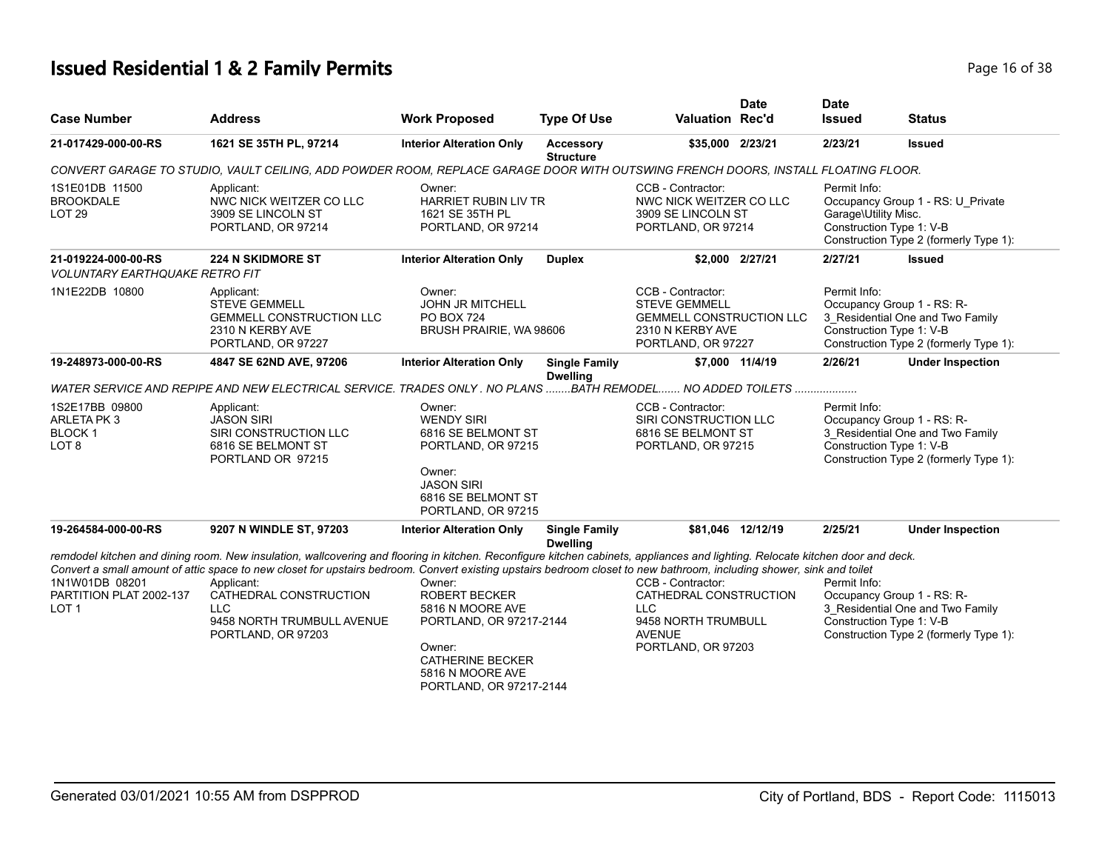# **Issued Residential 1 & 2 Family Permits Page 16 of 38 Page 16 of 38**

| <b>Case Number</b>                                                       | <b>Address</b>                                                                                                                                                                                                                                                                                                                                                                                                                                                    | <b>Work Proposed</b>                                                                                                                                              | <b>Type Of Use</b>                      | <b>Valuation Rec'd</b>                                                                                                 | <b>Date</b>       | <b>Date</b><br><b>Issued</b>                                                                                                                         | <b>Status</b>                                                                                            |
|--------------------------------------------------------------------------|-------------------------------------------------------------------------------------------------------------------------------------------------------------------------------------------------------------------------------------------------------------------------------------------------------------------------------------------------------------------------------------------------------------------------------------------------------------------|-------------------------------------------------------------------------------------------------------------------------------------------------------------------|-----------------------------------------|------------------------------------------------------------------------------------------------------------------------|-------------------|------------------------------------------------------------------------------------------------------------------------------------------------------|----------------------------------------------------------------------------------------------------------|
| 21-017429-000-00-RS                                                      | 1621 SE 35TH PL, 97214                                                                                                                                                                                                                                                                                                                                                                                                                                            | <b>Interior Alteration Only</b>                                                                                                                                   | Accessory<br><b>Structure</b>           | \$35,000 2/23/21                                                                                                       |                   | 2/23/21                                                                                                                                              | <b>Issued</b>                                                                                            |
|                                                                          | CONVERT GARAGE TO STUDIO, VAULT CEILING, ADD POWDER ROOM, REPLACE GARAGE DOOR WITH OUTSWING FRENCH DOORS, INSTALL FLOATING FLOOR.                                                                                                                                                                                                                                                                                                                                 |                                                                                                                                                                   |                                         |                                                                                                                        |                   |                                                                                                                                                      |                                                                                                          |
| 1S1E01DB 11500<br><b>BROOKDALE</b><br><b>LOT 29</b>                      | Applicant:<br>NWC NICK WEITZER CO LLC<br>3909 SE LINCOLN ST<br>PORTLAND, OR 97214                                                                                                                                                                                                                                                                                                                                                                                 | Owner:<br><b>HARRIET RUBIN LIV TR</b><br>1621 SE 35TH PL<br>PORTLAND, OR 97214                                                                                    |                                         | CCB - Contractor:<br>NWC NICK WEITZER CO LLC<br>3909 SE LINCOLN ST<br>PORTLAND, OR 97214                               |                   | Permit Info:<br>Garage\Utility Misc.<br>Construction Type 1: V-B                                                                                     | Occupancy Group 1 - RS: U Private<br>Construction Type 2 (formerly Type 1):                              |
| 21-019224-000-00-RS<br><b>VOLUNTARY EARTHQUAKE RETRO FIT</b>             | 224 N SKIDMORE ST                                                                                                                                                                                                                                                                                                                                                                                                                                                 | <b>Interior Alteration Only</b>                                                                                                                                   | <b>Duplex</b>                           |                                                                                                                        | \$2,000 2/27/21   | 2/27/21                                                                                                                                              | <b>Issued</b>                                                                                            |
| 1N1E22DB 10800                                                           | Applicant:<br><b>STEVE GEMMELL</b><br><b>GEMMELL CONSTRUCTION LLC</b><br>2310 N KERBY AVE<br>PORTLAND, OR 97227                                                                                                                                                                                                                                                                                                                                                   | Owner:<br><b>JOHN JR MITCHELL</b><br><b>PO BOX 724</b><br>BRUSH PRAIRIE, WA 98606                                                                                 |                                         | CCB - Contractor:<br><b>STEVE GEMMELL</b><br><b>GEMMELL CONSTRUCTION LLC</b><br>2310 N KERBY AVE<br>PORTLAND, OR 97227 |                   | Permit Info:<br>Construction Type 1: V-B                                                                                                             | Occupancy Group 1 - RS: R-<br>3 Residential One and Two Family<br>Construction Type 2 (formerly Type 1): |
| 19-248973-000-00-RS                                                      | 4847 SE 62ND AVE, 97206                                                                                                                                                                                                                                                                                                                                                                                                                                           | <b>Interior Alteration Only</b>                                                                                                                                   | <b>Single Family</b><br><b>Dwelling</b> |                                                                                                                        | \$7,000 11/4/19   | 2/26/21                                                                                                                                              | <b>Under Inspection</b>                                                                                  |
|                                                                          |                                                                                                                                                                                                                                                                                                                                                                                                                                                                   |                                                                                                                                                                   |                                         |                                                                                                                        |                   |                                                                                                                                                      |                                                                                                          |
| 1S2E17BB 09800<br><b>ARLETA PK3</b><br><b>BLOCK1</b><br>LOT <sub>8</sub> | Applicant:<br><b>JASON SIRI</b><br>SIRI CONSTRUCTION LLC<br>6816 SE BELMONT ST<br>PORTLAND OR 97215                                                                                                                                                                                                                                                                                                                                                               | Owner:<br><b>WENDY SIRI</b><br>6816 SE BELMONT ST<br>PORTLAND, OR 97215<br>Owner:<br><b>JASON SIRI</b><br>6816 SE BELMONT ST<br>PORTLAND, OR 97215                |                                         | CCB - Contractor:<br>SIRI CONSTRUCTION LLC<br>6816 SE BELMONT ST<br>PORTLAND, OR 97215                                 |                   | Permit Info:<br>Occupancy Group 1 - RS: R-<br>3 Residential One and Two Family<br>Construction Type 1: V-B<br>Construction Type 2 (formerly Type 1): |                                                                                                          |
| 19-264584-000-00-RS                                                      | 9207 N WINDLE ST, 97203                                                                                                                                                                                                                                                                                                                                                                                                                                           | <b>Interior Alteration Only</b>                                                                                                                                   | <b>Single Family</b><br><b>Dwelling</b> |                                                                                                                        | \$81,046 12/12/19 | 2/25/21                                                                                                                                              | <b>Under Inspection</b>                                                                                  |
| 1N1W01DB 08201<br>PARTITION PLAT 2002-137<br>LOT 1                       | remdodel kitchen and dining room. New insulation, wallcovering and flooring in kitchen. Reconfigure kitchen cabinets, appliances and lighting. Relocate kitchen door and deck.<br>Convert a small amount of attic space to new closet for upstairs bedroom. Convert existing upstairs bedroom closet to new bathroom, including shower, sink and toilet<br>Applicant:<br>CATHEDRAL CONSTRUCTION<br><b>LLC</b><br>9458 NORTH TRUMBULL AVENUE<br>PORTLAND, OR 97203 | Owner:<br><b>ROBERT BECKER</b><br>5816 N MOORE AVE<br>PORTLAND, OR 97217-2144<br>Owner:<br><b>CATHERINE BECKER</b><br>5816 N MOORE AVE<br>PORTLAND, OR 97217-2144 |                                         | CCB - Contractor:<br>CATHEDRAL CONSTRUCTION<br>LLC.<br>9458 NORTH TRUMBULL<br><b>AVENUE</b><br>PORTLAND, OR 97203      |                   | Permit Info:<br>Construction Type 1: V-B                                                                                                             | Occupancy Group 1 - RS: R-<br>3 Residential One and Two Family<br>Construction Type 2 (formerly Type 1): |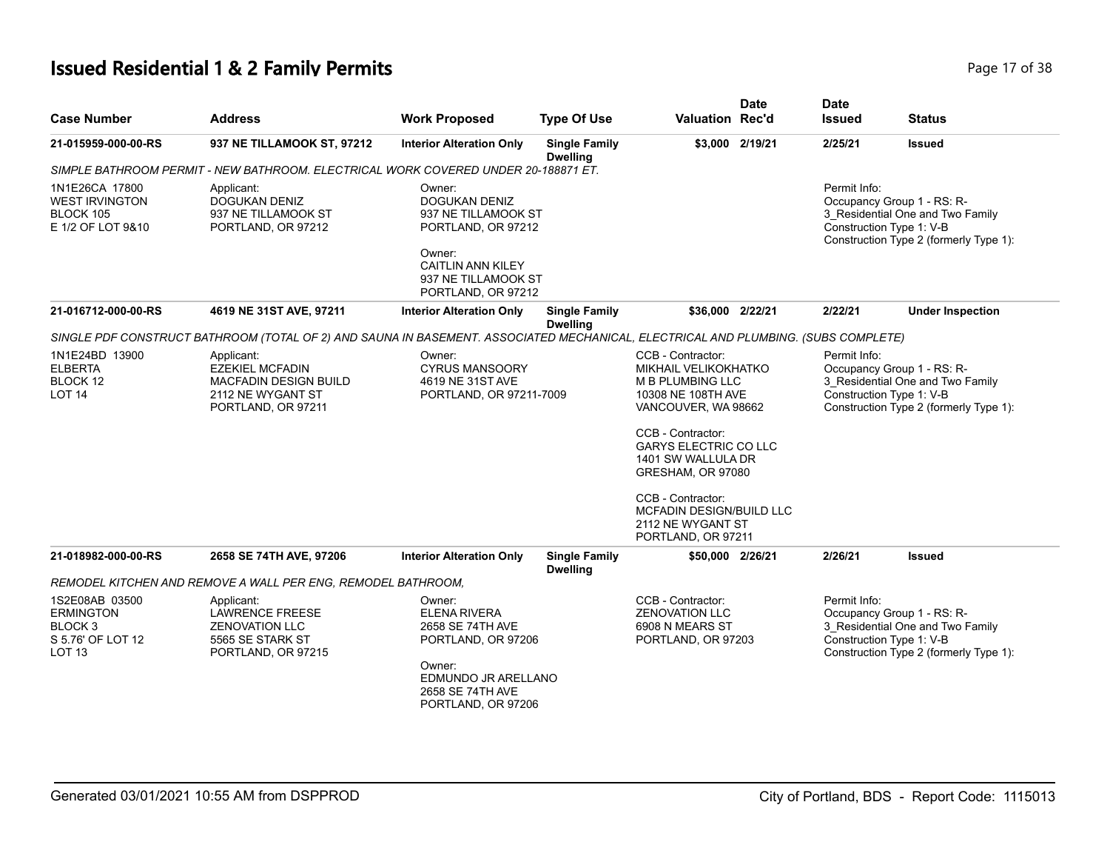# **Issued Residential 1 & 2 Family Permits Page 17 of 38 Page 17 of 38**

| <b>Case Number</b>                                                                      | <b>Address</b>                                                                                                                    | <b>Work Proposed</b>                                                                                                                                           | <b>Type Of Use</b>                      | <b>Valuation Rec'd</b>                                                                                                                                                                                                                                                                                        | <b>Date</b>     | <b>Date</b><br><b>Issued</b>             | <b>Status</b>                                                                                            |
|-----------------------------------------------------------------------------------------|-----------------------------------------------------------------------------------------------------------------------------------|----------------------------------------------------------------------------------------------------------------------------------------------------------------|-----------------------------------------|---------------------------------------------------------------------------------------------------------------------------------------------------------------------------------------------------------------------------------------------------------------------------------------------------------------|-----------------|------------------------------------------|----------------------------------------------------------------------------------------------------------|
| 21-015959-000-00-RS                                                                     | 937 NE TILLAMOOK ST, 97212                                                                                                        | <b>Interior Alteration Only</b>                                                                                                                                | <b>Single Family</b><br><b>Dwelling</b> |                                                                                                                                                                                                                                                                                                               | \$3,000 2/19/21 | 2/25/21                                  | <b>Issued</b>                                                                                            |
|                                                                                         | SIMPLE BATHROOM PERMIT - NEW BATHROOM. ELECTRICAL WORK COVERED UNDER 20-188871 ET.                                                |                                                                                                                                                                |                                         |                                                                                                                                                                                                                                                                                                               |                 |                                          |                                                                                                          |
| 1N1E26CA 17800<br><b>WEST IRVINGTON</b><br>BLOCK 105<br>E 1/2 OF LOT 9&10               | Applicant:<br><b>DOGUKAN DENIZ</b><br>937 NE TILLAMOOK ST<br>PORTLAND, OR 97212                                                   | Owner:<br><b>DOGUKAN DENIZ</b><br>937 NE TILLAMOOK ST<br>PORTLAND, OR 97212<br>Owner:<br><b>CAITLIN ANN KILEY</b><br>937 NE TILLAMOOK ST<br>PORTLAND, OR 97212 |                                         |                                                                                                                                                                                                                                                                                                               |                 | Permit Info:<br>Construction Type 1: V-B | Occupancy Group 1 - RS: R-<br>3 Residential One and Two Family<br>Construction Type 2 (formerly Type 1): |
| 21-016712-000-00-RS                                                                     | 4619 NE 31ST AVE, 97211                                                                                                           | <b>Interior Alteration Only</b>                                                                                                                                | <b>Single Family</b><br><b>Dwelling</b> | \$36,000 2/22/21                                                                                                                                                                                                                                                                                              |                 | 2/22/21                                  | <b>Under Inspection</b>                                                                                  |
|                                                                                         | SINGLE PDF CONSTRUCT BATHROOM (TOTAL OF 2) AND SAUNA IN BASEMENT. ASSOCIATED MECHANICAL, ELECTRICAL AND PLUMBING. (SUBS COMPLETE) |                                                                                                                                                                |                                         |                                                                                                                                                                                                                                                                                                               |                 |                                          |                                                                                                          |
| 1N1E24BD 13900<br><b>ELBERTA</b><br>BLOCK 12<br><b>LOT 14</b>                           | Applicant:<br><b>EZEKIEL MCFADIN</b><br><b>MACFADIN DESIGN BUILD</b><br>2112 NE WYGANT ST<br>PORTLAND, OR 97211                   | Owner:<br>CYRUS MANSOORY<br>4619 NE 31ST AVE<br>PORTLAND, OR 97211-7009                                                                                        |                                         | CCB - Contractor:<br>MIKHAIL VELIKOKHATKO<br>M B PLUMBING LLC<br>10308 NE 108TH AVE<br>VANCOUVER, WA 98662<br>CCB - Contractor:<br><b>GARYS ELECTRIC CO LLC</b><br>1401 SW WALLULA DR<br>GRESHAM, OR 97080<br>CCB - Contractor:<br><b>MCFADIN DESIGN/BUILD LLC</b><br>2112 NE WYGANT ST<br>PORTLAND, OR 97211 |                 | Permit Info:<br>Construction Type 1: V-B | Occupancy Group 1 - RS: R-<br>3 Residential One and Two Family<br>Construction Type 2 (formerly Type 1): |
| 21-018982-000-00-RS                                                                     | 2658 SE 74TH AVE, 97206                                                                                                           | <b>Interior Alteration Only</b>                                                                                                                                | <b>Single Family</b><br><b>Dwelling</b> | \$50,000 2/26/21                                                                                                                                                                                                                                                                                              |                 | 2/26/21                                  | <b>Issued</b>                                                                                            |
|                                                                                         | REMODEL KITCHEN AND REMOVE A WALL PER ENG, REMODEL BATHROOM,                                                                      |                                                                                                                                                                |                                         |                                                                                                                                                                                                                                                                                                               |                 |                                          |                                                                                                          |
| 1S2E08AB 03500<br><b>ERMINGTON</b><br>BLOCK 3<br>S 5.76' OF LOT 12<br>LOT <sub>13</sub> | Applicant:<br><b>LAWRENCE FREESE</b><br><b>ZENOVATION LLC</b><br>5565 SE STARK ST<br>PORTLAND, OR 97215                           | Owner:<br><b>ELENA RIVERA</b><br>2658 SE 74TH AVE<br>PORTLAND, OR 97206<br>Owner:<br>EDMUNDO JR ARELLANO<br>2658 SE 74TH AVE<br>PORTLAND, OR 97206             |                                         | CCB - Contractor:<br><b>ZENOVATION LLC</b><br>6908 N MEARS ST<br>PORTLAND, OR 97203                                                                                                                                                                                                                           |                 | Permit Info:<br>Construction Type 1: V-B | Occupancy Group 1 - RS: R-<br>3 Residential One and Two Family<br>Construction Type 2 (formerly Type 1): |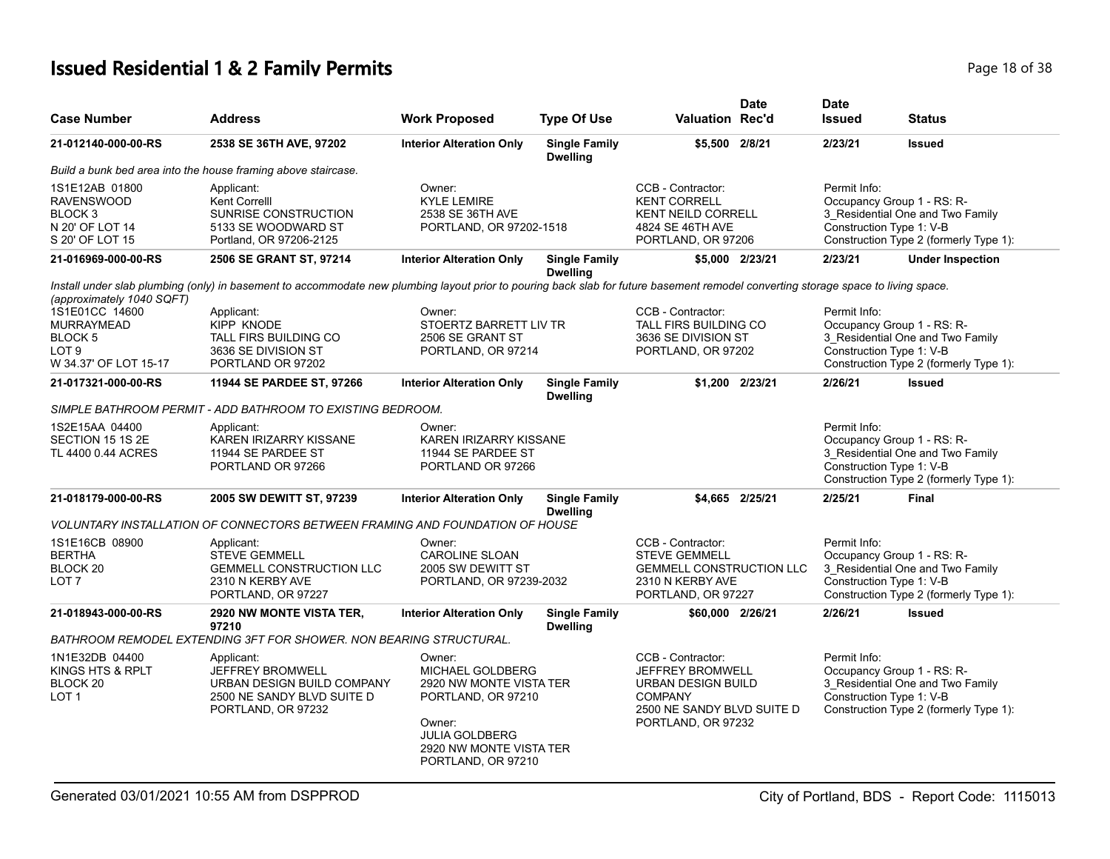# **Issued Residential 1 & 2 Family Permits Page 18 of 38** Page 18 of 38

| <b>Case Number</b>                                                                              | <b>Address</b>                                                                                                                                                                     | <b>Work Proposed</b>                                                                                                                                                   | <b>Type Of Use</b>                      | <b>Valuation Rec'd</b>                                                                                                            | <b>Date</b>     | <b>Date</b><br><b>Issued</b>             | <b>Status</b>                                                                                                                        |
|-------------------------------------------------------------------------------------------------|------------------------------------------------------------------------------------------------------------------------------------------------------------------------------------|------------------------------------------------------------------------------------------------------------------------------------------------------------------------|-----------------------------------------|-----------------------------------------------------------------------------------------------------------------------------------|-----------------|------------------------------------------|--------------------------------------------------------------------------------------------------------------------------------------|
| 21-012140-000-00-RS                                                                             | 2538 SE 36TH AVE, 97202                                                                                                                                                            | <b>Interior Alteration Only</b>                                                                                                                                        | <b>Single Family</b><br><b>Dwelling</b> | \$5,500 2/8/21                                                                                                                    |                 | 2/23/21                                  | <b>Issued</b>                                                                                                                        |
|                                                                                                 | Build a bunk bed area into the house framing above staircase.                                                                                                                      |                                                                                                                                                                        |                                         |                                                                                                                                   |                 |                                          |                                                                                                                                      |
| 1S1E12AB 01800<br><b>RAVENSWOOD</b><br>BLOCK <sub>3</sub><br>N 20' OF LOT 14<br>S 20' OF LOT 15 | Applicant:<br>Kent Correlll<br>SUNRISE CONSTRUCTION<br>5133 SE WOODWARD ST<br>Portland, OR 97206-2125                                                                              | Owner:<br><b>KYLE LEMIRE</b><br>2538 SE 36TH AVE<br>PORTLAND, OR 97202-1518                                                                                            |                                         | CCB - Contractor:<br><b>KENT CORRELL</b><br>KENT NEILD CORRELL<br>4824 SE 46TH AVE<br>PORTLAND, OR 97206                          |                 | Permit Info:<br>Construction Type 1: V-B | Occupancy Group 1 - RS: R-<br>3 Residential One and Two Family<br>Construction Type 2 (formerly Type 1):                             |
| 21-016969-000-00-RS                                                                             | 2506 SE GRANT ST, 97214                                                                                                                                                            | <b>Interior Alteration Only</b>                                                                                                                                        | <b>Single Family</b><br><b>Dwelling</b> |                                                                                                                                   | \$5,000 2/23/21 | 2/23/21                                  | <b>Under Inspection</b>                                                                                                              |
| (approximately 1040 SQFT)                                                                       | Install under slab plumbing (only) in basement to accommodate new plumbing layout prior to pouring back slab for future basement remodel converting storage space to living space. |                                                                                                                                                                        |                                         |                                                                                                                                   |                 |                                          |                                                                                                                                      |
| 1S1E01CC 14600<br><b>MURRAYMEAD</b><br>BLOCK 5<br>LOT <sub>9</sub><br>W 34.37' OF LOT 15-17     | Applicant:<br><b>KIPP KNODE</b><br><b>TALL FIRS BUILDING CO</b><br>3636 SE DIVISION ST<br>PORTLAND OR 97202                                                                        | Owner:<br>STOERTZ BARRETT LIV TR<br>2506 SE GRANT ST<br>PORTLAND, OR 97214                                                                                             |                                         | CCB - Contractor:<br><b>TALL FIRS BUILDING CO</b><br>3636 SE DIVISION ST<br>PORTLAND, OR 97202                                    |                 | Permit Info:<br>Construction Type 1: V-B | Occupancy Group 1 - RS: R-<br>3_Residential One and Two Family<br>Construction Type 2 (formerly Type 1):                             |
| 21-017321-000-00-RS                                                                             | 11944 SE PARDEE ST, 97266                                                                                                                                                          | <b>Interior Alteration Only</b>                                                                                                                                        | <b>Single Family</b><br><b>Dwelling</b> |                                                                                                                                   | \$1,200 2/23/21 | 2/26/21                                  | <b>Issued</b>                                                                                                                        |
|                                                                                                 | SIMPLE BATHROOM PERMIT - ADD BATHROOM TO EXISTING BEDROOM.                                                                                                                         |                                                                                                                                                                        |                                         |                                                                                                                                   |                 |                                          |                                                                                                                                      |
| 1S2E15AA 04400<br>SECTION 15 1S 2E<br>TL 4400 0.44 ACRES                                        | Applicant:<br>KAREN IRIZARRY KISSANE<br>11944 SE PARDEE ST<br>PORTLAND OR 97266                                                                                                    | Owner:<br>KAREN IRIZARRY KISSANE<br>11944 SE PARDEE ST<br>PORTLAND OR 97266                                                                                            |                                         |                                                                                                                                   |                 | Permit Info:                             | Occupancy Group 1 - RS: R-<br>3_Residential One and Two Family<br>Construction Type 1: V-B<br>Construction Type 2 (formerly Type 1): |
| 21-018179-000-00-RS                                                                             | 2005 SW DEWITT ST, 97239                                                                                                                                                           | <b>Interior Alteration Only</b>                                                                                                                                        | <b>Single Family</b><br><b>Dwelling</b> |                                                                                                                                   | \$4.665 2/25/21 | 2/25/21                                  | <b>Final</b>                                                                                                                         |
|                                                                                                 | VOLUNTARY INSTALLATION OF CONNECTORS BETWEEN FRAMING AND FOUNDATION OF HOUSE                                                                                                       |                                                                                                                                                                        |                                         |                                                                                                                                   |                 |                                          |                                                                                                                                      |
| 1S1E16CB 08900<br><b>BERTHA</b><br>BLOCK <sub>20</sub><br>LOT 7                                 | Applicant:<br><b>STEVE GEMMELL</b><br><b>GEMMELL CONSTRUCTION LLC</b><br>2310 N KERBY AVE<br>PORTLAND, OR 97227                                                                    | Owner:<br><b>CAROLINE SLOAN</b><br>2005 SW DEWITT ST<br>PORTLAND, OR 97239-2032                                                                                        |                                         | CCB - Contractor:<br><b>STEVE GEMMELL</b><br><b>GEMMELL CONSTRUCTION LLC</b><br>2310 N KERBY AVE<br>PORTLAND, OR 97227            |                 | Permit Info:                             | Occupancy Group 1 - RS: R-<br>3 Residential One and Two Family<br>Construction Type 1: V-B<br>Construction Type 2 (formerly Type 1): |
| 21-018943-000-00-RS                                                                             | 2920 NW MONTE VISTA TER,<br>97210                                                                                                                                                  | <b>Interior Alteration Only</b>                                                                                                                                        | <b>Single Family</b><br><b>Dwelling</b> | \$60,000 2/26/21                                                                                                                  |                 | 2/26/21                                  | <b>Issued</b>                                                                                                                        |
|                                                                                                 | BATHROOM REMODEL EXTENDING 3FT FOR SHOWER. NON BEARING STRUCTURAL.                                                                                                                 |                                                                                                                                                                        |                                         |                                                                                                                                   |                 |                                          |                                                                                                                                      |
| 1N1E32DB 04400<br>KINGS HTS & RPLT<br>BLOCK <sub>20</sub><br>LOT <sub>1</sub>                   | Applicant:<br>JEFFREY BROMWELL<br>URBAN DESIGN BUILD COMPANY<br>2500 NE SANDY BLVD SUITE D<br>PORTLAND, OR 97232                                                                   | Owner:<br><b>MICHAEL GOLDBERG</b><br>2920 NW MONTE VISTA TER<br>PORTLAND, OR 97210<br>Owner:<br><b>JULIA GOLDBERG</b><br>2920 NW MONTE VISTA TER<br>PORTLAND, OR 97210 |                                         | CCB - Contractor:<br>JEFFREY BROMWELL<br>URBAN DESIGN BUILD<br><b>COMPANY</b><br>2500 NE SANDY BLVD SUITE D<br>PORTLAND, OR 97232 |                 | Permit Info:                             | Occupancy Group 1 - RS: R-<br>3 Residential One and Two Family<br>Construction Type 1: V-B<br>Construction Type 2 (formerly Type 1): |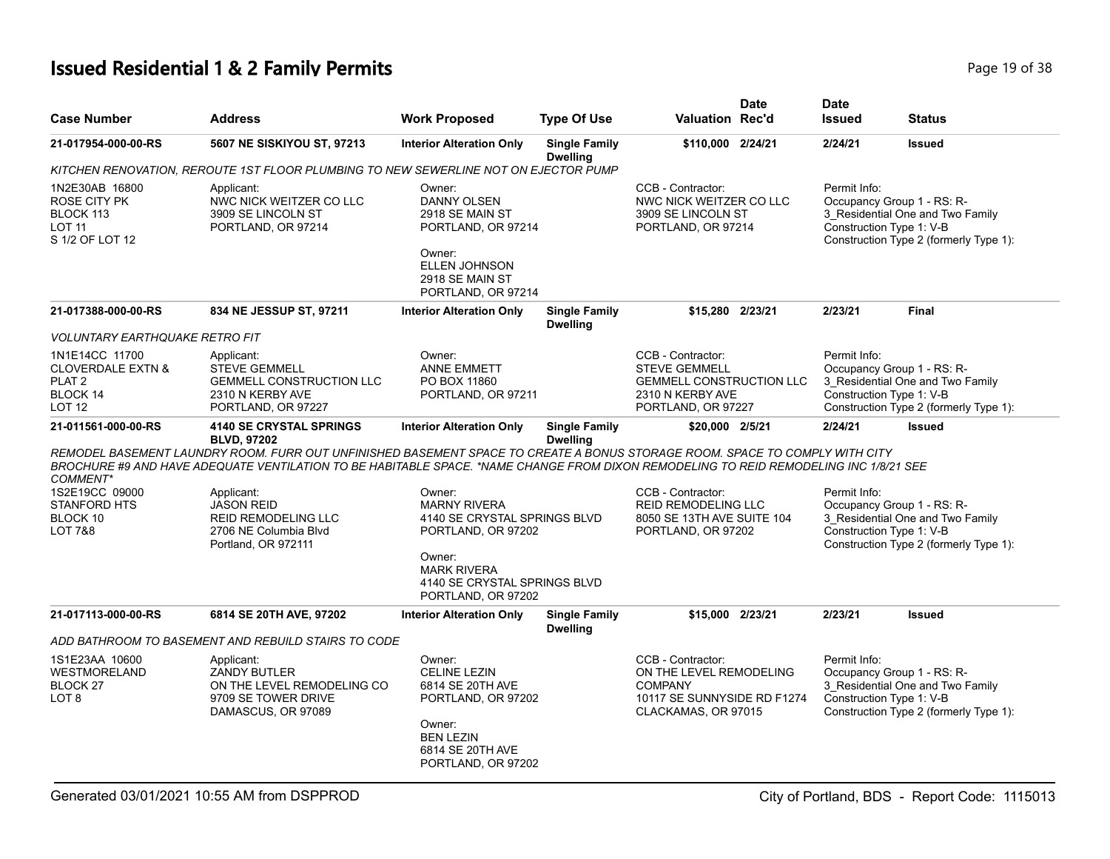# **Issued Residential 1 & 2 Family Permits Page 19 of 38 Page 19 of 38**

| <b>Case Number</b>                                                                                                                                                                                                                                                                                                                                                                                                                                                                                                                                                                         | <b>Address</b>                                                                                                  | <b>Work Proposed</b>                                                                                                                             | <b>Type Of Use</b>                                                                                  | <b>Valuation Rec'd</b>                                                                                                 | <b>Date</b>                                                                                                                                          | <b>Date</b><br><b>Issued</b>                                                                                                                         | <b>Status</b>                                                                                            |
|--------------------------------------------------------------------------------------------------------------------------------------------------------------------------------------------------------------------------------------------------------------------------------------------------------------------------------------------------------------------------------------------------------------------------------------------------------------------------------------------------------------------------------------------------------------------------------------------|-----------------------------------------------------------------------------------------------------------------|--------------------------------------------------------------------------------------------------------------------------------------------------|-----------------------------------------------------------------------------------------------------|------------------------------------------------------------------------------------------------------------------------|------------------------------------------------------------------------------------------------------------------------------------------------------|------------------------------------------------------------------------------------------------------------------------------------------------------|----------------------------------------------------------------------------------------------------------|
| 21-017954-000-00-RS                                                                                                                                                                                                                                                                                                                                                                                                                                                                                                                                                                        | 5607 NE SISKIYOU ST, 97213                                                                                      | <b>Interior Alteration Only</b>                                                                                                                  | <b>Single Family</b><br><b>Dwelling</b>                                                             | \$110,000 2/24/21                                                                                                      |                                                                                                                                                      | 2/24/21                                                                                                                                              | <b>Issued</b>                                                                                            |
|                                                                                                                                                                                                                                                                                                                                                                                                                                                                                                                                                                                            | KITCHEN RENOVATION, REROUTE 1ST FLOOR PLUMBING TO NEW SEWERLINE NOT ON EJECTOR PUMP                             |                                                                                                                                                  |                                                                                                     |                                                                                                                        |                                                                                                                                                      |                                                                                                                                                      |                                                                                                          |
| 1N2E30AB 16800<br>ROSE CITY PK<br>BLOCK 113<br><b>LOT 11</b><br>S 1/2 OF LOT 12                                                                                                                                                                                                                                                                                                                                                                                                                                                                                                            | Applicant:<br>NWC NICK WEITZER CO LLC<br>3909 SE LINCOLN ST<br>PORTLAND, OR 97214                               | Owner:<br><b>DANNY OLSEN</b><br>2918 SE MAIN ST<br>PORTLAND, OR 97214<br>Owner:<br><b>ELLEN JOHNSON</b><br>2918 SE MAIN ST<br>PORTLAND, OR 97214 |                                                                                                     | CCB - Contractor:<br>NWC NICK WEITZER CO LLC<br>3909 SE LINCOLN ST<br>PORTLAND, OR 97214                               |                                                                                                                                                      | Permit Info:<br>Occupancy Group 1 - RS: R-<br>3_Residential One and Two Family<br>Construction Type 1: V-B<br>Construction Type 2 (formerly Type 1): |                                                                                                          |
| 21-017388-000-00-RS                                                                                                                                                                                                                                                                                                                                                                                                                                                                                                                                                                        | 834 NE JESSUP ST, 97211                                                                                         | <b>Interior Alteration Only</b>                                                                                                                  | <b>Single Family</b><br><b>Dwelling</b>                                                             | \$15,280 2/23/21                                                                                                       |                                                                                                                                                      | 2/23/21                                                                                                                                              | Final                                                                                                    |
| <b>VOLUNTARY EARTHQUAKE RETRO FIT</b>                                                                                                                                                                                                                                                                                                                                                                                                                                                                                                                                                      |                                                                                                                 |                                                                                                                                                  |                                                                                                     |                                                                                                                        |                                                                                                                                                      |                                                                                                                                                      |                                                                                                          |
| 1N1E14CC 11700<br><b>CLOVERDALE EXTN &amp;</b><br>PLAT <sub>2</sub><br>BLOCK 14<br>LOT <sub>12</sub>                                                                                                                                                                                                                                                                                                                                                                                                                                                                                       | Applicant:<br><b>STEVE GEMMELL</b><br><b>GEMMELL CONSTRUCTION LLC</b><br>2310 N KERBY AVE<br>PORTLAND, OR 97227 | Owner:<br><b>ANNE EMMETT</b><br>PO BOX 11860<br>PORTLAND, OR 97211                                                                               |                                                                                                     | CCB - Contractor:<br><b>STEVE GEMMELL</b><br><b>GEMMELL CONSTRUCTION LLC</b><br>2310 N KERBY AVE<br>PORTLAND, OR 97227 |                                                                                                                                                      | Permit Info:<br>Occupancy Group 1 - RS: R-<br>Construction Type 1: V-B                                                                               | 3 Residential One and Two Family<br>Construction Type 2 (formerly Type 1):                               |
| 21-011561-000-00-RS                                                                                                                                                                                                                                                                                                                                                                                                                                                                                                                                                                        | <b>4140 SE CRYSTAL SPRINGS</b>                                                                                  | <b>Interior Alteration Only</b>                                                                                                                  | <b>Single Family</b>                                                                                | \$20,000 2/5/21                                                                                                        |                                                                                                                                                      | 2/24/21                                                                                                                                              | <b>Issued</b>                                                                                            |
| <b>BLVD, 97202</b><br><b>Dwelling</b><br>REMODEL BASEMENT LAUNDRY ROOM. FURR OUT UNFINISHED BASEMENT SPACE TO CREATE A BONUS STORAGE ROOM. SPACE TO COMPLY WITH CITY<br>BROCHURE #9 AND HAVE ADEQUATE VENTILATION TO BE HABITABLE SPACE. *NAME CHANGE FROM DIXON REMODELING TO REID REMODELING INC 1/8/21 SEE<br>COMMENT*<br>1S2E19CC 09000<br>Owner:<br>Applicant:<br><b>JASON REID</b><br><b>MARNY RIVERA</b><br><b>STANFORD HTS</b><br>BLOCK 10<br>REID REMODELING LLC<br>4140 SE CRYSTAL SPRINGS BLVD<br>LOT 7&8<br>2706 NE Columbia Blvd<br>PORTLAND, OR 97202<br>Portland, OR 972111 |                                                                                                                 |                                                                                                                                                  | CCB - Contractor:<br><b>REID REMODELING LLC</b><br>8050 SE 13TH AVE SUITE 104<br>PORTLAND, OR 97202 |                                                                                                                        | Permit Info:<br>Occupancy Group 1 - RS: R-<br>3_Residential One and Two Family<br>Construction Type 1: V-B<br>Construction Type 2 (formerly Type 1): |                                                                                                                                                      |                                                                                                          |
|                                                                                                                                                                                                                                                                                                                                                                                                                                                                                                                                                                                            |                                                                                                                 | Owner:<br><b>MARK RIVERA</b><br>4140 SE CRYSTAL SPRINGS BLVD<br>PORTLAND, OR 97202                                                               |                                                                                                     |                                                                                                                        |                                                                                                                                                      |                                                                                                                                                      |                                                                                                          |
| 21-017113-000-00-RS                                                                                                                                                                                                                                                                                                                                                                                                                                                                                                                                                                        | 6814 SE 20TH AVE, 97202                                                                                         | <b>Interior Alteration Only</b>                                                                                                                  | <b>Single Family</b>                                                                                | \$15,000 2/23/21                                                                                                       |                                                                                                                                                      | 2/23/21                                                                                                                                              | <b>Issued</b>                                                                                            |
|                                                                                                                                                                                                                                                                                                                                                                                                                                                                                                                                                                                            | ADD BATHROOM TO BASEMENT AND REBUILD STAIRS TO CODE                                                             |                                                                                                                                                  | <b>Dwelling</b>                                                                                     |                                                                                                                        |                                                                                                                                                      |                                                                                                                                                      |                                                                                                          |
| 1S1E23AA 10600<br>WESTMORELAND<br>BLOCK <sub>27</sub><br>LOT <sub>8</sub>                                                                                                                                                                                                                                                                                                                                                                                                                                                                                                                  | Applicant:<br><b>ZANDY BUTLER</b><br>ON THE LEVEL REMODELING CO<br>9709 SE TOWER DRIVE<br>DAMASCUS, OR 97089    | Owner:<br><b>CELINE LEZIN</b><br>6814 SE 20TH AVE<br>PORTLAND, OR 97202<br>Owner:<br><b>BEN LEZIN</b><br>6814 SE 20TH AVE<br>PORTLAND, OR 97202  |                                                                                                     | CCB - Contractor:<br>ON THE LEVEL REMODELING<br><b>COMPANY</b><br>10117 SE SUNNYSIDE RD F1274<br>CLACKAMAS, OR 97015   |                                                                                                                                                      | Permit Info:<br>Construction Type 1: V-B                                                                                                             | Occupancy Group 1 - RS: R-<br>3 Residential One and Two Family<br>Construction Type 2 (formerly Type 1): |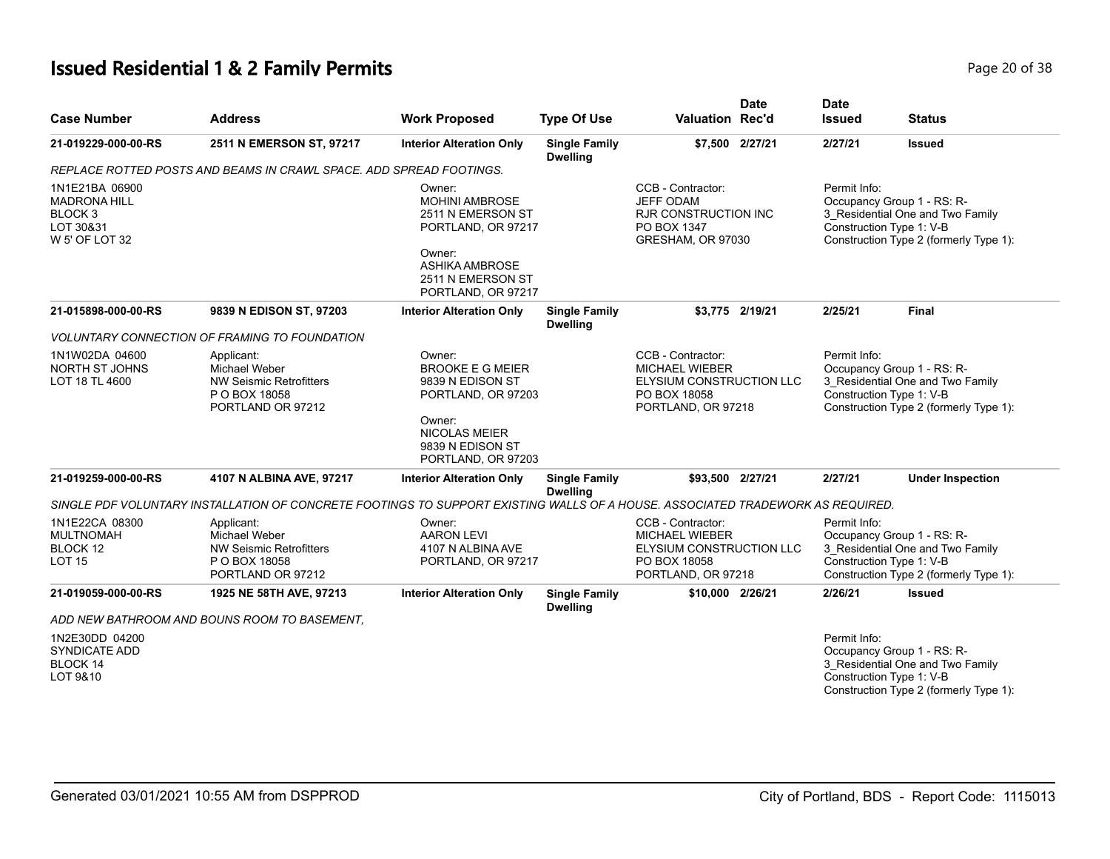# **Issued Residential 1 & 2 Family Permits Page 20 of 38 Page 20 of 38**

| <b>Case Number</b>                                                              | <b>Address</b>                                                                                                                 | <b>Work Proposed</b>                                                                                                        | <b>Type Of Use</b>                      | <b>Valuation Rec'd</b>                                                                                              | <b>Date</b>     | <b>Date</b><br><b>Issued</b>                                                                                                                         | <b>Status</b>                                                                                            |  |
|---------------------------------------------------------------------------------|--------------------------------------------------------------------------------------------------------------------------------|-----------------------------------------------------------------------------------------------------------------------------|-----------------------------------------|---------------------------------------------------------------------------------------------------------------------|-----------------|------------------------------------------------------------------------------------------------------------------------------------------------------|----------------------------------------------------------------------------------------------------------|--|
| 21-019229-000-00-RS                                                             | 2511 N EMERSON ST, 97217                                                                                                       | <b>Interior Alteration Only</b>                                                                                             | <b>Single Family</b><br><b>Dwelling</b> |                                                                                                                     | \$7,500 2/27/21 | 2/27/21                                                                                                                                              | <b>Issued</b>                                                                                            |  |
|                                                                                 | REPLACE ROTTED POSTS AND BEAMS IN CRAWL SPACE. ADD SPREAD FOOTINGS.                                                            |                                                                                                                             |                                         |                                                                                                                     |                 |                                                                                                                                                      |                                                                                                          |  |
| 1N1E21BA 06900<br><b>MADRONA HILL</b><br>BLOCK 3<br>LOT 30&31<br>W 5' OF LOT 32 |                                                                                                                                | Owner:<br><b>MOHINI AMBROSE</b><br>2511 N EMERSON ST<br>PORTLAND, OR 97217<br>Owner:<br>ASHIKA AMBROSE<br>2511 N EMERSON ST |                                         | CCB - Contractor:<br><b>JEFF ODAM</b><br>RJR CONSTRUCTION INC<br>PO BOX 1347<br>GRESHAM, OR 97030                   |                 | Permit Info:<br>Occupancy Group 1 - RS: R-<br>3_Residential One and Two Family<br>Construction Type 1: V-B<br>Construction Type 2 (formerly Type 1): |                                                                                                          |  |
| 21-015898-000-00-RS                                                             | 9839 N EDISON ST, 97203                                                                                                        | PORTLAND, OR 97217<br><b>Interior Alteration Only</b>                                                                       | <b>Single Family</b><br><b>Dwelling</b> |                                                                                                                     | \$3,775 2/19/21 | 2/25/21                                                                                                                                              | Final                                                                                                    |  |
|                                                                                 | <b>VOLUNTARY CONNECTION OF FRAMING TO FOUNDATION</b>                                                                           |                                                                                                                             |                                         |                                                                                                                     |                 |                                                                                                                                                      |                                                                                                          |  |
| 1N1W02DA 04600<br>NORTH ST JOHNS<br>LOT 18 TL 4600                              | Applicant:<br>Michael Weber<br><b>NW Seismic Retrofitters</b><br>P O BOX 18058<br>PORTLAND OR 97212                            | Owner:<br><b>BROOKE E G MEIER</b><br>9839 N EDISON ST<br>PORTLAND, OR 97203<br>Owner:<br>NICOLAS MEIER<br>9839 N EDISON ST  |                                         | CCB - Contractor:<br><b>MICHAEL WIEBER</b><br><b>ELYSIUM CONSTRUCTION LLC</b><br>PO BOX 18058<br>PORTLAND, OR 97218 |                 | Permit Info:<br>Construction Type 1: V-B                                                                                                             | Occupancy Group 1 - RS: R-<br>3 Residential One and Two Family<br>Construction Type 2 (formerly Type 1): |  |
| 21-019259-000-00-RS                                                             | 4107 N ALBINA AVE, 97217                                                                                                       | PORTLAND, OR 97203<br><b>Interior Alteration Only</b>                                                                       | <b>Single Family</b><br><b>Dwelling</b> | \$93,500 2/27/21                                                                                                    |                 | 2/27/21                                                                                                                                              | <b>Under Inspection</b>                                                                                  |  |
|                                                                                 | SINGLE PDF VOLUNTARY INSTALLATION OF CONCRETE FOOTINGS TO SUPPORT EXISTING WALLS OF A HOUSE. ASSOCIATED TRADEWORK AS REQUIRED. |                                                                                                                             |                                         |                                                                                                                     |                 |                                                                                                                                                      |                                                                                                          |  |
| 1N1E22CA 08300<br><b>MULTNOMAH</b><br>BLOCK 12<br><b>LOT 15</b>                 | Applicant:<br>Michael Weber<br>NW Seismic Retrofitters<br>P O BOX 18058<br>PORTLAND OR 97212                                   | Owner:<br><b>AARON LEVI</b><br>4107 N ALBINA AVE<br>PORTLAND, OR 97217                                                      |                                         | CCB - Contractor:<br><b>MICHAEL WIEBER</b><br>ELYSIUM CONSTRUCTION LLC<br>PO BOX 18058<br>PORTLAND, OR 97218        |                 | Permit Info:<br>Construction Type 1: V-B                                                                                                             | Occupancy Group 1 - RS: R-<br>3_Residential One and Two Family<br>Construction Type 2 (formerly Type 1): |  |
| 21-019059-000-00-RS                                                             | 1925 NE 58TH AVE, 97213                                                                                                        | <b>Interior Alteration Only</b>                                                                                             | <b>Single Family</b><br><b>Dwelling</b> | \$10,000 2/26/21                                                                                                    |                 | 2/26/21                                                                                                                                              | <b>Issued</b>                                                                                            |  |
|                                                                                 | ADD NEW BATHROOM AND BOUNS ROOM TO BASEMENT.                                                                                   |                                                                                                                             |                                         |                                                                                                                     |                 |                                                                                                                                                      |                                                                                                          |  |
| 1N2E30DD 04200<br><b>SYNDICATE ADD</b><br><b>BLOCK 14</b><br>LOT 9&10           |                                                                                                                                |                                                                                                                             |                                         |                                                                                                                     |                 | Permit Info:<br>Construction Type 1: V-B                                                                                                             | Occupancy Group 1 - RS: R-<br>3_Residential One and Two Family<br>Construction Type 2 (formerly Type 1): |  |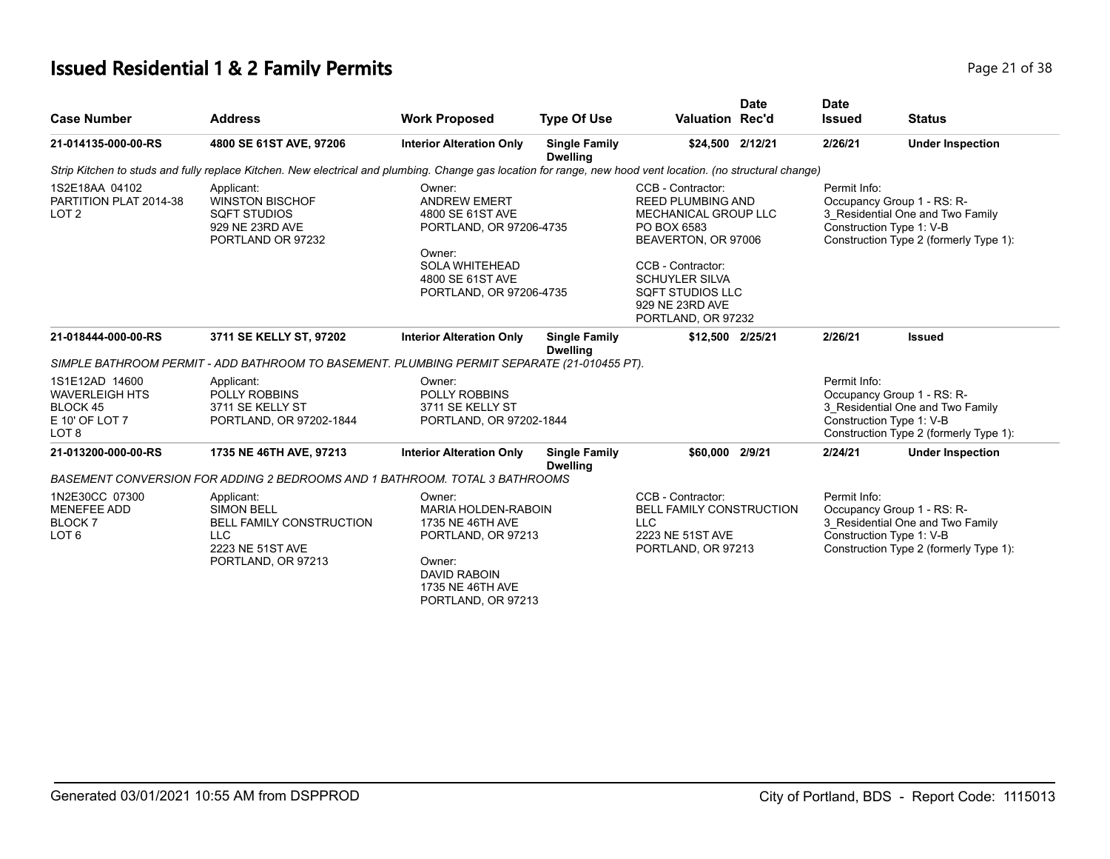# **Issued Residential 1 & 2 Family Permits Page 21 of 38 Page 21 of 38**

| <b>Case Number</b>                                                                        | <b>Address</b>                                                                                                                                               | <b>Work Proposed</b>                                                                                                                                                         | <b>Type Of Use</b>                      | <b>Valuation Rec'd</b>                                                                                                                                                                                                        | <b>Date</b> | <b>Date</b>                                                                                                                                          | <b>Status</b>                                                                                                                        |
|-------------------------------------------------------------------------------------------|--------------------------------------------------------------------------------------------------------------------------------------------------------------|------------------------------------------------------------------------------------------------------------------------------------------------------------------------------|-----------------------------------------|-------------------------------------------------------------------------------------------------------------------------------------------------------------------------------------------------------------------------------|-------------|------------------------------------------------------------------------------------------------------------------------------------------------------|--------------------------------------------------------------------------------------------------------------------------------------|
|                                                                                           |                                                                                                                                                              |                                                                                                                                                                              |                                         |                                                                                                                                                                                                                               |             | <b>Issued</b>                                                                                                                                        |                                                                                                                                      |
| 21-014135-000-00-RS                                                                       | 4800 SE 61ST AVE, 97206                                                                                                                                      | <b>Interior Alteration Only</b>                                                                                                                                              | <b>Single Family</b><br><b>Dwelling</b> | \$24,500 2/12/21                                                                                                                                                                                                              |             | 2/26/21                                                                                                                                              | <b>Under Inspection</b>                                                                                                              |
|                                                                                           | Strip Kitchen to studs and fully replace Kitchen. New electrical and plumbing. Change gas location for range, new hood vent location. (no structural change) |                                                                                                                                                                              |                                         |                                                                                                                                                                                                                               |             |                                                                                                                                                      |                                                                                                                                      |
| 1S2E18AA 04102<br>PARTITION PLAT 2014-38<br>LOT <sub>2</sub>                              | Applicant:<br><b>WINSTON BISCHOF</b><br><b>SQFT STUDIOS</b><br>929 NE 23RD AVE<br>PORTLAND OR 97232                                                          | Owner:<br><b>ANDREW EMERT</b><br>4800 SE 61ST AVE<br>PORTLAND, OR 97206-4735<br>Owner:<br><b>SOLA WHITEHEAD</b><br>4800 SE 61ST AVE<br>PORTLAND, OR 97206-4735               |                                         | CCB - Contractor:<br><b>REED PLUMBING AND</b><br>MECHANICAL GROUP LLC<br>PO BOX 6583<br>BEAVERTON, OR 97006<br>CCB - Contractor:<br><b>SCHUYLER SILVA</b><br><b>SQFT STUDIOS LLC</b><br>929 NE 23RD AVE<br>PORTLAND, OR 97232 |             | Permit Info:<br>Occupancy Group 1 - RS: R-<br>3 Residential One and Two Family<br>Construction Type 1: V-B<br>Construction Type 2 (formerly Type 1): |                                                                                                                                      |
| 21-018444-000-00-RS                                                                       | 3711 SE KELLY ST, 97202                                                                                                                                      | <b>Interior Alteration Only</b>                                                                                                                                              | <b>Single Family</b><br><b>Dwelling</b> | \$12,500 2/25/21                                                                                                                                                                                                              |             | 2/26/21                                                                                                                                              | <b>Issued</b>                                                                                                                        |
| 1S1E12AD 14600<br><b>WAVERLEIGH HTS</b><br>BLOCK 45<br>E 10' OF LOT 7<br>LOT <sub>8</sub> | Applicant:<br><b>POLLY ROBBINS</b><br>3711 SE KELLY ST<br>PORTLAND, OR 97202-1844                                                                            | SIMPLE BATHROOM PERMIT - ADD BATHROOM TO BASEMENT. PLUMBING PERMIT SEPARATE (21-010455 PT).<br>Owner:<br><b>POLLY ROBBINS</b><br>3711 SE KELLY ST<br>PORTLAND, OR 97202-1844 |                                         |                                                                                                                                                                                                                               |             | Permit Info:<br>Occupancy Group 1 - RS: R-<br>3 Residential One and Two Family<br>Construction Type 1: V-B<br>Construction Type 2 (formerly Type 1): |                                                                                                                                      |
| 21-013200-000-00-RS                                                                       | 1735 NE 46TH AVE, 97213                                                                                                                                      | <b>Interior Alteration Only</b>                                                                                                                                              | <b>Single Family</b><br><b>Dwelling</b> | \$60,000 2/9/21                                                                                                                                                                                                               |             | 2/24/21                                                                                                                                              | <b>Under Inspection</b>                                                                                                              |
|                                                                                           | BASEMENT CONVERSION FOR ADDING 2 BEDROOMS AND 1 BATHROOM. TOTAL 3 BATHROOMS                                                                                  |                                                                                                                                                                              |                                         |                                                                                                                                                                                                                               |             |                                                                                                                                                      |                                                                                                                                      |
| 1N2E30CC 07300<br><b>MENEFEE ADD</b><br><b>BLOCK7</b><br>LOT <sub>6</sub>                 | Applicant:<br><b>SIMON BELL</b><br>BELL FAMILY CONSTRUCTION<br><b>LLC</b><br>2223 NE 51ST AVE<br>PORTLAND, OR 97213                                          | Owner:<br><b>MARIA HOLDEN-RABOIN</b><br>1735 NE 46TH AVE<br>PORTLAND, OR 97213<br>Owner:<br><b>DAVID RABOIN</b><br>1735 NE 46TH AVE                                          |                                         | CCB - Contractor:<br>BELL FAMILY CONSTRUCTION<br><b>LLC</b><br>2223 NE 51ST AVE<br>PORTLAND, OR 97213                                                                                                                         |             | Permit Info:                                                                                                                                         | Occupancy Group 1 - RS: R-<br>3 Residential One and Two Family<br>Construction Type 1: V-B<br>Construction Type 2 (formerly Type 1): |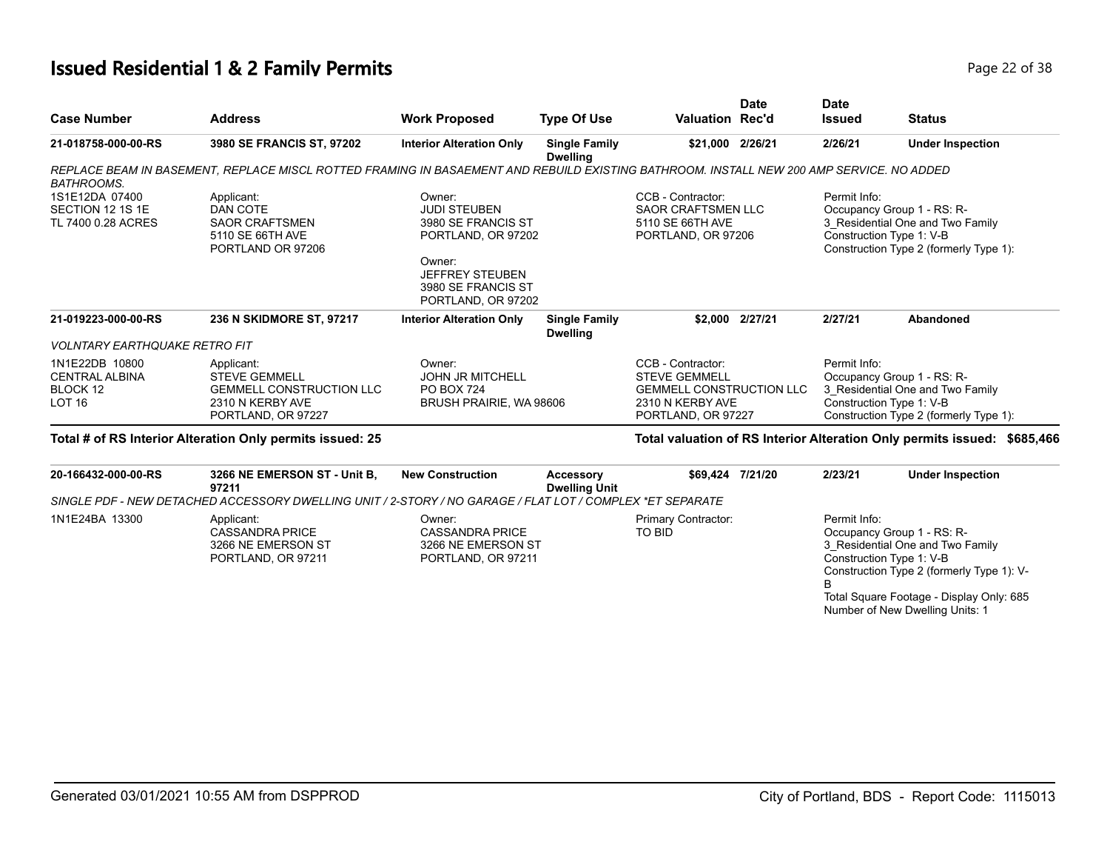#### **Issued Residential 1 & 2 Family Permits Page 22 of 38**

| <b>Case Number</b>                                                   | <b>Address</b>                                                                                                                           | <b>Work Proposed</b>                                                                                                                                      | <b>Type Of Use</b>                      | <b>Valuation Rec'd</b>                                                                                                 | Date                                                                                                                                                 | <b>Date</b><br><b>Issued</b> | <b>Status</b>                                                                                                                        |
|----------------------------------------------------------------------|------------------------------------------------------------------------------------------------------------------------------------------|-----------------------------------------------------------------------------------------------------------------------------------------------------------|-----------------------------------------|------------------------------------------------------------------------------------------------------------------------|------------------------------------------------------------------------------------------------------------------------------------------------------|------------------------------|--------------------------------------------------------------------------------------------------------------------------------------|
| 21-018758-000-00-RS                                                  | 3980 SE FRANCIS ST, 97202                                                                                                                | <b>Interior Alteration Only</b>                                                                                                                           | <b>Single Family</b><br><b>Dwelling</b> | \$21,000                                                                                                               | 2/26/21                                                                                                                                              | 2/26/21                      | <b>Under Inspection</b>                                                                                                              |
| <b>BATHROOMS.</b>                                                    | REPLACE BEAM IN BASEMENT. REPLACE MISCL ROTTED FRAMING IN BASAEMENT AND REBUILD EXISTING BATHROOM. INSTALL NEW 200 AMP SERVICE. NO ADDED |                                                                                                                                                           |                                         |                                                                                                                        |                                                                                                                                                      |                              |                                                                                                                                      |
| 1S1E12DA 07400<br>SECTION 12 1S 1E<br>TL 7400 0.28 ACRES             | Applicant:<br>DAN COTE<br><b>SAOR CRAFTSMEN</b><br>5110 SE 66TH AVE<br>PORTLAND OR 97206                                                 | Owner:<br><b>JUDI STEUBEN</b><br>3980 SE FRANCIS ST<br>PORTLAND, OR 97202<br>Owner:<br><b>JEFFREY STEUBEN</b><br>3980 SE FRANCIS ST<br>PORTLAND, OR 97202 |                                         | CCB - Contractor:<br><b>SAOR CRAFTSMEN LLC</b><br>5110 SE 66TH AVE<br>PORTLAND, OR 97206                               |                                                                                                                                                      | Permit Info:                 | Occupancy Group 1 - RS: R-<br>3 Residential One and Two Family<br>Construction Type 1: V-B<br>Construction Type 2 (formerly Type 1): |
| 21-019223-000-00-RS                                                  | 236 N SKIDMORE ST, 97217                                                                                                                 | <b>Interior Alteration Only</b>                                                                                                                           | <b>Single Family</b><br><b>Dwelling</b> |                                                                                                                        | \$2.000 2/27/21                                                                                                                                      | 2/27/21                      | Abandoned                                                                                                                            |
| <i><b>VOLNTARY EARTHQUAKE RETRO FIT</b></i>                          |                                                                                                                                          |                                                                                                                                                           |                                         |                                                                                                                        |                                                                                                                                                      |                              |                                                                                                                                      |
| 1N1E22DB 10800<br><b>CENTRAL ALBINA</b><br>BLOCK 12<br><b>LOT 16</b> | Applicant:<br><b>STEVE GEMMELL</b><br><b>GEMMELL CONSTRUCTION LLC</b><br>2310 N KERBY AVE<br>PORTLAND, OR 97227                          | Owner:<br><b>JOHN JR MITCHELL</b><br><b>PO BOX 724</b><br>BRUSH PRAIRIE, WA 98606                                                                         |                                         | CCB - Contractor:<br><b>STEVE GEMMELL</b><br><b>GEMMELL CONSTRUCTION LLC</b><br>2310 N KERBY AVE<br>PORTLAND, OR 97227 | Permit Info:<br>Occupancy Group 1 - RS: R-<br>3 Residential One and Two Family<br>Construction Type 1: V-B<br>Construction Type 2 (formerly Type 1): |                              |                                                                                                                                      |
|                                                                      | Total # of RS Interior Alteration Only permits issued: 25                                                                                |                                                                                                                                                           |                                         |                                                                                                                        |                                                                                                                                                      |                              | Total valuation of RS Interior Alteration Only permits issued:<br>\$685,466                                                          |
| 20-166432-000-00-RS                                                  | 3266 NE EMERSON ST - Unit B.<br>67944                                                                                                    | <b>New Construction</b>                                                                                                                                   | <b>Accessory</b><br>Durallin a Hait     |                                                                                                                        | \$69,424 7/21/20                                                                                                                                     | 2/23/21                      | <b>Under Inspection</b>                                                                                                              |

|                | 97211                                                                            | Dwelling Unit<br>SINGLE PDF - NEW DETACHED ACCESSORY DWELLING UNIT / 2-STORY / NO GARAGE / FLAT LOT / COMPLEX *ET SEPARATE |                               |                                                                                                                                                         |
|----------------|----------------------------------------------------------------------------------|----------------------------------------------------------------------------------------------------------------------------|-------------------------------|---------------------------------------------------------------------------------------------------------------------------------------------------------|
| 1N1E24BA 13300 | Applicant:<br><b>CASSANDRA PRICE</b><br>3266 NE EMERSON ST<br>PORTLAND, OR 97211 | Owner:<br><b>CASSANDRA PRICE</b><br>3266 NE EMERSON ST<br>PORTLAND, OR 97211                                               | Primary Contractor:<br>TO BID | Permit Info:<br>Occupancy Group 1 - RS: R-<br>3 Residential One and Two Family<br>Construction Type 1: V-B<br>Construction Type 2 (formerly Type 1): V- |

Total Square Footage - Display Only: 685 Number of New Dwelling Units: 1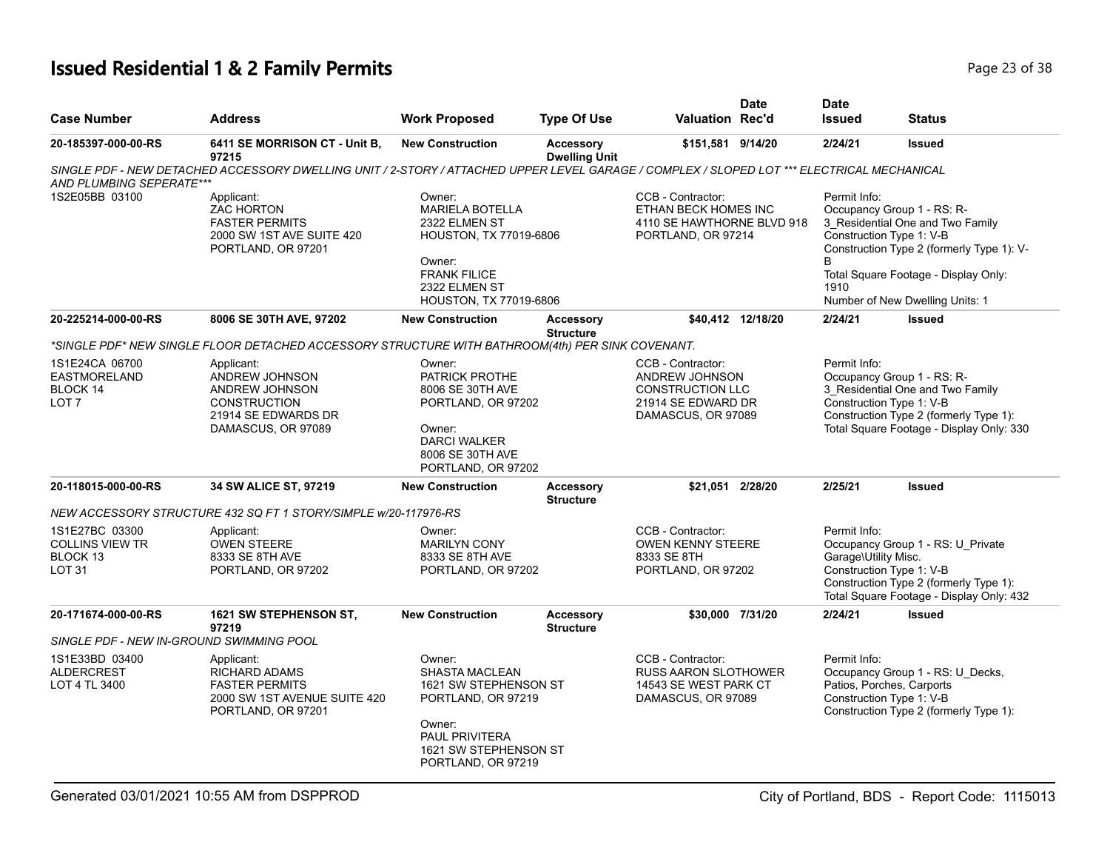# **Issued Residential 1 & 2 Family Permits Page 23 of 38 Page 23 of 38**

|                                                                           |                                                                                                                                            |                                                                                                                                                                  |                                          |                                                                                                            | <b>Date</b>       | <b>Date</b>                          |                                                                                                                                                                                                                    |
|---------------------------------------------------------------------------|--------------------------------------------------------------------------------------------------------------------------------------------|------------------------------------------------------------------------------------------------------------------------------------------------------------------|------------------------------------------|------------------------------------------------------------------------------------------------------------|-------------------|--------------------------------------|--------------------------------------------------------------------------------------------------------------------------------------------------------------------------------------------------------------------|
| <b>Case Number</b>                                                        | <b>Address</b>                                                                                                                             | <b>Work Proposed</b>                                                                                                                                             | <b>Type Of Use</b>                       | <b>Valuation Rec'd</b>                                                                                     |                   | <b>Issued</b>                        | Status                                                                                                                                                                                                             |
| 20-185397-000-00-RS                                                       | 6411 SE MORRISON CT - Unit B,<br>97215                                                                                                     | <b>New Construction</b>                                                                                                                                          | <b>Accessory</b><br><b>Dwelling Unit</b> | \$151,581 9/14/20                                                                                          |                   | 2/24/21                              | <b>Issued</b>                                                                                                                                                                                                      |
| AND PLUMBING SEPERATE***                                                  | SINGLE PDF - NEW DETACHED ACCESSORY DWELLING UNIT / 2-STORY / ATTACHED UPPER LEVEL GARAGE / COMPLEX / SLOPED LOT *** ELECTRICAL MECHANICAL |                                                                                                                                                                  |                                          |                                                                                                            |                   |                                      |                                                                                                                                                                                                                    |
| 1S2E05BB 03100                                                            | Applicant:<br><b>ZAC HORTON</b><br><b>FASTER PERMITS</b><br>2000 SW 1ST AVE SUITE 420<br>PORTLAND, OR 97201                                | Owner:<br><b>MARIELA BOTELLA</b><br>2322 ELMEN ST<br>HOUSTON, TX 77019-6806<br>Owner:<br><b>FRANK FILICE</b><br>2322 ELMEN ST<br>HOUSTON, TX 77019-6806          |                                          | CCB - Contractor:<br>ETHAN BECK HOMES INC<br>4110 SE HAWTHORNE BLVD 918<br>PORTLAND, OR 97214              |                   | Permit Info:<br>B<br>1910            | Occupancy Group 1 - RS: R-<br>3 Residential One and Two Family<br>Construction Type 1: V-B<br>Construction Type 2 (formerly Type 1): V-<br>Total Square Footage - Display Only:<br>Number of New Dwelling Units: 1 |
| 20-225214-000-00-RS                                                       | 8006 SE 30TH AVE, 97202                                                                                                                    | <b>New Construction</b>                                                                                                                                          | <b>Accessory</b><br><b>Structure</b>     |                                                                                                            | \$40,412 12/18/20 | 2/24/21                              | <b>Issued</b>                                                                                                                                                                                                      |
|                                                                           | *SINGLE PDF* NEW SINGLE FLOOR DETACHED ACCESSORY STRUCTURE WITH BATHROOM(4th) PER SINK COVENANT.                                           |                                                                                                                                                                  |                                          |                                                                                                            |                   |                                      |                                                                                                                                                                                                                    |
| 1S1E24CA 06700<br>EASTMORELAND<br>BLOCK 14<br>LOT <sub>7</sub>            | Applicant:<br>ANDREW JOHNSON<br>ANDREW JOHNSON<br><b>CONSTRUCTION</b><br>21914 SE EDWARDS DR<br>DAMASCUS, OR 97089                         | Owner:<br>PATRICK PROTHE<br>8006 SE 30TH AVE<br>PORTLAND, OR 97202<br>Owner:<br><b>DARCI WALKER</b><br>8006 SE 30TH AVE<br>PORTLAND, OR 97202                    |                                          | CCB - Contractor:<br>ANDREW JOHNSON<br><b>CONSTRUCTION LLC</b><br>21914 SE EDWARD DR<br>DAMASCUS, OR 97089 |                   | Permit Info:                         | Occupancy Group 1 - RS: R-<br>3 Residential One and Two Family<br>Construction Type 1: V-B<br>Construction Type 2 (formerly Type 1):<br>Total Square Footage - Display Only: 330                                   |
| 20-118015-000-00-RS                                                       | 34 SW ALICE ST, 97219                                                                                                                      | <b>New Construction</b>                                                                                                                                          | <b>Accessory</b><br><b>Structure</b>     | \$21,051 2/28/20                                                                                           |                   | 2/25/21                              | <b>Issued</b>                                                                                                                                                                                                      |
|                                                                           | NEW ACCESSORY STRUCTURE 432 SQ FT 1 STORY/SIMPLE w/20-117976-RS                                                                            |                                                                                                                                                                  |                                          |                                                                                                            |                   |                                      |                                                                                                                                                                                                                    |
| 1S1E27BC 03300<br><b>COLLINS VIEW TR</b><br>BLOCK 13<br>LOT <sub>31</sub> | Applicant:<br><b>OWEN STEERE</b><br>8333 SE 8TH AVE<br>PORTLAND, OR 97202                                                                  | Owner:<br><b>MARILYN CONY</b><br>8333 SE 8TH AVE<br>PORTLAND, OR 97202                                                                                           |                                          | CCB - Contractor:<br><b>OWEN KENNY STEERE</b><br>8333 SE 8TH<br>PORTLAND, OR 97202                         |                   | Permit Info:<br>Garage\Utility Misc. | Occupancy Group 1 - RS: U_Private<br>Construction Type 1: V-B<br>Construction Type 2 (formerly Type 1):<br>Total Square Footage - Display Only: 432                                                                |
| 20-171674-000-00-RS                                                       | <b>1621 SW STEPHENSON ST.</b><br>97219                                                                                                     | <b>New Construction</b>                                                                                                                                          | <b>Accessory</b>                         | \$30,000 7/31/20                                                                                           |                   | 2/24/21                              | <b>Issued</b>                                                                                                                                                                                                      |
| SINGLE PDF - NEW IN-GROUND SWIMMING POOL                                  |                                                                                                                                            |                                                                                                                                                                  | <b>Structure</b>                         |                                                                                                            |                   |                                      |                                                                                                                                                                                                                    |
| 1S1E33BD 03400<br><b>ALDERCREST</b><br>LOT 4 TL 3400                      | Applicant:<br><b>RICHARD ADAMS</b><br><b>FASTER PERMITS</b><br>2000 SW 1ST AVENUE SUITE 420<br>PORTLAND, OR 97201                          | Owner:<br><b>SHASTA MACLEAN</b><br>1621 SW STEPHENSON ST<br>PORTLAND, OR 97219<br>Owner:<br><b>PAUL PRIVITERA</b><br>1621 SW STEPHENSON ST<br>PORTLAND, OR 97219 |                                          | CCB - Contractor:<br><b>RUSS AARON SLOTHOWER</b><br>14543 SE WEST PARK CT<br>DAMASCUS, OR 97089            |                   | Permit Info:                         | Occupancy Group 1 - RS: U_Decks,<br>Patios, Porches, Carports<br>Construction Type 1: V-B<br>Construction Type 2 (formerly Type 1):                                                                                |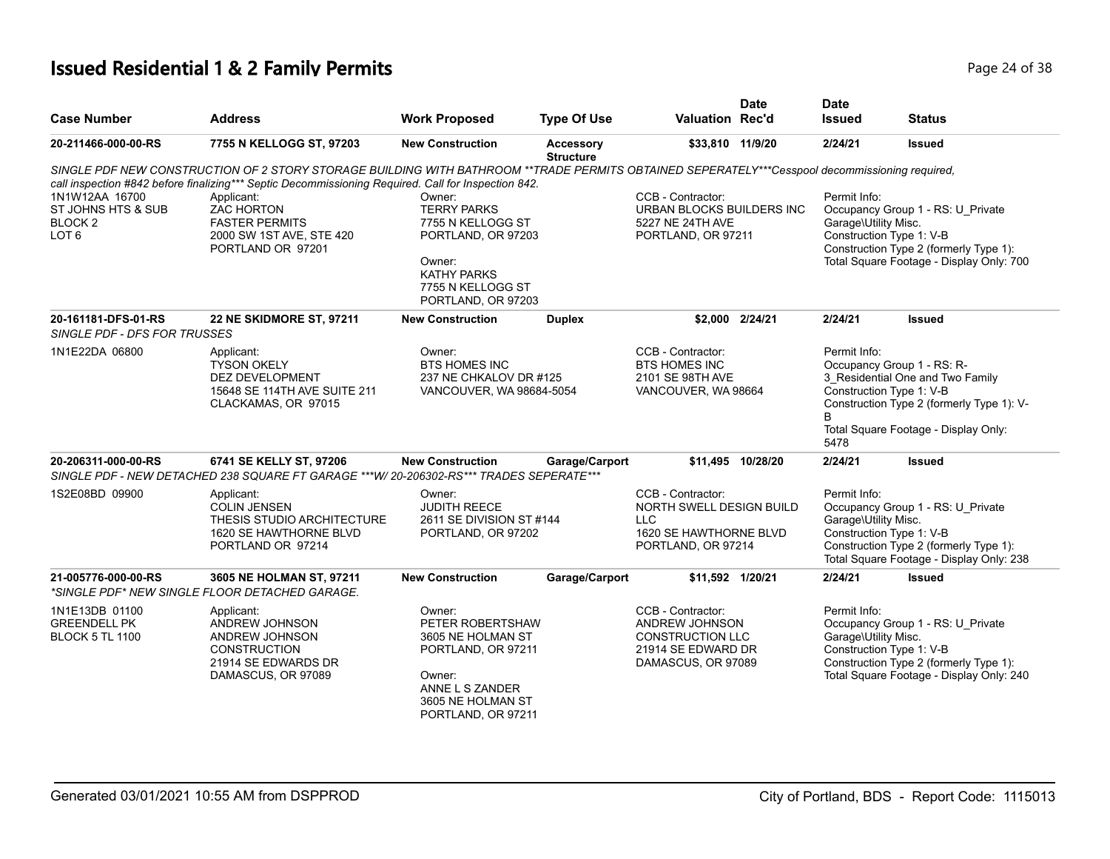# **Issued Residential 1 & 2 Family Permits Page 24 of 38 Page 24 of 38**

| <b>Case Number</b>                                                             | <b>Address</b>                                                                                                                                                                                                                                        | <b>Work Proposed</b>                                                                                                                               | <b>Type Of Use</b>                   | <b>Valuation Rec'd</b>                                                                                     | <b>Date</b>       | <b>Date</b><br><b>Issued</b>         | <b>Status</b>                                                                                                                                                                   |
|--------------------------------------------------------------------------------|-------------------------------------------------------------------------------------------------------------------------------------------------------------------------------------------------------------------------------------------------------|----------------------------------------------------------------------------------------------------------------------------------------------------|--------------------------------------|------------------------------------------------------------------------------------------------------------|-------------------|--------------------------------------|---------------------------------------------------------------------------------------------------------------------------------------------------------------------------------|
| 20-211466-000-00-RS                                                            | 7755 N KELLOGG ST, 97203                                                                                                                                                                                                                              | <b>New Construction</b>                                                                                                                            | <b>Accessory</b><br><b>Structure</b> | \$33,810 11/9/20                                                                                           |                   | 2/24/21                              | Issued                                                                                                                                                                          |
|                                                                                | SINGLE PDF NEW CONSTRUCTION OF 2 STORY STORAGE BUILDING WITH BATHROOM **TRADE PERMITS OBTAINED SEPERATELY***Cesspool decommissioning required,<br>call inspection #842 before finalizing*** Septic Decommissioning Required. Call for Inspection 842. |                                                                                                                                                    |                                      |                                                                                                            |                   |                                      |                                                                                                                                                                                 |
| 1N1W12AA 16700<br>ST JOHNS HTS & SUB<br>BLOCK <sub>2</sub><br>LOT <sub>6</sub> | Applicant:<br><b>ZAC HORTON</b><br><b>FASTER PERMITS</b><br>2000 SW 1ST AVE, STE 420<br>PORTLAND OR 97201                                                                                                                                             | Owner:<br><b>TERRY PARKS</b><br>7755 N KELLOGG ST<br>PORTLAND, OR 97203<br>Owner:<br><b>KATHY PARKS</b><br>7755 N KELLOGG ST<br>PORTLAND, OR 97203 |                                      | CCB - Contractor:<br>URBAN BLOCKS BUILDERS INC<br>5227 NE 24TH AVE<br>PORTLAND, OR 97211                   |                   | Permit Info:<br>Garage\Utility Misc. | Occupancy Group 1 - RS: U Private<br>Construction Type 1: V-B<br>Construction Type 2 (formerly Type 1):<br>Total Square Footage - Display Only: 700                             |
| 20-161181-DFS-01-RS<br><b>SINGLE PDF - DFS FOR TRUSSES</b>                     | 22 NE SKIDMORE ST, 97211                                                                                                                                                                                                                              | <b>New Construction</b>                                                                                                                            | <b>Duplex</b>                        |                                                                                                            | \$2,000 2/24/21   | 2/24/21                              | Issued                                                                                                                                                                          |
| 1N1E22DA 06800                                                                 | Applicant:<br><b>TYSON OKELY</b><br>DEZ DEVELOPMENT<br>15648 SE 114TH AVE SUITE 211<br>CLACKAMAS, OR 97015                                                                                                                                            | Owner:<br><b>BTS HOMES INC</b><br>237 NE CHKALOV DR #125<br>VANCOUVER, WA 98684-5054                                                               |                                      | CCB - Contractor:<br><b>BTS HOMES INC</b><br>2101 SE 98TH AVE<br>VANCOUVER, WA 98664                       |                   | Permit Info:<br>B<br>5478            | Occupancy Group 1 - RS: R-<br>3_Residential One and Two Family<br>Construction Type 1: V-B<br>Construction Type 2 (formerly Type 1): V-<br>Total Square Footage - Display Only: |
| 20-206311-000-00-RS                                                            | 6741 SE KELLY ST, 97206<br>SINGLE PDF - NEW DETACHED 238 SQUARE FT GARAGE ***W/ 20-206302-RS*** TRADES SEPERATE***                                                                                                                                    | <b>New Construction</b>                                                                                                                            | Garage/Carport                       |                                                                                                            | \$11.495 10/28/20 | 2/24/21                              | <b>Issued</b>                                                                                                                                                                   |
| 1S2E08BD 09900                                                                 | Applicant:<br><b>COLIN JENSEN</b><br>THESIS STUDIO ARCHITECTURE<br>1620 SE HAWTHORNE BLVD<br>PORTLAND OR 97214                                                                                                                                        | Owner:<br><b>JUDITH REECE</b><br>2611 SE DIVISION ST #144<br>PORTLAND, OR 97202                                                                    |                                      | CCB - Contractor:<br>NORTH SWELL DESIGN BUILD<br>LLC<br>1620 SE HAWTHORNE BLVD<br>PORTLAND, OR 97214       |                   | Permit Info:<br>Garage\Utility Misc. | Occupancy Group 1 - RS: U_Private<br>Construction Type 1: V-B<br>Construction Type 2 (formerly Type 1):<br>Total Square Footage - Display Only: 238                             |
| 21-005776-000-00-RS                                                            | 3605 NE HOLMAN ST, 97211<br>*SINGLE PDF* NEW SINGLE FLOOR DETACHED GARAGE.                                                                                                                                                                            | <b>New Construction</b>                                                                                                                            | Garage/Carport                       | \$11,592 1/20/21                                                                                           |                   | 2/24/21                              | <b>Issued</b>                                                                                                                                                                   |
| 1N1E13DB 01100<br><b>GREENDELL PK</b><br><b>BLOCK 5 TL 1100</b>                | Applicant:<br>ANDREW JOHNSON<br>ANDREW JOHNSON<br><b>CONSTRUCTION</b><br>21914 SE EDWARDS DR<br>DAMASCUS, OR 97089                                                                                                                                    | Owner:<br>PETER ROBERTSHAW<br>3605 NE HOLMAN ST<br>PORTLAND, OR 97211<br>Owner:<br>ANNE L S ZANDER<br>3605 NE HOLMAN ST<br>PORTLAND, OR 97211      |                                      | CCB - Contractor:<br>ANDREW JOHNSON<br><b>CONSTRUCTION LLC</b><br>21914 SE EDWARD DR<br>DAMASCUS, OR 97089 |                   | Permit Info:<br>Garage\Utility Misc. | Occupancy Group 1 - RS: U_Private<br>Construction Type 1: V-B<br>Construction Type 2 (formerly Type 1):<br>Total Square Footage - Display Only: 240                             |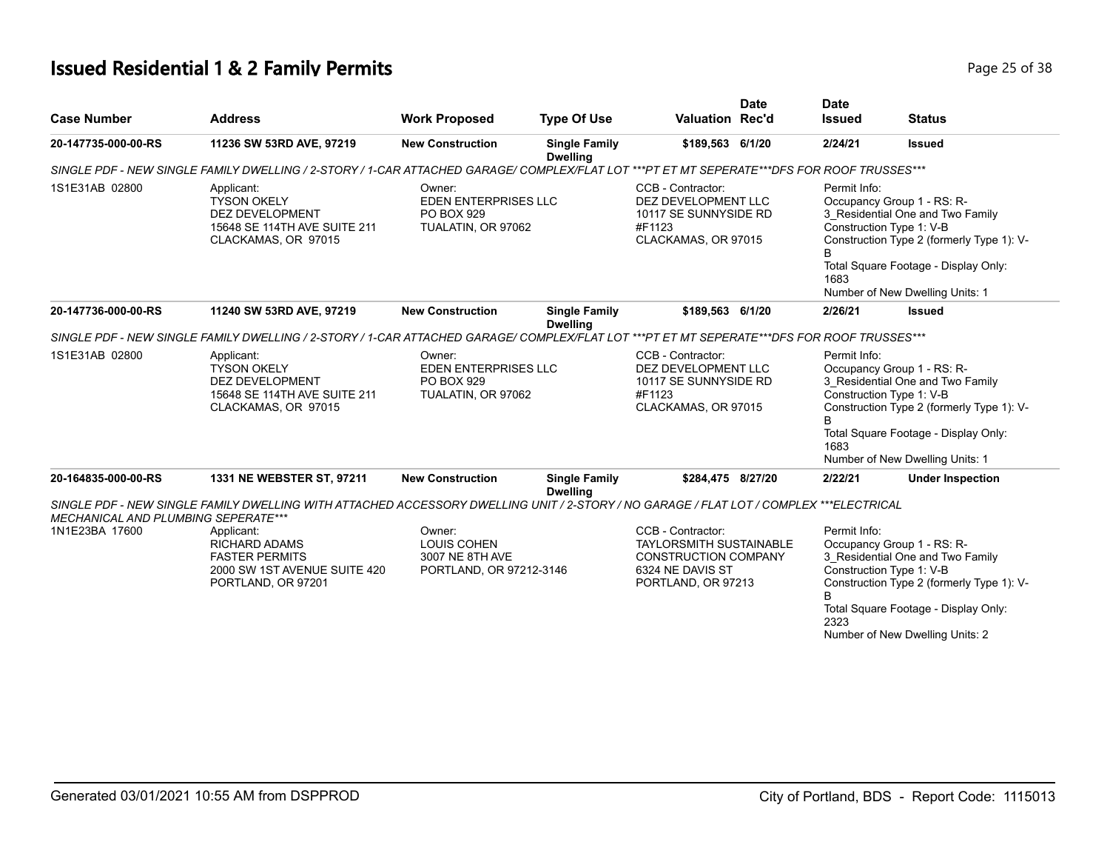# **Issued Residential 1 & 2 Family Permits Page 25 of 38 Page 25 of 38**

| <b>Case Number</b>                  | <b>Address</b>                                                                                                                                                                                                                                                                                                                               | <b>Work Proposed</b>                                                       | <b>Type Of Use</b>                      | <b>Valuation Rec'd</b>                                                                                                       | <b>Date</b> | <b>Date</b><br><b>Issued</b>                                                                                                                                                                                                                    | <b>Status</b>                                                                                                                                                                                                      |
|-------------------------------------|----------------------------------------------------------------------------------------------------------------------------------------------------------------------------------------------------------------------------------------------------------------------------------------------------------------------------------------------|----------------------------------------------------------------------------|-----------------------------------------|------------------------------------------------------------------------------------------------------------------------------|-------------|-------------------------------------------------------------------------------------------------------------------------------------------------------------------------------------------------------------------------------------------------|--------------------------------------------------------------------------------------------------------------------------------------------------------------------------------------------------------------------|
| 20-147735-000-00-RS                 | 11236 SW 53RD AVE, 97219                                                                                                                                                                                                                                                                                                                     | <b>New Construction</b>                                                    | <b>Single Family</b><br><b>Dwelling</b> | \$189,563 6/1/20                                                                                                             |             | 2/24/21                                                                                                                                                                                                                                         | <b>Issued</b>                                                                                                                                                                                                      |
|                                     | SINGLE PDF - NEW SINGLE FAMILY DWELLING / 2-STORY / 1-CAR ATTACHED GARAGE/ COMPLEX/FLAT LOT ***PT ET MT SEPERATE***DFS FOR ROOF TRUSSES***                                                                                                                                                                                                   |                                                                            |                                         |                                                                                                                              |             |                                                                                                                                                                                                                                                 |                                                                                                                                                                                                                    |
| 1S1E31AB 02800                      | Applicant:<br><b>TYSON OKELY</b><br><b>DEZ DEVELOPMENT</b><br>15648 SE 114TH AVE SUITE 211<br>CLACKAMAS, OR 97015                                                                                                                                                                                                                            | Owner:<br>EDEN ENTERPRISES LLC<br>PO BOX 929<br>TUALATIN, OR 97062         |                                         | CCB - Contractor:<br>DEZ DEVELOPMENT LLC<br>10117 SE SUNNYSIDE RD<br>#F1123<br>CLACKAMAS, OR 97015                           |             | Permit Info:<br>1683                                                                                                                                                                                                                            | Occupancy Group 1 - RS: R-<br>3_Residential One and Two Family<br>Construction Type 1: V-B<br>Construction Type 2 (formerly Type 1): V-<br>Total Square Footage - Display Only:<br>Number of New Dwelling Units: 1 |
| 20-147736-000-00-RS                 | 11240 SW 53RD AVE, 97219                                                                                                                                                                                                                                                                                                                     | <b>New Construction</b>                                                    | <b>Single Family</b><br><b>Dwelling</b> | \$189.563 6/1/20                                                                                                             |             | 2/26/21                                                                                                                                                                                                                                         | <b>Issued</b>                                                                                                                                                                                                      |
|                                     |                                                                                                                                                                                                                                                                                                                                              |                                                                            |                                         |                                                                                                                              |             |                                                                                                                                                                                                                                                 |                                                                                                                                                                                                                    |
| 1S1E31AB 02800                      | SINGLE PDF - NEW SINGLE FAMILY DWELLING / 2-STORY / 1-CAR ATTACHED GARAGE/ COMPLEX/FLAT LOT ***PT ET MT SEPERATE***DFS FOR ROOF TRUSSES***<br>Applicant:<br>Owner:<br><b>TYSON OKELY</b><br><b>EDEN ENTERPRISES LLC</b><br><b>DEZ DEVELOPMENT</b><br>PO BOX 929<br>15648 SE 114TH AVE SUITE 211<br>TUALATIN, OR 97062<br>CLACKAMAS, OR 97015 |                                                                            |                                         | CCB - Contractor:<br>DEZ DEVELOPMENT LLC<br>10117 SE SUNNYSIDE RD<br>#F1123<br>CLACKAMAS, OR 97015                           |             | Permit Info:<br>Occupancy Group 1 - RS: R-<br>3 Residential One and Two Family<br>Construction Type 1: V-B<br>Construction Type 2 (formerly Type 1): V-<br>B<br>Total Square Footage - Display Only:<br>1683<br>Number of New Dwelling Units: 1 |                                                                                                                                                                                                                    |
| 20-164835-000-00-RS                 | 1331 NE WEBSTER ST, 97211                                                                                                                                                                                                                                                                                                                    | <b>New Construction</b>                                                    | <b>Single Family</b><br><b>Dwelling</b> | \$284.475 8/27/20                                                                                                            |             | 2/22/21                                                                                                                                                                                                                                         | <b>Under Inspection</b>                                                                                                                                                                                            |
|                                     | SINGLE PDF - NEW SINGLE FAMILY DWELLING WITH ATTACHED ACCESSORY DWELLING UNIT / 2-STORY / NO GARAGE / FLAT LOT / COMPLEX ***ELECTRICAL                                                                                                                                                                                                       |                                                                            |                                         |                                                                                                                              |             |                                                                                                                                                                                                                                                 |                                                                                                                                                                                                                    |
| MECHANICAL AND PLUMBING SEPERATE*** |                                                                                                                                                                                                                                                                                                                                              |                                                                            |                                         |                                                                                                                              |             |                                                                                                                                                                                                                                                 |                                                                                                                                                                                                                    |
| 1N1E23BA 17600                      | Applicant:<br><b>RICHARD ADAMS</b><br><b>FASTER PERMITS</b><br>2000 SW 1ST AVENUE SUITE 420<br>PORTLAND, OR 97201                                                                                                                                                                                                                            | Owner:<br><b>LOUIS COHEN</b><br>3007 NE 8TH AVE<br>PORTLAND, OR 97212-3146 |                                         | CCB - Contractor:<br><b>TAYLORSMITH SUSTAINABLE</b><br><b>CONSTRUCTION COMPANY</b><br>6324 NE DAVIS ST<br>PORTLAND, OR 97213 |             | Permit Info:<br>B<br>2323                                                                                                                                                                                                                       | Occupancy Group 1 - RS: R-<br>3 Residential One and Two Family<br>Construction Type 1: V-B<br>Construction Type 2 (formerly Type 1): V-<br>Total Square Footage - Display Only:<br>Number of New Dwelling Units: 2 |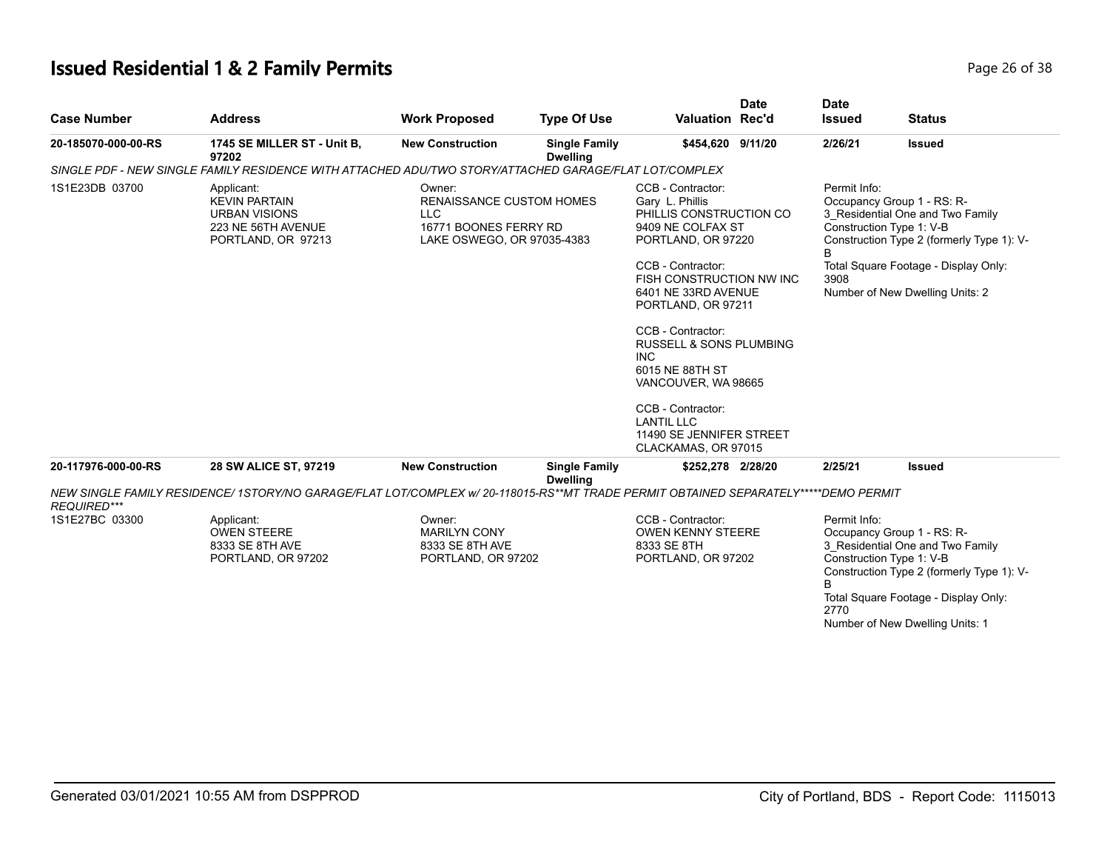# **Issued Residential 1 & 2 Family Permits Page 26 of 38 Page 26 of 38**

| <b>Case Number</b>  | <b>Address</b>                                                                                                          | <b>Work Proposed</b>                                                                                           | <b>Type Of Use</b>                      | Valuation Rec'd                                                                                                                                                                                                                                                                                                                                                                                               | <b>Date</b> | <b>Date</b><br><b>Issued</b> | <b>Status</b>                                                                                                                                                                                                      |
|---------------------|-------------------------------------------------------------------------------------------------------------------------|----------------------------------------------------------------------------------------------------------------|-----------------------------------------|---------------------------------------------------------------------------------------------------------------------------------------------------------------------------------------------------------------------------------------------------------------------------------------------------------------------------------------------------------------------------------------------------------------|-------------|------------------------------|--------------------------------------------------------------------------------------------------------------------------------------------------------------------------------------------------------------------|
| 20-185070-000-00-RS | 1745 SE MILLER ST - Unit B,<br>97202                                                                                    | <b>New Construction</b>                                                                                        | <b>Single Family</b><br><b>Dwelling</b> | \$454,620 9/11/20                                                                                                                                                                                                                                                                                                                                                                                             |             | 2/26/21                      | <b>Issued</b>                                                                                                                                                                                                      |
|                     | SINGLE PDF - NEW SINGLE FAMILY RESIDENCE WITH ATTACHED ADU/TWO STORY/ATTACHED GARAGE/FLAT LOT/COMPLEX                   |                                                                                                                |                                         |                                                                                                                                                                                                                                                                                                                                                                                                               |             |                              |                                                                                                                                                                                                                    |
| 1S1E23DB 03700      | Applicant:<br><b>KEVIN PARTAIN</b><br><b>URBAN VISIONS</b><br>223 NE 56TH AVENUE<br>PORTLAND, OR 97213                  | Owner:<br><b>RENAISSANCE CUSTOM HOMES</b><br><b>LLC</b><br>16771 BOONES FERRY RD<br>LAKE OSWEGO, OR 97035-4383 |                                         | CCB - Contractor:<br>Gary L. Phillis<br>PHILLIS CONSTRUCTION CO<br>9409 NE COLFAX ST<br>PORTLAND, OR 97220<br>CCB - Contractor:<br>FISH CONSTRUCTION NW INC<br>6401 NE 33RD AVENUE<br>PORTLAND, OR 97211<br>CCB - Contractor:<br>RUSSELL & SONS PLUMBING<br><b>INC</b><br>6015 NE 88TH ST<br>VANCOUVER, WA 98665<br>CCB - Contractor:<br><b>LANTIL LLC</b><br>11490 SE JENNIFER STREET<br>CLACKAMAS, OR 97015 |             | Permit Info:<br>В<br>3908    | Occupancy Group 1 - RS: R-<br>3_Residential One and Two Family<br>Construction Type 1: V-B<br>Construction Type 2 (formerly Type 1): V-<br>Total Square Footage - Display Only:<br>Number of New Dwelling Units: 2 |
| 20-117976-000-00-RS | 28 SW ALICE ST, 97219                                                                                                   | <b>New Construction</b>                                                                                        | <b>Single Family</b><br><b>Dwelling</b> | \$252,278 2/28/20                                                                                                                                                                                                                                                                                                                                                                                             |             | 2/25/21                      | <b>Issued</b>                                                                                                                                                                                                      |
| <b>REQUIRED***</b>  | NEW SINGLE FAMILY RESIDENCE/ 1STORY/NO GARAGE/FLAT LOT/COMPLEX w/ 20-118015-RS**MT TRADE PERMIT OBTAINED SEPARATELY**** |                                                                                                                |                                         |                                                                                                                                                                                                                                                                                                                                                                                                               |             | <i><b>*DEMO PERMIT</b></i>   |                                                                                                                                                                                                                    |
| 1S1E27BC 03300      | Applicant:<br><b>OWEN STEERE</b><br>8333 SE 8TH AVE<br>PORTLAND, OR 97202                                               | Owner:<br><b>MARILYN CONY</b><br>8333 SE 8TH AVE<br>PORTLAND, OR 97202                                         |                                         | CCB - Contractor:<br><b>OWEN KENNY STEERE</b><br>8333 SE 8TH<br>PORTLAND, OR 97202                                                                                                                                                                                                                                                                                                                            |             | Permit Info:<br>B<br>2770    | Occupancy Group 1 - RS: R-<br>3_Residential One and Two Family<br>Construction Type 1: V-B<br>Construction Type 2 (formerly Type 1): V-<br>Total Square Footage - Display Only:<br>Number of New Dwelling Units: 1 |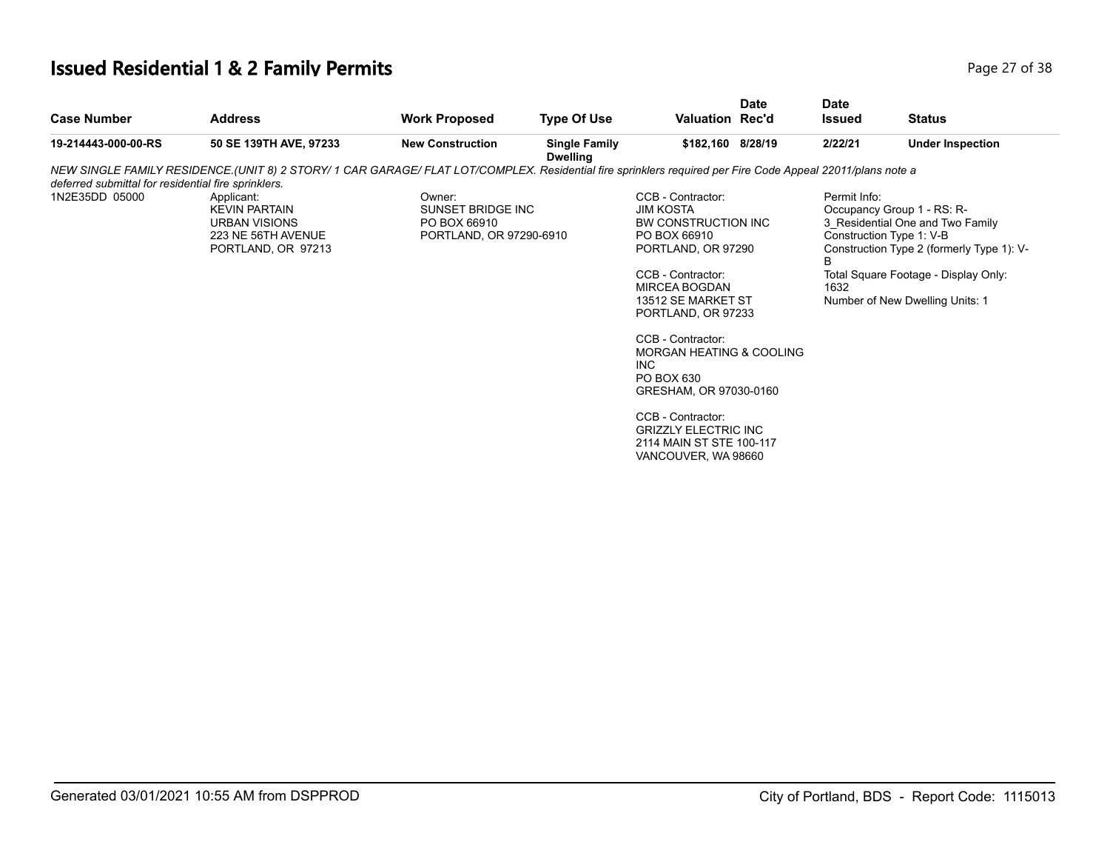# **Issued Residential 1 & 2 Family Permits Page 27 of 38 Page 27 of 38**

| <b>Case Number</b>                                  | <b>Address</b>                                                                                                                                            | <b>Work Proposed</b>                                                   | <b>Type Of Use</b>                      | <b>Valuation Rec'd</b>                                                                                                                                                                                                                                                                                                                                                                                         | <b>Date</b> | <b>Date</b><br><b>Issued</b> | <b>Status</b>                                                                                                                                                                                                      |
|-----------------------------------------------------|-----------------------------------------------------------------------------------------------------------------------------------------------------------|------------------------------------------------------------------------|-----------------------------------------|----------------------------------------------------------------------------------------------------------------------------------------------------------------------------------------------------------------------------------------------------------------------------------------------------------------------------------------------------------------------------------------------------------------|-------------|------------------------------|--------------------------------------------------------------------------------------------------------------------------------------------------------------------------------------------------------------------|
| 19-214443-000-00-RS                                 | 50 SE 139TH AVE, 97233                                                                                                                                    | <b>New Construction</b>                                                | <b>Single Family</b><br><b>Dwelling</b> | \$182,160 8/28/19                                                                                                                                                                                                                                                                                                                                                                                              |             | 2/22/21                      | <b>Under Inspection</b>                                                                                                                                                                                            |
| deferred submittal for residential fire sprinklers. | NEW SINGLE FAMILY RESIDENCE (UNIT 8) 2 STORY/1 CAR GARAGE/ FLAT LOT/COMPLEX. Residential fire sprinklers required per Fire Code Appeal 22011/plans note a |                                                                        |                                         |                                                                                                                                                                                                                                                                                                                                                                                                                |             |                              |                                                                                                                                                                                                                    |
| 1N2E35DD 05000                                      | Applicant:<br><b>KEVIN PARTAIN</b><br><b>URBAN VISIONS</b><br>223 NE 56TH AVENUE<br>PORTLAND, OR 97213                                                    | Owner:<br>SUNSET BRIDGE INC<br>PO BOX 66910<br>PORTLAND, OR 97290-6910 |                                         | CCB - Contractor:<br><b>JIM KOSTA</b><br>BW CONSTRUCTION INC<br>PO BOX 66910<br>PORTLAND, OR 97290<br>CCB - Contractor:<br><b>MIRCEA BOGDAN</b><br>13512 SE MARKET ST<br>PORTLAND, OR 97233<br>CCB - Contractor:<br><b>MORGAN HEATING &amp; COOLING</b><br>INC.<br>PO BOX 630<br>GRESHAM, OR 97030-0160<br>CCB - Contractor:<br><b>GRIZZLY ELECTRIC INC</b><br>2114 MAIN ST STE 100-117<br>VANCOUVER, WA 98660 |             | Permit Info:<br>B<br>1632    | Occupancy Group 1 - RS: R-<br>3_Residential One and Two Family<br>Construction Type 1: V-B<br>Construction Type 2 (formerly Type 1): V-<br>Total Square Footage - Display Only:<br>Number of New Dwelling Units: 1 |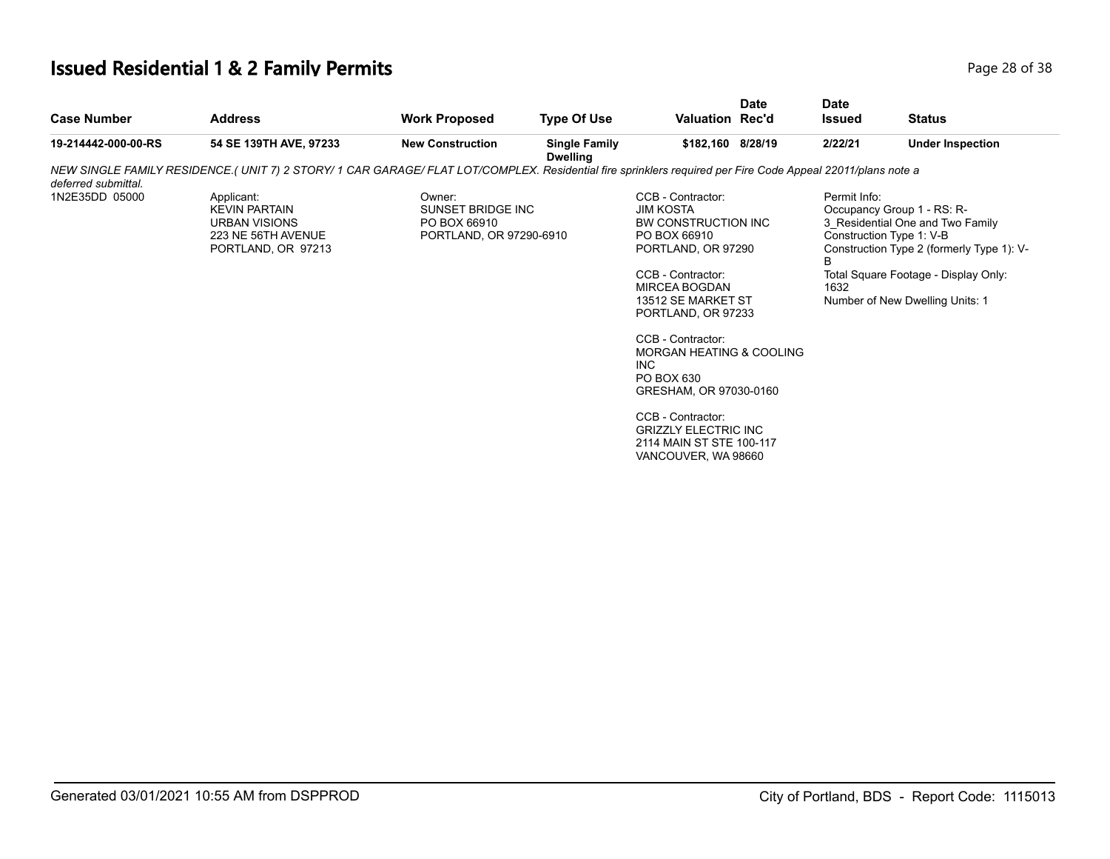# **Issued Residential 1 & 2 Family Permits Page 28 of 38 Page 28 of 38**

| <b>Case Number</b>  | <b>Address</b>                                                                                                                                             | <b>Work Proposed</b>                                                   | <b>Type Of Use</b>                      | <b>Valuation Rec'd</b>                                                                                                                                                                                                                                                                                            | <b>Date</b> | <b>Date</b><br><b>Issued</b> | <b>Status</b>                                                                                                                                                                                                      |
|---------------------|------------------------------------------------------------------------------------------------------------------------------------------------------------|------------------------------------------------------------------------|-----------------------------------------|-------------------------------------------------------------------------------------------------------------------------------------------------------------------------------------------------------------------------------------------------------------------------------------------------------------------|-------------|------------------------------|--------------------------------------------------------------------------------------------------------------------------------------------------------------------------------------------------------------------|
| 19-214442-000-00-RS | 54 SE 139TH AVE, 97233                                                                                                                                     | <b>New Construction</b>                                                | <b>Single Family</b><br><b>Dwelling</b> | \$182,160 8/28/19                                                                                                                                                                                                                                                                                                 |             | 2/22/21                      | <b>Under Inspection</b>                                                                                                                                                                                            |
| deferred submittal. | NEW SINGLE FAMILY RESIDENCE (UNIT 7) 2 STORY/ 1 CAR GARAGE/ FLAT LOT/COMPLEX. Residential fire sprinklers required per Fire Code Appeal 22011/plans note a |                                                                        |                                         |                                                                                                                                                                                                                                                                                                                   |             |                              |                                                                                                                                                                                                                    |
| 1N2E35DD 05000      | Applicant:<br><b>KEVIN PARTAIN</b><br><b>URBAN VISIONS</b><br>223 NE 56TH AVENUE<br>PORTLAND, OR 97213                                                     | Owner:<br>SUNSET BRIDGE INC<br>PO BOX 66910<br>PORTLAND, OR 97290-6910 |                                         | CCB - Contractor:<br><b>JIM KOSTA</b><br>BW CONSTRUCTION INC<br>PO BOX 66910<br>PORTLAND, OR 97290<br>CCB - Contractor:<br><b>MIRCEA BOGDAN</b><br>13512 SE MARKET ST<br>PORTLAND, OR 97233<br>CCB - Contractor:<br>MORGAN HEATING & COOLING<br>INC.<br>PO BOX 630<br>GRESHAM, OR 97030-0160<br>CCB - Contractor: |             | Permit Info:<br>1632         | Occupancy Group 1 - RS: R-<br>3 Residential One and Two Family<br>Construction Type 1: V-B<br>Construction Type 2 (formerly Type 1): V-<br>Total Square Footage - Display Only:<br>Number of New Dwelling Units: 1 |
|                     |                                                                                                                                                            |                                                                        |                                         | <b>GRIZZLY ELECTRIC INC</b><br>2114 MAIN ST STE 100-117<br>VANCOUVER, WA 98660                                                                                                                                                                                                                                    |             |                              |                                                                                                                                                                                                                    |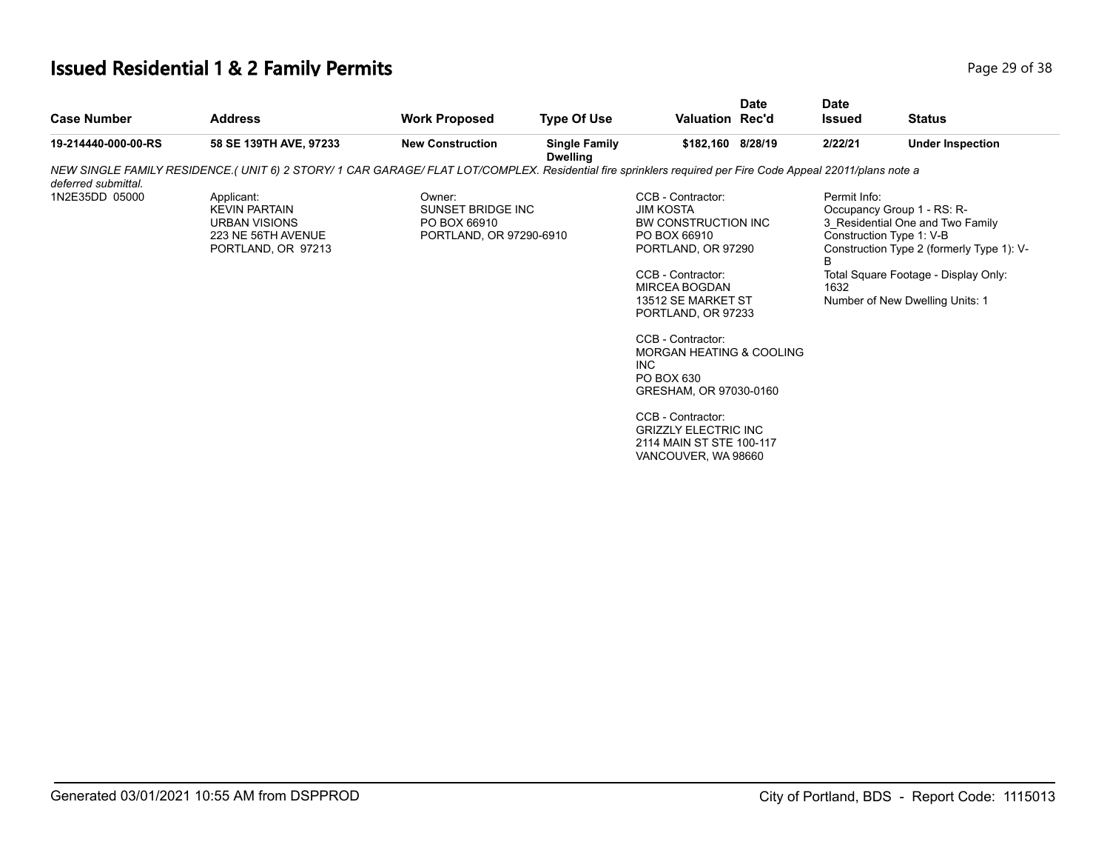# **Issued Residential 1 & 2 Family Permits Page 29 of 38 Page 29 of 38**

| <b>Case Number</b>  | <b>Address</b>                                                                                                                                             | <b>Work Proposed</b>                                                   | <b>Type Of Use</b>                      | <b>Valuation Rec'd</b>                                                                                                                                                                                                                                                                | <b>Date</b> | <b>Date</b><br><b>Issued</b> | <b>Status</b>                                                                                                                                                                                                      |  |
|---------------------|------------------------------------------------------------------------------------------------------------------------------------------------------------|------------------------------------------------------------------------|-----------------------------------------|---------------------------------------------------------------------------------------------------------------------------------------------------------------------------------------------------------------------------------------------------------------------------------------|-------------|------------------------------|--------------------------------------------------------------------------------------------------------------------------------------------------------------------------------------------------------------------|--|
| 19-214440-000-00-RS | 58 SE 139TH AVE, 97233                                                                                                                                     | <b>New Construction</b>                                                | <b>Single Family</b><br><b>Dwelling</b> | \$182,160 8/28/19                                                                                                                                                                                                                                                                     |             | 2/22/21                      | <b>Under Inspection</b>                                                                                                                                                                                            |  |
| deferred submittal. | NEW SINGLE FAMILY RESIDENCE (UNIT 6) 2 STORY/ 1 CAR GARAGE/ FLAT LOT/COMPLEX. Residential fire sprinklers required per Fire Code Appeal 22011/plans note a |                                                                        |                                         |                                                                                                                                                                                                                                                                                       |             |                              |                                                                                                                                                                                                                    |  |
| 1N2E35DD 05000      | Applicant:<br><b>KEVIN PARTAIN</b><br><b>URBAN VISIONS</b><br>223 NE 56TH AVENUE<br>PORTLAND, OR 97213                                                     | Owner:<br>SUNSET BRIDGE INC<br>PO BOX 66910<br>PORTLAND, OR 97290-6910 |                                         | CCB - Contractor:<br><b>JIM KOSTA</b><br>BW CONSTRUCTION INC<br>PO BOX 66910<br>PORTLAND, OR 97290<br>CCB - Contractor:<br>MIRCEA BOGDAN<br>13512 SE MARKET ST<br>PORTLAND, OR 97233<br>CCB - Contractor:<br>MORGAN HEATING & COOLING<br>INC.<br>PO BOX 630<br>GRESHAM, OR 97030-0160 |             | Permit Info:<br>R<br>1632    | Occupancy Group 1 - RS: R-<br>3 Residential One and Two Family<br>Construction Type 1: V-B<br>Construction Type 2 (formerly Type 1): V-<br>Total Square Footage - Display Only:<br>Number of New Dwelling Units: 1 |  |
|                     |                                                                                                                                                            |                                                                        |                                         | CCB - Contractor:<br><b>GRIZZLY ELECTRIC INC</b><br>2114 MAIN ST STE 100-117<br>VANCOUVER, WA 98660                                                                                                                                                                                   |             |                              |                                                                                                                                                                                                                    |  |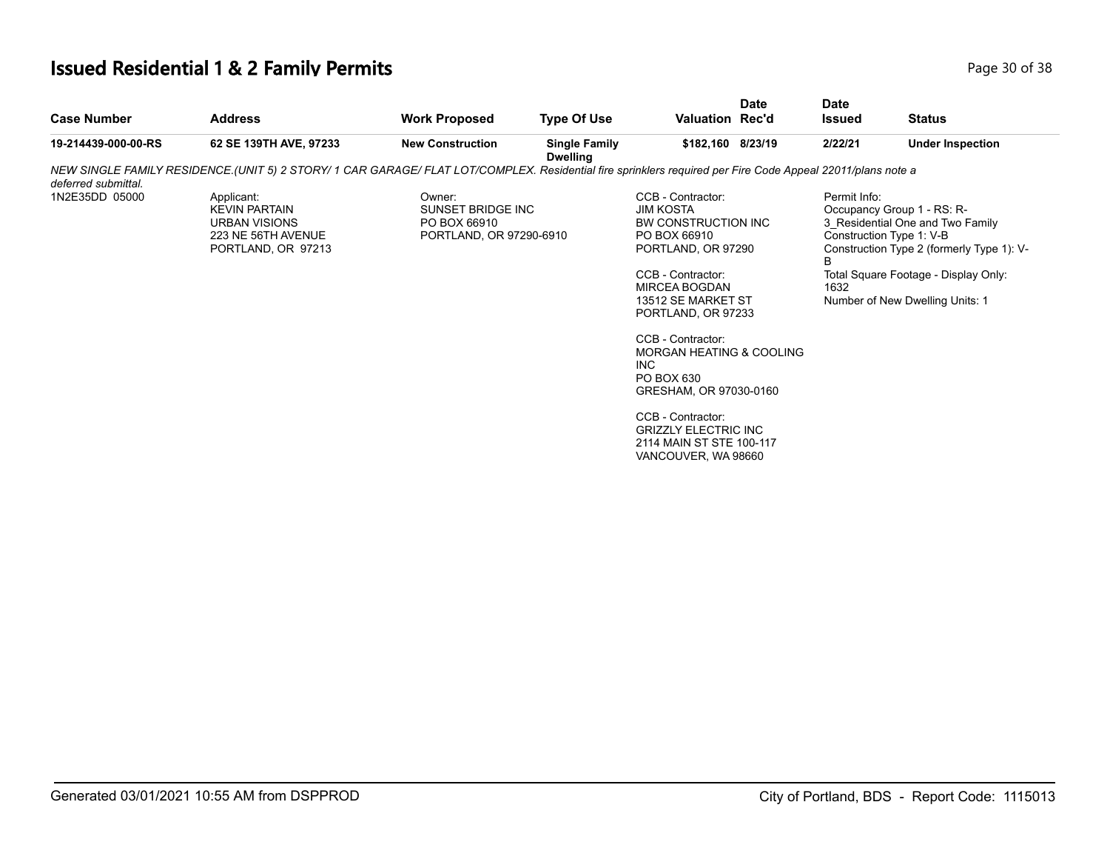# **Issued Residential 1 & 2 Family Permits Page 10 Of 38** Page 30 of 38

| <b>Address</b>                                                                                         | <b>Work Proposed</b>    | <b>Type Of Use</b>   |                                                                                                                                                             | <b>Date</b> | <b>Date</b><br><b>Issued</b>                                                                                                                                                                                                                     | <b>Status</b>                                                                                                                                                                                                      |
|--------------------------------------------------------------------------------------------------------|-------------------------|----------------------|-------------------------------------------------------------------------------------------------------------------------------------------------------------|-------------|--------------------------------------------------------------------------------------------------------------------------------------------------------------------------------------------------------------------------------------------------|--------------------------------------------------------------------------------------------------------------------------------------------------------------------------------------------------------------------|
| 62 SE 139TH AVE, 97233                                                                                 | <b>New Construction</b> | <b>Single Family</b> |                                                                                                                                                             |             | 2/22/21                                                                                                                                                                                                                                          | <b>Under Inspection</b>                                                                                                                                                                                            |
|                                                                                                        |                         |                      |                                                                                                                                                             |             |                                                                                                                                                                                                                                                  |                                                                                                                                                                                                                    |
| Applicant:<br><b>KEVIN PARTAIN</b><br><b>URBAN VISIONS</b><br>223 NE 56TH AVENUE<br>PORTLAND, OR 97213 | Owner:<br>PO BOX 66910  |                      | CCB - Contractor:<br><b>JIM KOSTA</b><br>PO BOX 66910<br>CCB - Contractor:<br>MIRCEA BOGDAN<br>CCB - Contractor:<br>INC.<br>PO BOX 630<br>CCB - Contractor: |             | Permit Info:<br><sub>R</sub><br>1632                                                                                                                                                                                                             | Occupancy Group 1 - RS: R-<br>3_Residential One and Two Family<br>Construction Type 1: V-B<br>Construction Type 2 (formerly Type 1): V-<br>Total Square Footage - Display Only:<br>Number of New Dwelling Units: 1 |
|                                                                                                        |                         |                      | <b>Dwelling</b><br>SUNSET BRIDGE INC<br>PORTLAND, OR 97290-6910                                                                                             |             | <b>Valuation Rec'd</b><br>\$182,160 8/23/19<br>BW CONSTRUCTION INC<br>PORTLAND, OR 97290<br>13512 SE MARKET ST<br>PORTLAND, OR 97233<br>GRESHAM, OR 97030-0160<br><b>GRIZZLY ELECTRIC INC</b><br>2114 MAIN ST STE 100-117<br>VANCOUVER, WA 98660 | NEW SINGLE FAMILY RESIDENCE (UNIT 5) 2 STORY/1 CAR GARAGE/ FLAT LOT/COMPLEX. Residential fire sprinklers required per Fire Code Appeal 22011/plans note a<br><b>MORGAN HEATING &amp; COOLING</b>                   |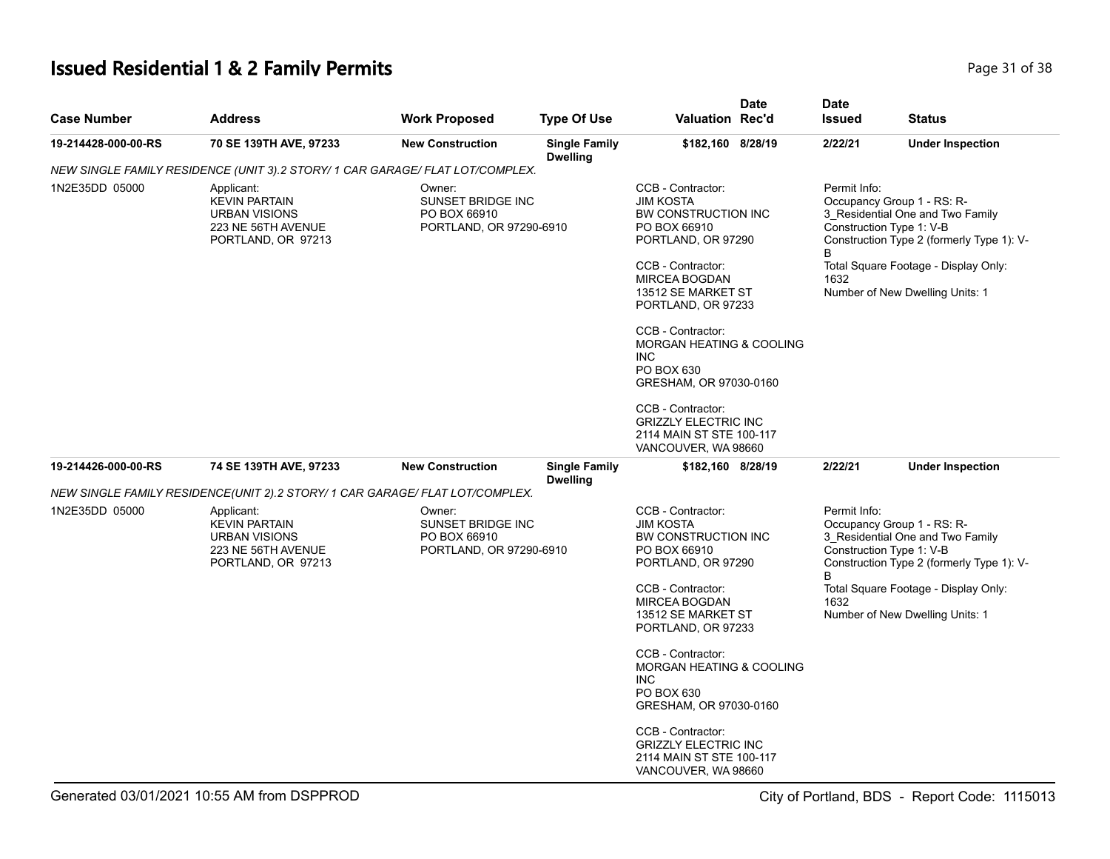# **Issued Residential 1 & 2 Family Permits** Page 31 of 38

| <b>Case Number</b>  | <b>Address</b>                                                                                         | <b>Work Proposed</b>                                                          | <b>Type Of Use</b>                      | <b>Valuation Rec'd</b>                                                                                                  | <b>Date</b> | <b>Date</b><br><b>Issued</b> | <b>Status</b>                                                                                                                                                                   |
|---------------------|--------------------------------------------------------------------------------------------------------|-------------------------------------------------------------------------------|-----------------------------------------|-------------------------------------------------------------------------------------------------------------------------|-------------|------------------------------|---------------------------------------------------------------------------------------------------------------------------------------------------------------------------------|
| 19-214428-000-00-RS | 70 SE 139TH AVE, 97233                                                                                 | <b>New Construction</b>                                                       | <b>Single Family</b><br><b>Dwelling</b> | \$182,160 8/28/19                                                                                                       |             | 2/22/21                      | <b>Under Inspection</b>                                                                                                                                                         |
|                     | NEW SINGLE FAMILY RESIDENCE (UNIT 3).2 STORY/1 CAR GARAGE/ FLAT LOT/COMPLEX.                           |                                                                               |                                         |                                                                                                                         |             |                              |                                                                                                                                                                                 |
| 1N2E35DD 05000      | Applicant:<br><b>KEVIN PARTAIN</b><br><b>URBAN VISIONS</b><br>223 NE 56TH AVENUE<br>PORTLAND, OR 97213 | Owner:<br>SUNSET BRIDGE INC<br>PO BOX 66910<br>PORTLAND, OR 97290-6910        |                                         | CCB - Contractor:<br><b>JIM KOSTA</b><br>BW CONSTRUCTION INC<br>PO BOX 66910<br>PORTLAND, OR 97290                      |             | Permit Info:<br>B            | Occupancy Group 1 - RS: R-<br>3_Residential One and Two Family<br>Construction Type 1: V-B<br>Construction Type 2 (formerly Type 1): V-                                         |
|                     |                                                                                                        |                                                                               |                                         | CCB - Contractor:<br><b>MIRCEA BOGDAN</b><br>13512 SE MARKET ST<br>PORTLAND, OR 97233                                   |             | 1632                         | Total Square Footage - Display Only:<br>Number of New Dwelling Units: 1                                                                                                         |
|                     |                                                                                                        |                                                                               |                                         | CCB - Contractor:<br>MORGAN HEATING & COOLING<br><b>INC</b><br>PO BOX 630<br>GRESHAM, OR 97030-0160                     |             |                              |                                                                                                                                                                                 |
|                     |                                                                                                        |                                                                               |                                         | CCB - Contractor:<br><b>GRIZZLY ELECTRIC INC</b><br>2114 MAIN ST STE 100-117<br>VANCOUVER, WA 98660                     |             |                              |                                                                                                                                                                                 |
| 19-214426-000-00-RS | 74 SE 139TH AVE, 97233                                                                                 | <b>New Construction</b>                                                       | <b>Single Family</b><br><b>Dwelling</b> | \$182,160 8/28/19                                                                                                       |             | 2/22/21                      | <b>Under Inspection</b>                                                                                                                                                         |
|                     | NEW SINGLE FAMILY RESIDENCE(UNIT 2).2 STORY/ 1 CAR GARAGE/ FLAT LOT/COMPLEX.                           |                                                                               |                                         |                                                                                                                         |             |                              |                                                                                                                                                                                 |
| 1N2E35DD 05000      | Applicant:<br><b>KEVIN PARTAIN</b><br>URBAN VISIONS<br>223 NE 56TH AVENUE<br>PORTLAND, OR 97213        | Owner:<br><b>SUNSET BRIDGE INC</b><br>PO BOX 66910<br>PORTLAND, OR 97290-6910 |                                         | CCB - Contractor:<br><b>JIM KOSTA</b><br>BW CONSTRUCTION INC<br>PO BOX 66910<br>PORTLAND, OR 97290<br>CCB - Contractor: |             | Permit Info:<br>B            | Occupancy Group 1 - RS: R-<br>3 Residential One and Two Family<br>Construction Type 1: V-B<br>Construction Type 2 (formerly Type 1): V-<br>Total Square Footage - Display Only: |
|                     |                                                                                                        |                                                                               |                                         | <b>MIRCEA BOGDAN</b><br>13512 SE MARKET ST<br>PORTLAND, OR 97233                                                        |             | 1632                         | Number of New Dwelling Units: 1                                                                                                                                                 |
|                     |                                                                                                        |                                                                               |                                         | CCB - Contractor:<br>MORGAN HEATING & COOLING<br><b>INC</b><br>PO BOX 630<br>GRESHAM, OR 97030-0160                     |             |                              |                                                                                                                                                                                 |
|                     |                                                                                                        |                                                                               |                                         | CCB - Contractor:<br><b>GRIZZLY ELECTRIC INC</b><br>2114 MAIN ST STE 100-117<br>VANCOUVER, WA 98660                     |             |                              |                                                                                                                                                                                 |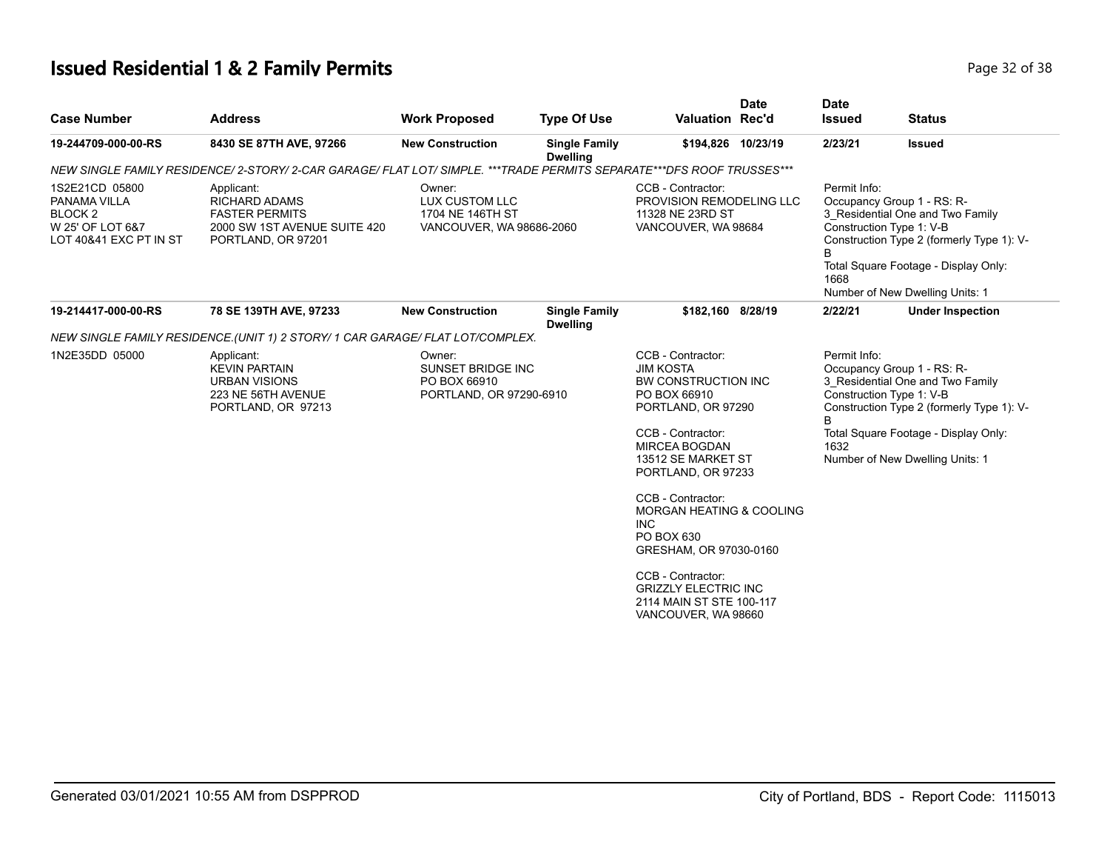# **Issued Residential 1 & 2 Family Permits Page 12 of 38 Page 32 of 38**

| <b>Case Number</b>                                                                                 | <b>Address</b>                                                                                                        | <b>Work Proposed</b>                                                          | <b>Type Of Use</b>                      | <b>Valuation Rec'd</b>                                                                                                                                                                                                                                     | <b>Date</b> | <b>Date</b><br><b>Issued</b> | <b>Status</b>                                                                                                                                                                                                      |
|----------------------------------------------------------------------------------------------------|-----------------------------------------------------------------------------------------------------------------------|-------------------------------------------------------------------------------|-----------------------------------------|------------------------------------------------------------------------------------------------------------------------------------------------------------------------------------------------------------------------------------------------------------|-------------|------------------------------|--------------------------------------------------------------------------------------------------------------------------------------------------------------------------------------------------------------------|
| 19-244709-000-00-RS                                                                                | 8430 SE 87TH AVE, 97266                                                                                               | <b>New Construction</b>                                                       | <b>Single Family</b><br><b>Dwelling</b> | \$194,826 10/23/19                                                                                                                                                                                                                                         |             | 2/23/21                      | <b>Issued</b>                                                                                                                                                                                                      |
|                                                                                                    | NEW SINGLE FAMILY RESIDENCE/ 2-STORY/ 2-CAR GARAGE/ FLAT LOT/ SIMPLE. ***TRADE PERMITS SEPARATE***DFS ROOF TRUSSES*** |                                                                               |                                         |                                                                                                                                                                                                                                                            |             |                              |                                                                                                                                                                                                                    |
| 1S2E21CD 05800<br>PANAMA VILLA<br>BLOCK <sub>2</sub><br>W 25' OF LOT 6&7<br>LOT 40&41 EXC PT IN ST | Applicant:<br><b>RICHARD ADAMS</b><br><b>FASTER PERMITS</b><br>2000 SW 1ST AVENUE SUITE 420<br>PORTLAND, OR 97201     | Owner:<br>LUX CUSTOM LLC<br>1704 NE 146TH ST<br>VANCOUVER, WA 98686-2060      |                                         | CCB - Contractor:<br>PROVISION REMODELING LLC<br>11328 NE 23RD ST<br>VANCOUVER, WA 98684                                                                                                                                                                   |             | Permit Info:<br>1668         | Occupancy Group 1 - RS: R-<br>3 Residential One and Two Family<br>Construction Type 1: V-B<br>Construction Type 2 (formerly Type 1): V-<br>Total Square Footage - Display Only:<br>Number of New Dwelling Units: 1 |
| 19-214417-000-00-RS                                                                                | 78 SE 139TH AVE, 97233                                                                                                | <b>New Construction</b>                                                       | <b>Single Family</b><br><b>Dwelling</b> | \$182,160 8/28/19                                                                                                                                                                                                                                          |             | 2/22/21                      | <b>Under Inspection</b>                                                                                                                                                                                            |
|                                                                                                    | NEW SINGLE FAMILY RESIDENCE (UNIT 1) 2 STORY/ 1 CAR GARAGE/ FLAT LOT/COMPLEX.                                         |                                                                               |                                         |                                                                                                                                                                                                                                                            |             |                              |                                                                                                                                                                                                                    |
| 1N2E35DD 05000                                                                                     | Applicant:<br><b>KEVIN PARTAIN</b><br><b>URBAN VISIONS</b><br>223 NE 56TH AVENUE<br>PORTLAND, OR 97213                | Owner:<br><b>SUNSET BRIDGE INC</b><br>PO BOX 66910<br>PORTLAND, OR 97290-6910 |                                         | CCB - Contractor:<br><b>JIM KOSTA</b><br>BW CONSTRUCTION INC<br>PO BOX 66910<br>PORTLAND, OR 97290<br>CCB - Contractor:<br><b>MIRCEA BOGDAN</b><br>13512 SE MARKET ST<br>PORTLAND, OR 97233<br>CCB - Contractor:<br>MORGAN HEATING & COOLING<br><b>INC</b> |             | Permit Info:<br>B<br>1632    | Occupancy Group 1 - RS: R-<br>3 Residential One and Two Family<br>Construction Type 1: V-B<br>Construction Type 2 (formerly Type 1): V-<br>Total Square Footage - Display Only:<br>Number of New Dwelling Units: 1 |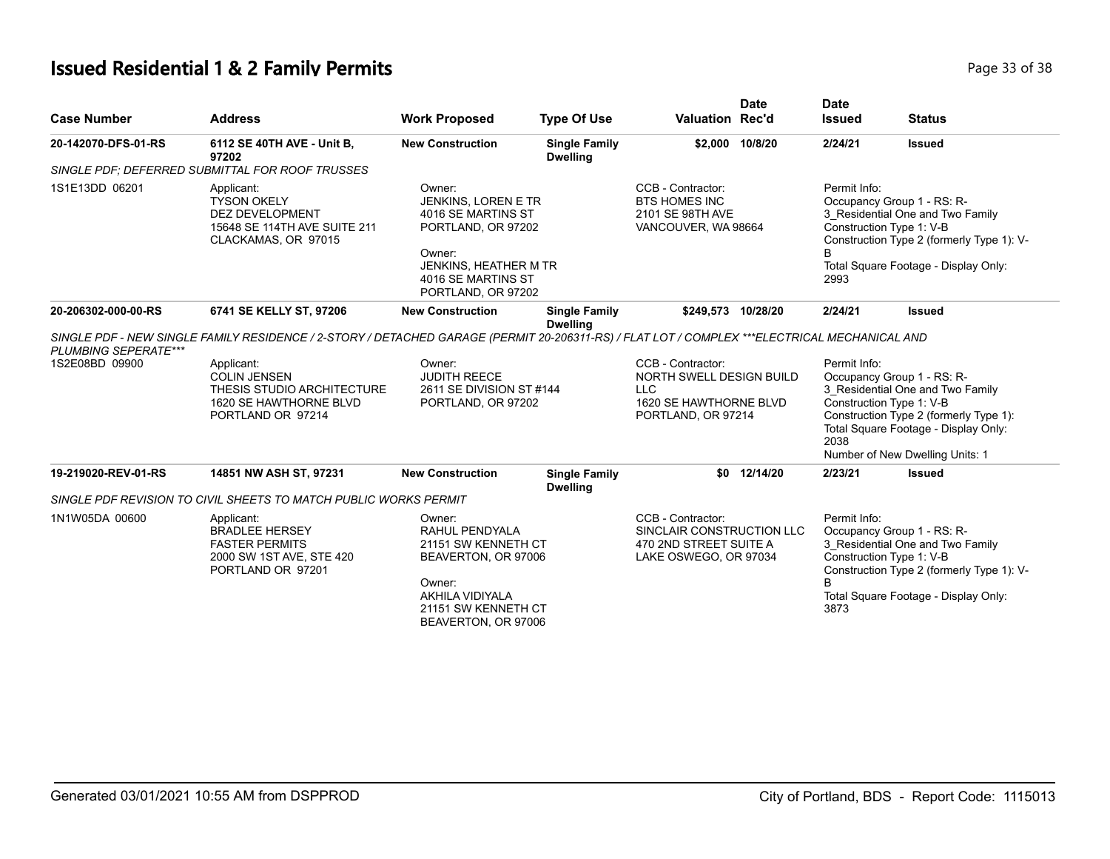# **Issued Residential 1 & 2 Family Permits Page 13 of 38** and **Page 33 of 38**

| <b>Case Number</b>   | <b>Address</b>                                                                                                                               | <b>Work Proposed</b>                                                                                                                                     | <b>Type Of Use</b>                      | <b>Valuation Rec'd</b>                                                                                      | <b>Date</b>     | <b>Date</b><br><b>Issued</b> | <b>Status</b>                                                                                                                                                                                                   |
|----------------------|----------------------------------------------------------------------------------------------------------------------------------------------|----------------------------------------------------------------------------------------------------------------------------------------------------------|-----------------------------------------|-------------------------------------------------------------------------------------------------------------|-----------------|------------------------------|-----------------------------------------------------------------------------------------------------------------------------------------------------------------------------------------------------------------|
| 20-142070-DFS-01-RS  | 6112 SE 40TH AVE - Unit B,<br>97202                                                                                                          | <b>New Construction</b>                                                                                                                                  | <b>Single Family</b><br><b>Dwelling</b> |                                                                                                             | \$2,000 10/8/20 | 2/24/21                      | <b>Issued</b>                                                                                                                                                                                                   |
|                      | SINGLE PDF; DEFERRED SUBMITTAL FOR ROOF TRUSSES                                                                                              |                                                                                                                                                          |                                         |                                                                                                             |                 |                              |                                                                                                                                                                                                                 |
| 1S1E13DD 06201       | Applicant:<br><b>TYSON OKELY</b><br><b>DEZ DEVELOPMENT</b><br>15648 SE 114TH AVE SUITE 211<br>CLACKAMAS, OR 97015                            | Owner:<br>JENKINS, LOREN E TR<br>4016 SE MARTINS ST<br>PORTLAND, OR 97202<br>Owner:<br>JENKINS, HEATHER M TR<br>4016 SE MARTINS ST<br>PORTLAND, OR 97202 |                                         | CCB - Contractor:<br><b>BTS HOMES INC</b><br>2101 SE 98TH AVE<br>VANCOUVER, WA 98664                        |                 | Permit Info:<br>B<br>2993    | Occupancy Group 1 - RS: R-<br>3 Residential One and Two Family<br>Construction Type 1: V-B<br>Construction Type 2 (formerly Type 1): V-<br>Total Square Footage - Display Only:                                 |
| 20-206302-000-00-RS  | 6741 SE KELLY ST, 97206                                                                                                                      | <b>New Construction</b>                                                                                                                                  | <b>Single Family</b><br><b>Dwelling</b> | \$249.573 10/28/20                                                                                          |                 | 2/24/21                      | <b>Issued</b>                                                                                                                                                                                                   |
| PLUMBING SEPERATE*** | SINGLE PDF - NEW SINGLE FAMILY RESIDENCE / 2-STORY / DETACHED GARAGE (PERMIT 20-206311-RS) / FLAT LOT / COMPLEX ***ELECTRICAL MECHANICAL AND |                                                                                                                                                          |                                         |                                                                                                             |                 |                              |                                                                                                                                                                                                                 |
| 1S2E08BD 09900       | Applicant:<br><b>COLIN JENSEN</b><br>THESIS STUDIO ARCHITECTURE<br>1620 SE HAWTHORNE BLVD<br>PORTLAND OR 97214                               | Owner:<br><b>JUDITH REECE</b><br>2611 SE DIVISION ST #144<br>PORTLAND, OR 97202                                                                          |                                         | CCB - Contractor:<br>NORTH SWELL DESIGN BUILD<br><b>LLC</b><br>1620 SE HAWTHORNE BLVD<br>PORTLAND, OR 97214 |                 | Permit Info:<br>2038         | Occupancy Group 1 - RS: R-<br>3 Residential One and Two Family<br>Construction Type 1: V-B<br>Construction Type 2 (formerly Type 1):<br>Total Square Footage - Display Only:<br>Number of New Dwelling Units: 1 |
| 19-219020-REV-01-RS  | 14851 NW ASH ST, 97231                                                                                                                       | <b>New Construction</b>                                                                                                                                  | <b>Single Family</b><br><b>Dwelling</b> |                                                                                                             | \$0 12/14/20    | 2/23/21                      | <b>Issued</b>                                                                                                                                                                                                   |
|                      | SINGLE PDF REVISION TO CIVIL SHEETS TO MATCH PUBLIC WORKS PERMIT                                                                             |                                                                                                                                                          |                                         |                                                                                                             |                 |                              |                                                                                                                                                                                                                 |
| 1N1W05DA 00600       | Applicant:<br><b>BRADLEE HERSEY</b><br><b>FASTER PERMITS</b><br>2000 SW 1ST AVE, STE 420<br>PORTLAND OR 97201                                | Owner:<br>RAHUL PENDYALA<br>21151 SW KENNETH CT<br>BEAVERTON, OR 97006<br>Owner:<br>AKHILA VIDIYALA<br>21151 SW KENNETH CT<br>BEAVERTON, OR 97006        |                                         | CCB - Contractor:<br>SINCLAIR CONSTRUCTION LLC<br>470 2ND STREET SUITE A<br>LAKE OSWEGO, OR 97034           |                 | Permit Info:<br>B<br>3873    | Occupancy Group 1 - RS: R-<br>3 Residential One and Two Family<br>Construction Type 1: V-B<br>Construction Type 2 (formerly Type 1): V-<br>Total Square Footage - Display Only:                                 |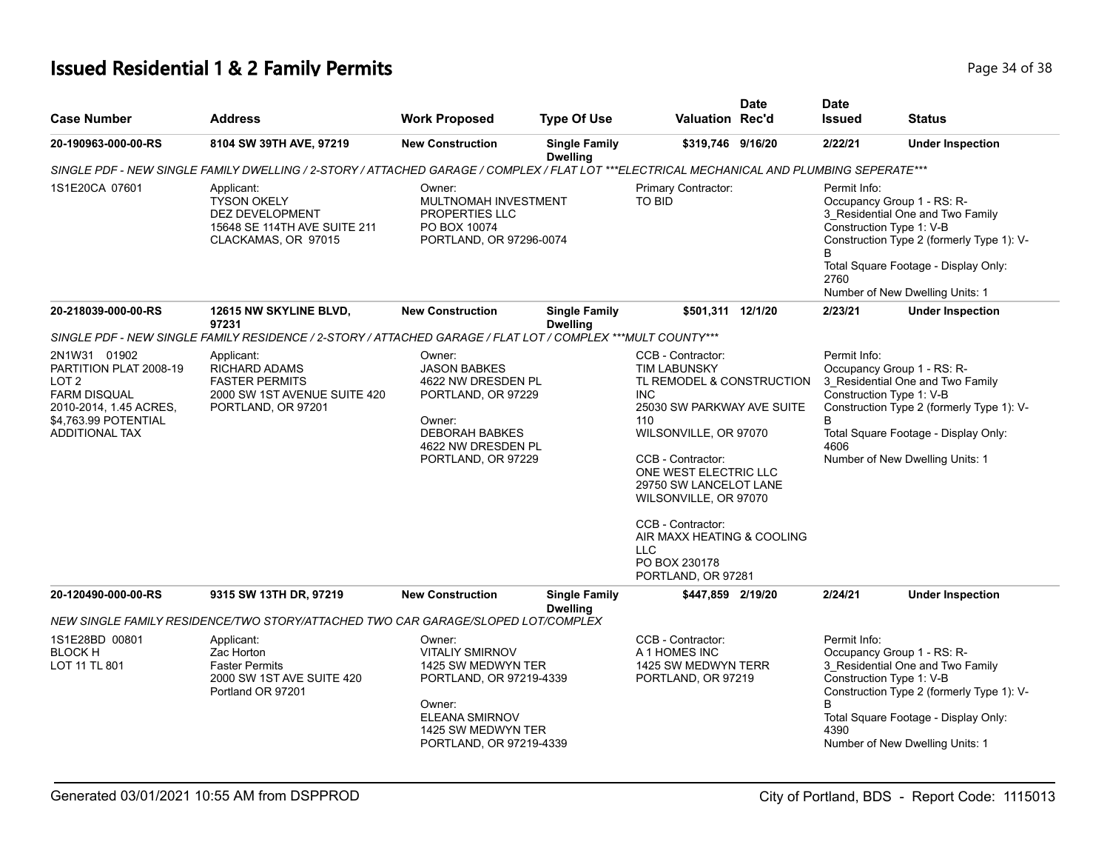# **Issued Residential 1 & 2 Family Permits Page 14 of 38 Page 34 of 38**

| <b>Case Number</b>                                                                                                                                           | <b>Address</b>                                                                                                                             | <b>Work Proposed</b>                                                                                                                                                  | <b>Type Of Use</b>                      | Valuation Rec'd                                                                                                                                                                                                                                                                                                                                            | <b>Date</b> | <b>Date</b><br><b>Issued</b>                                                        | <b>Status</b>                                                                                                                                            |
|--------------------------------------------------------------------------------------------------------------------------------------------------------------|--------------------------------------------------------------------------------------------------------------------------------------------|-----------------------------------------------------------------------------------------------------------------------------------------------------------------------|-----------------------------------------|------------------------------------------------------------------------------------------------------------------------------------------------------------------------------------------------------------------------------------------------------------------------------------------------------------------------------------------------------------|-------------|-------------------------------------------------------------------------------------|----------------------------------------------------------------------------------------------------------------------------------------------------------|
| 20-190963-000-00-RS                                                                                                                                          | 8104 SW 39TH AVE, 97219                                                                                                                    | <b>New Construction</b>                                                                                                                                               | <b>Single Family</b><br><b>Dwelling</b> | \$319,746 9/16/20                                                                                                                                                                                                                                                                                                                                          |             | 2/22/21                                                                             | <b>Under Inspection</b>                                                                                                                                  |
|                                                                                                                                                              | SINGLE PDF - NEW SINGLE FAMILY DWELLING / 2-STORY / ATTACHED GARAGE / COMPLEX / FLAT LOT ***ELECTRICAL MECHANICAL AND PLUMBING SEPERATE*** |                                                                                                                                                                       |                                         |                                                                                                                                                                                                                                                                                                                                                            |             |                                                                                     |                                                                                                                                                          |
| 1S1E20CA 07601                                                                                                                                               | Applicant:<br><b>TYSON OKELY</b><br><b>DEZ DEVELOPMENT</b><br>15648 SE 114TH AVE SUITE 211<br>CLACKAMAS, OR 97015                          | Owner:<br>MULTNOMAH INVESTMENT<br>PROPERTIES LLC<br>PO BOX 10074<br>PORTLAND, OR 97296-0074                                                                           |                                         | Primary Contractor:<br>TO BID                                                                                                                                                                                                                                                                                                                              |             | Permit Info:<br>Occupancy Group 1 - RS: R-<br>Construction Type 1: V-B<br>B<br>2760 | 3_Residential One and Two Family<br>Construction Type 2 (formerly Type 1): V-<br>Total Square Footage - Display Only:<br>Number of New Dwelling Units: 1 |
| 20-218039-000-00-RS                                                                                                                                          | 12615 NW SKYLINE BLVD,<br>97231                                                                                                            | <b>New Construction</b>                                                                                                                                               | <b>Single Family</b><br><b>Dwelling</b> | \$501,311 12/1/20                                                                                                                                                                                                                                                                                                                                          |             | 2/23/21                                                                             | <b>Under Inspection</b>                                                                                                                                  |
|                                                                                                                                                              | SINGLE PDF - NEW SINGLE FAMILY RESIDENCE / 2-STORY / ATTACHED GARAGE / FLAT LOT / COMPLEX ***MULT COUNTY***                                |                                                                                                                                                                       |                                         |                                                                                                                                                                                                                                                                                                                                                            |             |                                                                                     |                                                                                                                                                          |
| 2N1W31 01902<br>PARTITION PLAT 2008-19<br>LOT <sub>2</sub><br><b>FARM DISQUAL</b><br>2010-2014, 1.45 ACRES,<br>\$4,763.99 POTENTIAL<br><b>ADDITIONAL TAX</b> | Applicant:<br><b>RICHARD ADAMS</b><br><b>FASTER PERMITS</b><br>2000 SW 1ST AVENUE SUITE 420<br>PORTLAND, OR 97201                          | Owner:<br><b>JASON BABKES</b><br>4622 NW DRESDEN PL<br>PORTLAND, OR 97229<br>Owner:<br><b>DEBORAH BABKES</b><br>4622 NW DRESDEN PL<br>PORTLAND, OR 97229              |                                         | CCB - Contractor:<br><b>TIM LABUNSKY</b><br>TL REMODEL & CONSTRUCTION<br><b>INC</b><br>25030 SW PARKWAY AVE SUITE<br>110<br>WILSONVILLE, OR 97070<br>CCB - Contractor:<br>ONE WEST ELECTRIC LLC<br>29750 SW LANCELOT LANE<br>WILSONVILLE, OR 97070<br>CCB - Contractor:<br>AIR MAXX HEATING & COOLING<br><b>LLC</b><br>PO BOX 230178<br>PORTLAND, OR 97281 |             | Permit Info:<br>Occupancy Group 1 - RS: R-<br>Construction Type 1: V-B<br>B<br>4606 | 3 Residential One and Two Family<br>Construction Type 2 (formerly Type 1): V-<br>Total Square Footage - Display Only:<br>Number of New Dwelling Units: 1 |
| 20-120490-000-00-RS                                                                                                                                          | 9315 SW 13TH DR, 97219                                                                                                                     | <b>New Construction</b>                                                                                                                                               | <b>Single Family</b><br><b>Dwelling</b> | \$447,859 2/19/20                                                                                                                                                                                                                                                                                                                                          |             | 2/24/21                                                                             | <b>Under Inspection</b>                                                                                                                                  |
|                                                                                                                                                              | NEW SINGLE FAMILY RESIDENCE/TWO STORY/ATTACHED TWO CAR GARAGE/SLOPED LOT/COMPLEX                                                           |                                                                                                                                                                       |                                         |                                                                                                                                                                                                                                                                                                                                                            |             |                                                                                     |                                                                                                                                                          |
| 1S1E28BD 00801<br><b>BLOCK H</b><br>LOT 11 TL 801                                                                                                            | Applicant:<br>Zac Horton<br><b>Faster Permits</b><br>2000 SW 1ST AVE SUITE 420<br>Portland OR 97201                                        | Owner:<br><b>VITALIY SMIRNOV</b><br>1425 SW MEDWYN TER<br>PORTLAND, OR 97219-4339<br>Owner:<br><b>ELEANA SMIRNOV</b><br>1425 SW MEDWYN TER<br>PORTLAND, OR 97219-4339 |                                         | CCB - Contractor:<br>A 1 HOMES INC<br>1425 SW MEDWYN TERR<br>PORTLAND, OR 97219                                                                                                                                                                                                                                                                            |             | Permit Info:<br>Occupancy Group 1 - RS: R-<br>Construction Type 1: V-B<br>B<br>4390 | 3_Residential One and Two Family<br>Construction Type 2 (formerly Type 1): V-<br>Total Square Footage - Display Only:<br>Number of New Dwelling Units: 1 |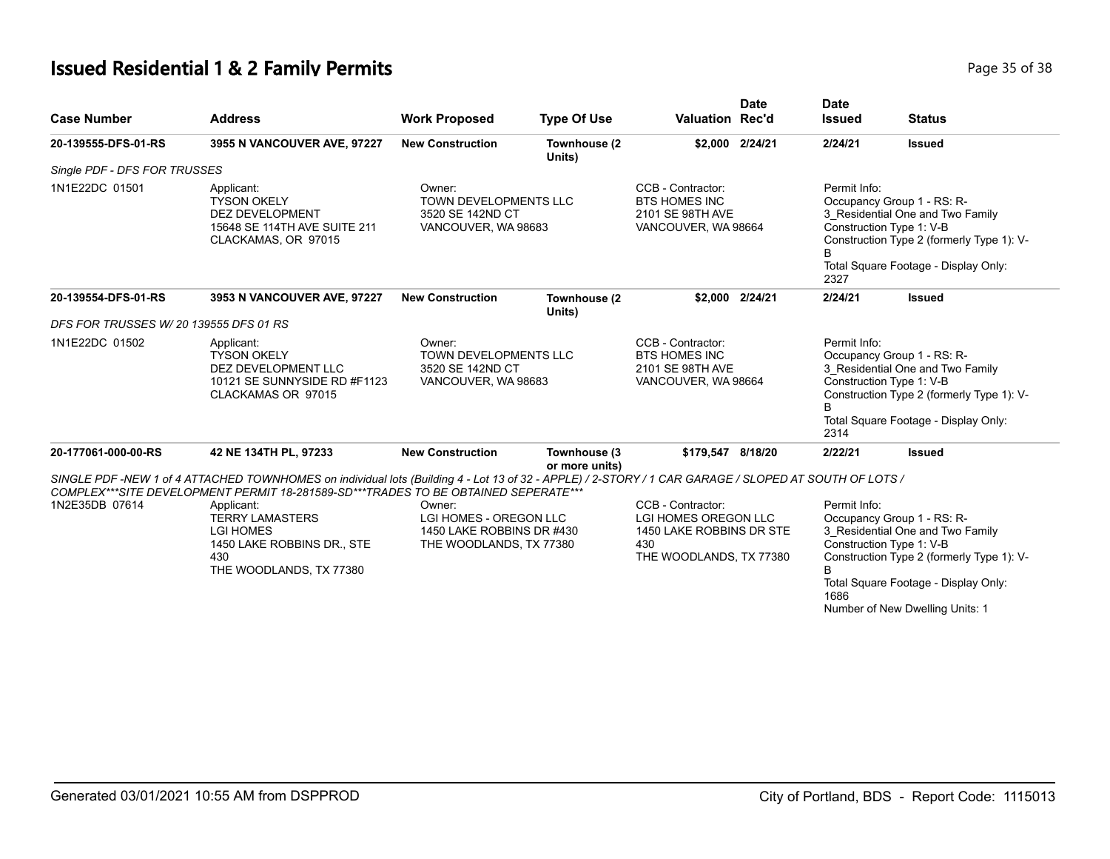# **Issued Residential 1 & 2 Family Permits Page 15 of 38 Page 35 of 38**

| <b>Case Number</b>                     | <b>Address</b>                                                                                                                                                                                                                              | <b>Work Proposed</b>                                                                     | <b>Type Of Use</b>             | Valuation Rec'd                                                                                         | <b>Date</b>     | <b>Date</b><br><b>Issued</b>                                                                                                                                                                                                                     | <b>Status</b>                        |
|----------------------------------------|---------------------------------------------------------------------------------------------------------------------------------------------------------------------------------------------------------------------------------------------|------------------------------------------------------------------------------------------|--------------------------------|---------------------------------------------------------------------------------------------------------|-----------------|--------------------------------------------------------------------------------------------------------------------------------------------------------------------------------------------------------------------------------------------------|--------------------------------------|
| 20-139555-DFS-01-RS                    | 3955 N VANCOUVER AVE, 97227                                                                                                                                                                                                                 | <b>New Construction</b>                                                                  | Townhouse (2<br>Units)         |                                                                                                         | \$2,000 2/24/21 | 2/24/21                                                                                                                                                                                                                                          | <b>Issued</b>                        |
| Single PDF - DFS FOR TRUSSES           |                                                                                                                                                                                                                                             |                                                                                          |                                |                                                                                                         |                 |                                                                                                                                                                                                                                                  |                                      |
| 1N1E22DC 01501                         | Applicant:<br><b>TYSON OKELY</b><br><b>DEZ DEVELOPMENT</b><br>15648 SE 114TH AVE SUITE 211<br>CLACKAMAS, OR 97015                                                                                                                           | Owner:<br>TOWN DEVELOPMENTS LLC<br>3520 SE 142ND CT<br>VANCOUVER, WA 98683               |                                | CCB - Contractor:<br><b>BTS HOMES INC</b><br>2101 SE 98TH AVE<br>VANCOUVER, WA 98664                    |                 | Permit Info:<br>Occupancy Group 1 - RS: R-<br>3_Residential One and Two Family<br>Construction Type 1: V-B<br>Construction Type 2 (formerly Type 1): V-<br>B.<br>Total Square Footage - Display Only:<br>2327                                    |                                      |
| 20-139554-DFS-01-RS                    | 3953 N VANCOUVER AVE, 97227                                                                                                                                                                                                                 | <b>New Construction</b>                                                                  | Townhouse (2<br>Units)         |                                                                                                         | \$2,000 2/24/21 | 2/24/21                                                                                                                                                                                                                                          | <b>Issued</b>                        |
| DFS FOR TRUSSES W/ 20 139555 DFS 01 RS |                                                                                                                                                                                                                                             |                                                                                          |                                |                                                                                                         |                 |                                                                                                                                                                                                                                                  |                                      |
| 1N1E22DC 01502                         | Applicant:<br><b>TYSON OKELY</b><br>DEZ DEVELOPMENT LLC<br>10121 SE SUNNYSIDE RD #F1123<br>CLACKAMAS OR 97015                                                                                                                               | Owner:<br>TOWN DEVELOPMENTS LLC<br>3520 SE 142ND CT<br>VANCOUVER, WA 98683               |                                | CCB - Contractor:<br>BTS HOMES INC<br>2101 SE 98TH AVE<br>VANCOUVER, WA 98664                           |                 | Permit Info:<br>Occupancy Group 1 - RS: R-<br>3 Residential One and Two Family<br>Construction Type 1: V-B<br>Construction Type 2 (formerly Type 1): V-                                                                                          |                                      |
|                                        |                                                                                                                                                                                                                                             |                                                                                          |                                |                                                                                                         |                 | 2314                                                                                                                                                                                                                                             | Total Square Footage - Display Only: |
| 20-177061-000-00-RS                    | 42 NE 134TH PL, 97233                                                                                                                                                                                                                       | <b>New Construction</b>                                                                  | Townhouse (3<br>or more units) | \$179,547 8/18/20                                                                                       |                 | 2/22/21                                                                                                                                                                                                                                          | <b>Issued</b>                        |
|                                        | SINGLE PDF -NEW 1 of 4 ATTACHED TOWNHOMES on individual lots (Building 4 - Lot 13 of 32 - APPLE) / 2-STORY / 1 CAR GARAGE / SLOPED AT SOUTH OF LOTS /<br>COMPLEX***SITE DEVELOPMENT PERMIT 18-281589-SD***TRADES TO BE OBTAINED SEPERATE*** |                                                                                          |                                |                                                                                                         |                 |                                                                                                                                                                                                                                                  |                                      |
| 1N2E35DB 07614                         | Applicant:<br><b>TERRY LAMASTERS</b><br><b>LGI HOMES</b><br>1450 LAKE ROBBINS DR., STE<br>430<br>THE WOODLANDS, TX 77380                                                                                                                    | Owner:<br>LGI HOMES - OREGON LLC<br>1450 LAKE ROBBINS DR #430<br>THE WOODLANDS, TX 77380 |                                | CCB - Contractor:<br>LGI HOMES OREGON LLC<br>1450 LAKE ROBBINS DR STE<br>430<br>THE WOODLANDS, TX 77380 |                 | Permit Info:<br>Occupancy Group 1 - RS: R-<br>3 Residential One and Two Family<br>Construction Type 1: V-B<br>Construction Type 2 (formerly Type 1): V-<br>B.<br>Total Square Footage - Display Only:<br>1686<br>Number of New Dwelling Units: 1 |                                      |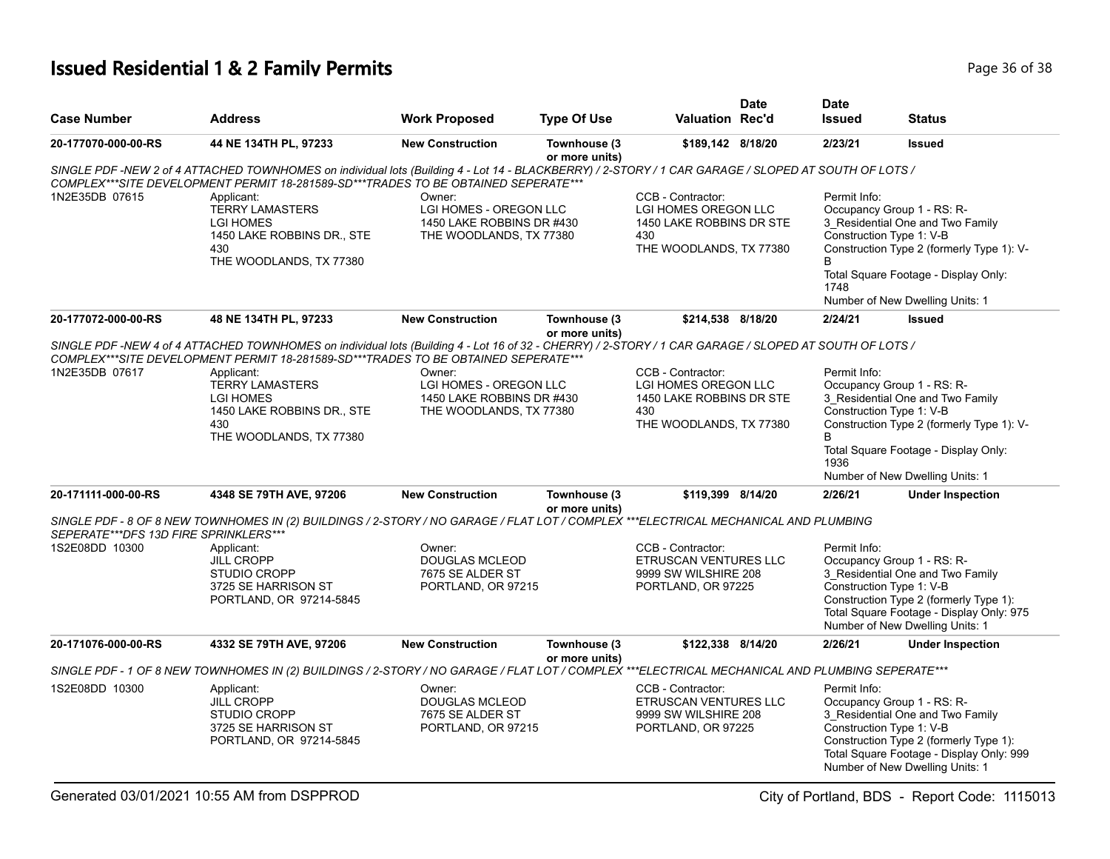# **Issued Residential 1 & 2 Family Permits Page 16 Oktober 2014 12:38 Page 36 of 38**

| <b>Case Number</b>                    | <b>Address</b>                                                                                                                                                                                                                               | <b>Work Proposed</b>                                                                            | <b>Type Of Use</b>             | <b>Valuation Rec'd</b>                                                                                  | <b>Date</b> | <b>Date</b><br><b>Issued</b>                                                                                                                                                                                                                    | <b>Status</b>                                                                                                                                                                                                       |  |
|---------------------------------------|----------------------------------------------------------------------------------------------------------------------------------------------------------------------------------------------------------------------------------------------|-------------------------------------------------------------------------------------------------|--------------------------------|---------------------------------------------------------------------------------------------------------|-------------|-------------------------------------------------------------------------------------------------------------------------------------------------------------------------------------------------------------------------------------------------|---------------------------------------------------------------------------------------------------------------------------------------------------------------------------------------------------------------------|--|
| 20-177070-000-00-RS                   | 44 NE 134TH PL, 97233                                                                                                                                                                                                                        | <b>New Construction</b>                                                                         | Townhouse (3<br>or more units) | \$189,142 8/18/20                                                                                       |             | 2/23/21                                                                                                                                                                                                                                         | <b>Issued</b>                                                                                                                                                                                                       |  |
|                                       | SINGLE PDF -NEW 2 of 4 ATTACHED TOWNHOMES on individual lots (Building 4 - Lot 14 - BLACKBERRY) / 2-STORY / 1 CAR GARAGE / SLOPED AT SOUTH OF LOTS /<br>COMPLEX***SITE DEVELOPMENT PERMIT 18-281589-SD***TRADES TO BE OBTAINED SEPERATE***   |                                                                                                 |                                |                                                                                                         |             |                                                                                                                                                                                                                                                 |                                                                                                                                                                                                                     |  |
| 1N2E35DB 07615                        | Applicant:<br><b>TERRY LAMASTERS</b><br><b>LGI HOMES</b><br>1450 LAKE ROBBINS DR., STE<br>430<br>THE WOODLANDS, TX 77380                                                                                                                     | Owner:<br>LGI HOMES - OREGON LLC<br>1450 LAKE ROBBINS DR #430<br>THE WOODLANDS, TX 77380<br>430 |                                | CCB - Contractor:<br>LGI HOMES OREGON LLC<br>1450 LAKE ROBBINS DR STE<br>THE WOODLANDS, TX 77380        |             | Permit Info:<br>Occupancy Group 1 - RS: R-<br>3_Residential One and Two Family<br>Construction Type 1: V-B<br>Construction Type 2 (formerly Type 1): V-<br>B<br>Total Square Footage - Display Only:<br>1748<br>Number of New Dwelling Units: 1 |                                                                                                                                                                                                                     |  |
| 20-177072-000-00-RS                   | 48 NE 134TH PL, 97233                                                                                                                                                                                                                        | <b>New Construction</b>                                                                         | Townhouse (3<br>or more units) | \$214,538 8/18/20                                                                                       |             | 2/24/21                                                                                                                                                                                                                                         | <b>Issued</b>                                                                                                                                                                                                       |  |
|                                       | SINGLE PDF -NEW 4 of 4 ATTACHED TOWNHOMES on individual lots (Building 4 - Lot 16 of 32 - CHERRY) / 2-STORY / 1 CAR GARAGE / SLOPED AT SOUTH OF LOTS /<br>COMPLEX***SITE DEVELOPMENT PERMIT 18-281589-SD***TRADES TO BE OBTAINED SEPERATE*** |                                                                                                 |                                |                                                                                                         |             |                                                                                                                                                                                                                                                 |                                                                                                                                                                                                                     |  |
| 1N2E35DB 07617                        | Applicant:<br><b>TERRY LAMASTERS</b><br><b>LGI HOMES</b><br>1450 LAKE ROBBINS DR., STE<br>430<br>THE WOODLANDS, TX 77380                                                                                                                     | Owner:<br>LGI HOMES - OREGON LLC<br>1450 LAKE ROBBINS DR #430<br>THE WOODLANDS, TX 77380        |                                | CCB - Contractor:<br>LGI HOMES OREGON LLC<br>1450 LAKE ROBBINS DR STE<br>430<br>THE WOODLANDS, TX 77380 |             | Permit Info:<br>Occupancy Group 1 - RS: R-<br>3_Residential One and Two Family<br>Construction Type 1: V-B<br>Construction Type 2 (formerly Type 1): V-<br>B                                                                                    |                                                                                                                                                                                                                     |  |
|                                       |                                                                                                                                                                                                                                              |                                                                                                 |                                |                                                                                                         |             | 1936                                                                                                                                                                                                                                            | Total Square Footage - Display Only:<br>Number of New Dwelling Units: 1                                                                                                                                             |  |
| 20-171111-000-00-RS                   | 4348 SE 79TH AVE, 97206                                                                                                                                                                                                                      | <b>New Construction</b>                                                                         | Townhouse (3<br>or more units) | \$119,399 8/14/20                                                                                       |             | 2/26/21                                                                                                                                                                                                                                         | <b>Under Inspection</b>                                                                                                                                                                                             |  |
| SEPERATE***DFS 13D FIRE SPRINKLERS*** | SINGLE PDF - 8 OF 8 NEW TOWNHOMES IN (2) BUILDINGS / 2-STORY / NO GARAGE / FLAT LOT / COMPLEX ***ELECTRICAL MECHANICAL AND PLUMBING                                                                                                          |                                                                                                 |                                |                                                                                                         |             |                                                                                                                                                                                                                                                 |                                                                                                                                                                                                                     |  |
| 1S2E08DD 10300                        | Applicant:<br><b>JILL CROPP</b><br><b>STUDIO CROPP</b><br>3725 SE HARRISON ST<br>PORTLAND, OR 97214-5845                                                                                                                                     | Owner:<br><b>DOUGLAS MCLEOD</b><br>7675 SE ALDER ST<br>PORTLAND, OR 97215                       |                                | CCB - Contractor:<br>ETRUSCAN VENTURES LLC<br>9999 SW WILSHIRE 208<br>PORTLAND, OR 97225                |             | Permit Info:<br>Occupancy Group 1 - RS: R-<br>3 Residential One and Two Family<br>Construction Type 1: V-B<br>Construction Type 2 (formerly Type 1):<br>Total Square Footage - Display Only: 975<br>Number of New Dwelling Units: 1             |                                                                                                                                                                                                                     |  |
| 20-171076-000-00-RS                   | 4332 SE 79TH AVE, 97206                                                                                                                                                                                                                      | <b>New Construction</b>                                                                         | Townhouse (3<br>or more units) | \$122,338 8/14/20                                                                                       |             | 2/26/21                                                                                                                                                                                                                                         | <b>Under Inspection</b>                                                                                                                                                                                             |  |
|                                       | SINGLE PDF - 1 OF 8 NEW TOWNHOMES IN (2) BUILDINGS / 2-STORY / NO GARAGE / FLAT LOT / COMPLEX ***ELECTRICAL MECHANICAL AND PLUMBING SEPERATE***                                                                                              |                                                                                                 |                                |                                                                                                         |             |                                                                                                                                                                                                                                                 |                                                                                                                                                                                                                     |  |
| 1S2E08DD 10300                        | Applicant:<br><b>JILL CROPP</b><br><b>STUDIO CROPP</b><br>3725 SE HARRISON ST<br>PORTLAND, OR 97214-5845                                                                                                                                     | Owner:<br><b>DOUGLAS MCLEOD</b><br>7675 SE ALDER ST<br>PORTLAND, OR 97215                       |                                | CCB - Contractor:<br>ETRUSCAN VENTURES LLC<br>9999 SW WILSHIRE 208<br>PORTLAND, OR 97225                |             | Permit Info:                                                                                                                                                                                                                                    | Occupancy Group 1 - RS: R-<br>3_Residential One and Two Family<br>Construction Type 1: V-B<br>Construction Type 2 (formerly Type 1):<br>Total Square Footage - Display Only: 999<br>Number of New Dwelling Units: 1 |  |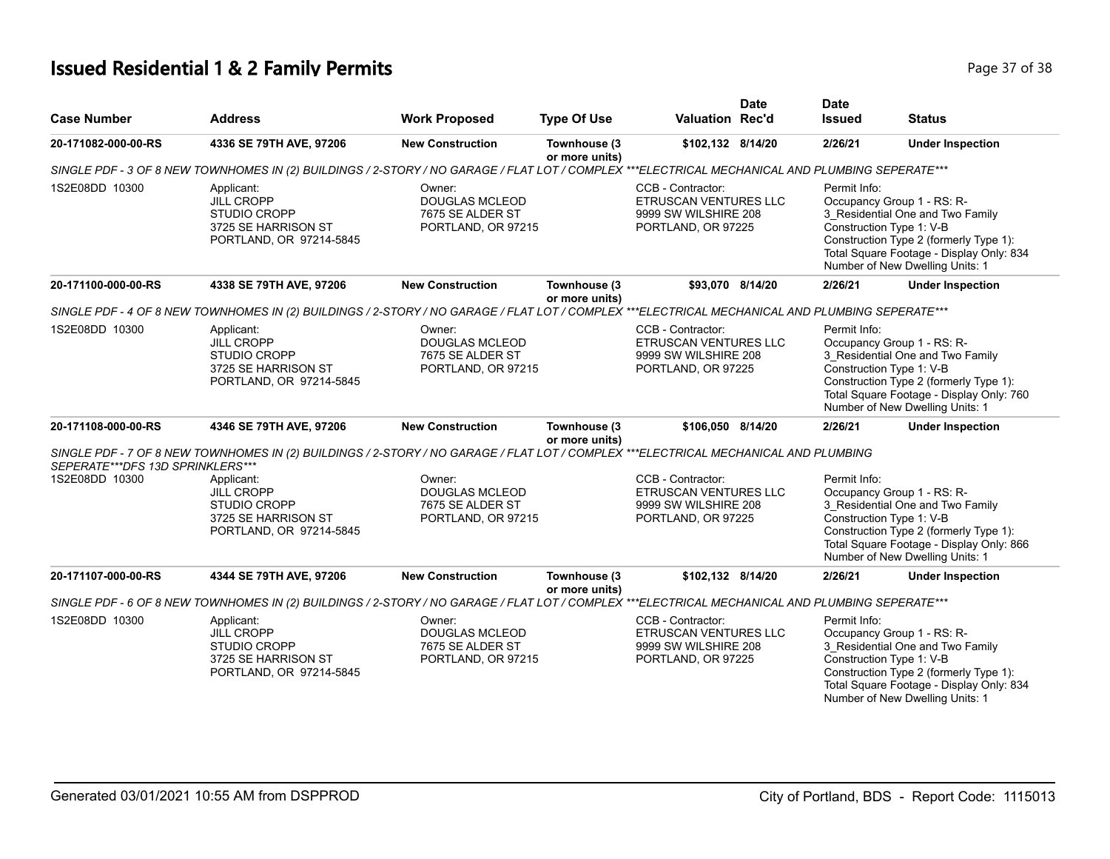# **Issued Residential 1 & 2 Family Permits Page 17 of 38 Page 37 of 38**

|                                  |                                                                                                                                                 |                                                                           |                                |                                                                                                 | <b>Date</b> | <b>Date</b>                                                            |                                                                                                                                                           |
|----------------------------------|-------------------------------------------------------------------------------------------------------------------------------------------------|---------------------------------------------------------------------------|--------------------------------|-------------------------------------------------------------------------------------------------|-------------|------------------------------------------------------------------------|-----------------------------------------------------------------------------------------------------------------------------------------------------------|
| <b>Case Number</b>               | <b>Address</b>                                                                                                                                  | <b>Work Proposed</b>                                                      | <b>Type Of Use</b>             | <b>Valuation Rec'd</b>                                                                          |             | <b>Issued</b>                                                          | <b>Status</b>                                                                                                                                             |
| 20-171082-000-00-RS              | 4336 SE 79TH AVE, 97206                                                                                                                         | <b>New Construction</b>                                                   | Townhouse (3<br>or more units) | \$102,132 8/14/20                                                                               |             | 2/26/21                                                                | <b>Under Inspection</b>                                                                                                                                   |
|                                  | SINGLE PDF - 3 OF 8 NEW TOWNHOMES IN (2) BUILDINGS / 2-STORY / NO GARAGE / FLAT LOT / COMPLEX ***ELECTRICAL MECHANICAL AND PLUMBING SEPERATE*** |                                                                           |                                |                                                                                                 |             |                                                                        |                                                                                                                                                           |
| 1S2E08DD 10300                   | Applicant:<br><b>JILL CROPP</b><br><b>STUDIO CROPP</b><br>3725 SE HARRISON ST<br>PORTLAND, OR 97214-5845                                        | Owner:<br><b>DOUGLAS MCLEOD</b><br>7675 SE ALDER ST<br>PORTLAND, OR 97215 |                                | CCB - Contractor:<br><b>ETRUSCAN VENTURES LLC</b><br>9999 SW WILSHIRE 208<br>PORTLAND, OR 97225 |             | Permit Info:<br>Occupancy Group 1 - RS: R-<br>Construction Type 1: V-B | 3 Residential One and Two Family<br>Construction Type 2 (formerly Type 1):<br>Total Square Footage - Display Only: 834<br>Number of New Dwelling Units: 1 |
| 20-171100-000-00-RS              | 4338 SE 79TH AVE, 97206                                                                                                                         | <b>New Construction</b>                                                   | Townhouse (3<br>or more units) | \$93,070 8/14/20                                                                                |             | 2/26/21                                                                | <b>Under Inspection</b>                                                                                                                                   |
|                                  | SINGLE PDF - 4 OF 8 NEW TOWNHOMES IN (2) BUILDINGS / 2-STORY / NO GARAGE / FLAT LOT / COMPLEX ***ELECTRICAL MECHANICAL AND PLUMBING SEPERATE*** |                                                                           |                                |                                                                                                 |             |                                                                        |                                                                                                                                                           |
| 1S2E08DD 10300                   | Applicant:<br><b>JILL CROPP</b><br><b>STUDIO CROPP</b><br>3725 SE HARRISON ST<br>PORTLAND, OR 97214-5845                                        | Owner:<br><b>DOUGLAS MCLEOD</b><br>7675 SE ALDER ST<br>PORTLAND, OR 97215 |                                | CCB - Contractor:<br><b>ETRUSCAN VENTURES LLC</b><br>9999 SW WILSHIRE 208<br>PORTLAND, OR 97225 |             | Permit Info:<br>Occupancy Group 1 - RS: R-<br>Construction Type 1: V-B | 3 Residential One and Two Family<br>Construction Type 2 (formerly Type 1):<br>Total Square Footage - Display Only: 760<br>Number of New Dwelling Units: 1 |
| 20-171108-000-00-RS              | 4346 SE 79TH AVE, 97206                                                                                                                         | <b>New Construction</b>                                                   | Townhouse (3<br>or more units) | \$106,050 8/14/20                                                                               |             | 2/26/21                                                                | <b>Under Inspection</b>                                                                                                                                   |
| SEPERATE***DFS 13D SPRINKLERS*** | SINGLE PDF - 7 OF 8 NEW TOWNHOMES IN (2) BUILDINGS / 2-STORY / NO GARAGE / FLAT LOT / COMPLEX ***ELECTRICAL MECHANICAL AND PLUMBING             |                                                                           |                                |                                                                                                 |             |                                                                        |                                                                                                                                                           |
| 1S2E08DD 10300                   | Applicant:<br><b>JILL CROPP</b><br><b>STUDIO CROPP</b><br>3725 SE HARRISON ST<br>PORTLAND, OR 97214-5845                                        | Owner:<br><b>DOUGLAS MCLEOD</b><br>7675 SE ALDER ST<br>PORTLAND, OR 97215 |                                | CCB - Contractor:<br>ETRUSCAN VENTURES LLC<br>9999 SW WILSHIRE 208<br>PORTLAND, OR 97225        |             | Permit Info:<br>Occupancy Group 1 - RS: R-<br>Construction Type 1: V-B | 3_Residential One and Two Family<br>Construction Type 2 (formerly Type 1):<br>Total Square Footage - Display Only: 866<br>Number of New Dwelling Units: 1 |
| 20-171107-000-00-RS              | 4344 SE 79TH AVE, 97206                                                                                                                         | <b>New Construction</b>                                                   | Townhouse (3<br>or more units) | \$102,132 8/14/20                                                                               |             | 2/26/21                                                                | <b>Under Inspection</b>                                                                                                                                   |
|                                  | SINGLE PDF - 6 OF 8 NEW TOWNHOMES IN (2) BUILDINGS / 2-STORY / NO GARAGE / FLAT LOT / COMPLEX ***ELECTRICAL MECHANICAL AND PLUMBING SEPERATE*** |                                                                           |                                |                                                                                                 |             |                                                                        |                                                                                                                                                           |
| 1S2E08DD 10300                   | Applicant:<br><b>JILL CROPP</b><br><b>STUDIO CROPP</b><br>3725 SE HARRISON ST<br>PORTLAND, OR 97214-5845                                        | Owner:<br><b>DOUGLAS MCLEOD</b><br>7675 SE ALDER ST<br>PORTLAND, OR 97215 |                                | CCB - Contractor:<br>ETRUSCAN VENTURES LLC<br>9999 SW WILSHIRE 208<br>PORTLAND, OR 97225        |             | Permit Info:<br>Occupancy Group 1 - RS: R-<br>Construction Type 1: V-B | 3 Residential One and Two Family<br>Construction Type 2 (formerly Type 1):<br>Total Square Footage - Display Only: 834<br>Number of New Dwelling Units: 1 |